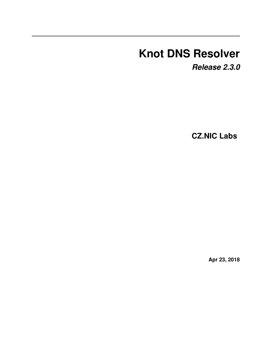# **Knot DNS Resolver**

*Release 2.3.0*

**CZ.NIC Labs**

**Apr 23, 2018**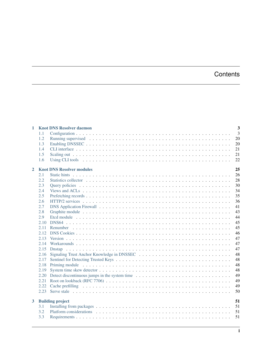# **Contents**

| 1            | <b>Knot DNS Resolver daemon</b> |                                               |                |  |  |
|--------------|---------------------------------|-----------------------------------------------|----------------|--|--|
|              | 1.1                             |                                               | $\overline{3}$ |  |  |
|              | 1.2                             |                                               | 20             |  |  |
|              | 1.3                             |                                               | 20             |  |  |
|              | 1.4                             |                                               | 21             |  |  |
|              | 1.5                             |                                               | 21             |  |  |
|              | 1.6                             |                                               | 22             |  |  |
| $\mathbf{2}$ |                                 | <b>Knot DNS Resolver modules</b>              | 25             |  |  |
|              | 2.1                             |                                               | 26             |  |  |
|              | 2.2                             |                                               | 28             |  |  |
|              | 2.3                             |                                               | 30             |  |  |
|              | 2.4                             |                                               | 34             |  |  |
|              | 2.5                             |                                               | 35             |  |  |
|              | 2.6                             |                                               | 36             |  |  |
|              | 2.7                             |                                               | 41             |  |  |
|              | 2.8                             |                                               | 43             |  |  |
|              | 2.9                             |                                               | 44             |  |  |
|              | 2.10                            |                                               | 45             |  |  |
|              | 2.11                            |                                               | 45             |  |  |
|              | 2.12.                           |                                               | 46             |  |  |
|              | 2.13                            |                                               | 47             |  |  |
|              | 2.14                            |                                               | 47             |  |  |
|              | 2.15                            |                                               | 47             |  |  |
|              | 2.16                            |                                               | 48             |  |  |
|              | 2.17                            |                                               | 48             |  |  |
|              | 2.18                            |                                               | 48             |  |  |
|              | 2.19                            |                                               | 48             |  |  |
|              | 2.20                            | Detect discontinuous jumps in the system time | 49             |  |  |
|              | 2.21                            |                                               | 49             |  |  |
|              | 2.22                            |                                               | 49             |  |  |
|              | 2.23                            |                                               | 50             |  |  |
| $\mathbf{3}$ |                                 | <b>Building project</b>                       | 51             |  |  |
|              | 3.1                             |                                               | 51             |  |  |
|              | 3.2                             |                                               | 51             |  |  |
|              | 3.3                             |                                               | 51             |  |  |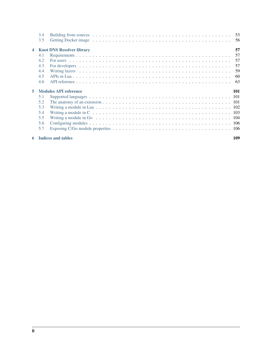|    | 3.4 |                                  |      |
|----|-----|----------------------------------|------|
|    | 3.5 |                                  | - 56 |
|    |     | <b>Knot DNS Resolver library</b> | 57   |
|    | 4.1 |                                  | 57   |
|    | 4.2 |                                  | 57   |
|    | 4.3 |                                  | .57  |
|    | 4.4 |                                  | 59   |
|    | 4.5 |                                  | -60  |
|    | 4.6 |                                  | 63   |
|    |     |                                  |      |
| 5. |     | <b>Modules API reference</b>     | 101  |
|    | 5.1 |                                  |      |
|    | 5.2 |                                  |      |
|    | 5.3 |                                  |      |
|    | 5.4 |                                  |      |
|    | 5.5 |                                  |      |
|    | 5.6 |                                  |      |
|    | 5.7 |                                  |      |

### [6 Indices and tables](#page-112-0) 109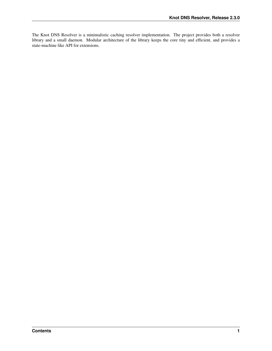The Knot DNS Resolver is a minimalistic caching resolver implementation. The project provides both a resolver library and a small daemon. Modular architecture of the library keeps the core tiny and efficient, and provides a state-machine like API for extensions.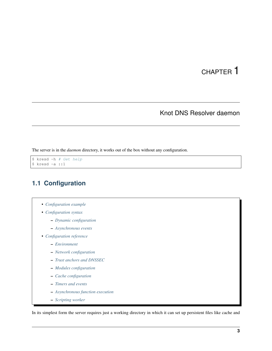# CHAPTER 1

# Knot DNS Resolver daemon

<span id="page-6-0"></span>The server is in the *daemon* directory, it works out of the box without any configuration.

```
$ kresd -h # Get help
$ kresd -a ::1
```
# <span id="page-6-1"></span>**1.1 Configuration**

- *[Configuration example](#page-7-0)*
- *[Configuration syntax](#page-7-1)*
	- *[Dynamic configuration](#page-8-0)*
	- *[Asynchronous events](#page-9-0)*
- *[Configuration reference](#page-10-0)*
	- *[Environment](#page-10-1)*
	- *[Network configuration](#page-12-0)*
	- *[Trust anchors and DNSSEC](#page-14-0)*
	- *[Modules configuration](#page-16-0)*
	- *[Cache configuration](#page-16-1)*
	- *[Timers and events](#page-20-0)*
	- *[Asynchronous function execution](#page-21-0)*
	- *[Scripting worker](#page-22-0)*

In its simplest form the server requires just a working directory in which it can set up persistent files like cache and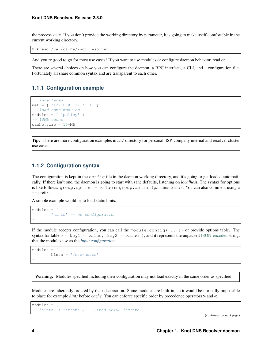the process state. If you don't provide the working directory by parameter, it is going to make itself comfortable in the current working directory.

\$ kresd /var/cache/knot-resolver

And you're good to go for most use cases! If you want to use modules or configure daemon behavior, read on.

There are several choices on how you can configure the daemon, a RPC interface, a CLI, and a configuration file. Fortunately all share common syntax and are transparent to each other.

### <span id="page-7-0"></span>**1.1.1 Configuration example**

```
-- interfaces
net = { '127.0.0.1', '::1' }
-- load some modules
modules = { 'policy' }
-- 10MB cache
cache.size = 10*MB
```
Tip: There are more configuration examples in *etc/* directory for personal, ISP, company internal and resolver cluster use cases.

### <span id="page-7-1"></span>**1.1.2 Configuration syntax**

The configuration is kept in the config file in the daemon working directory, and it's going to get loaded automatically. If there isn't one, the daemon is going to start with sane defaults, listening on *localhost*. The syntax for options is like follows: group.option = value or group.action(parameters). You can also comment using a  $--$  prefix.

A simple example would be to load static hints.

```
modules = {
        'hints' -- no configuration
}
```
If the module accepts configuration, you can call the module.config( $\{\ldots\}$ ) or provide options table. The syntax for table is  $\{ \text{key1} = \text{value}, \text{key2} = \text{value} \}$ , and it represents the unpacked [JSON-encoded](http://json.org/example) string, that the modules use as the *[input configuration](#page-109-1)*.

```
modules = {
        hints = '/etc/hosts'
}
```
Warning: Modules specified including their configuration may not load exactly in the same order as specified.

Modules are inherently ordered by their declaration. Some modules are built-in, so it would be normally impossible to place for example *hints* before *cache*. You can enforce specific order by precedence operators > and <.

```
modules = {
   'hints > iterate', -- Hints AFTER iterate
```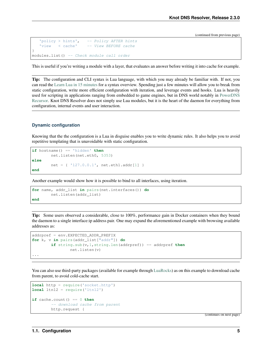```
'policy > hints', -- Policy AFTER hints
   'view < cache' -- View BEFORE cache
}
modules.list() -- Check module call order
```
This is useful if you're writing a module with a layer, that evaluates an answer before writing it into cache for example.

Tip: The configuration and CLI syntax is Lua language, with which you may already be familiar with. If not, you can read the [Learn Lua in 15 minutes](http://tylerneylon.com/a/learn-lua/) for a syntax overview. Spending just a few minutes will allow you to break from static configuration, write more efficient configuration with iteration, and leverage events and hooks. Lua is heavily used for scripting in applications ranging from embedded to game engines, but in DNS world notably in [PowerDNS](https://doc.powerdns.com/md/recursor/scripting/) [Recursor.](https://doc.powerdns.com/md/recursor/scripting/) Knot DNS Resolver does not simply use Lua modules, but it is the heart of the daemon for everything from configuration, internal events and user interaction.

#### <span id="page-8-0"></span>**Dynamic configuration**

Knowing that the the configuration is a Lua in disguise enables you to write dynamic rules. It also helps you to avoid repetitive templating that is unavoidable with static configuration.

```
if hostname() == 'hidden' then
        net.listen(net.eth0, 5353)
else
        net = { '127.0.0.1', net.eth1.addr[1] }
end
```
Another example would show how it is possible to bind to all interfaces, using iteration.

```
for name, addr_list in pairs(net.interfaces()) do
        net.listen(addr_list)
end
```
Tip: Some users observed a considerable, close to 100%, performance gain in Docker containers when they bound the daemon to a single interface:ip address pair. One may expand the aforementioned example with browsing available addresses as:

```
addrpref = env.EXPECTED_ADDR_PREFIX
for k, v in pairs(addr_list["addr"]) do
        if string.sub(v,1,string.len(addrpref)) == addrpref then
                net.listen(v)
...
```
You can also use third-party packages (available for example through [LuaRocks\)](https://rocks.moonscript.org/) as on this example to download cache from parent, to avoid cold-cache start.

```
local http = require('socket.http')
local ltn12 = require('ltn12')
if cache.count() == 0 then
         -- download cache from parent
        http.request {
```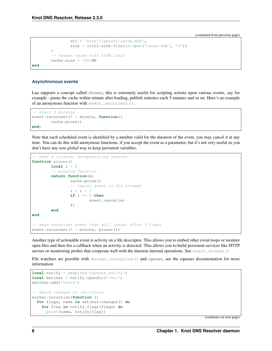```
url = 'http://parent/cache.mdb',
                sink = ltn12.sink.file(io.open('cache.mdb', 'w'))
        }
        -- reopen cache with 100M limit
        cache.size = 100*MBend
```
#### <span id="page-9-0"></span>**Asynchronous events**

Lua supports a concept called [closures,](https://www.lua.org/pil/6.1.html) this is extremely useful for scripting actions upon various events, say for example - prune the cache within minute after loading, publish statistics each 5 minutes and so on. Here's an example of an anonymous function with [event.recurrent\(\)](#page-20-1):

```
-- every 5 minutes
event.recurrent(5 * minute, function()
        cache.prune()
end)
```
Note that each scheduled event is identified by a number valid for the duration of the event, you may cancel it at any time. You can do this with anonymous functions, if you accept the event as a parameter, but it's not very useful as you don't have any *non-global* way to keep persistent variables.

```
-- make a closure, encapsulating counter
function pruner()
       local i = 0-- pruning function
        return function(e)
               cache.prune()
                -- cancel event on 5th attempt
                i = i + 1if i == 5 then
                       event.cancel(e)
                fi
        end
end
-- make recurrent event that will cancel after 5 times
event.recurrent(5 * minute, pruner())
```
Another type of actionable event is activity on a file descriptor. This allows you to embed other event loops or monitor open files and then fire a callback when an activity is detected. This allows you to build persistent services like HTTP servers or monitoring probes that cooperate well with the daemon internal operations. See [event.socket\(\)](#page-20-2)

File watchers are possible with  $worker.coroutine()$  and [cqueues,](https://25thandclement.com/~william/projects/cqueues.html) see the cqueues documentation for more information.

```
local notify = require('cqueues.notify')
local watcher = notify.opendir('/etc')
watcher:add('hosts')
-- Watch changes to /etc/hosts
worker.coroutine(function ()
 for flags, name in watcher:changes() do
    for flag in notify.flags(flags) do
     print(name, notify[flag])
```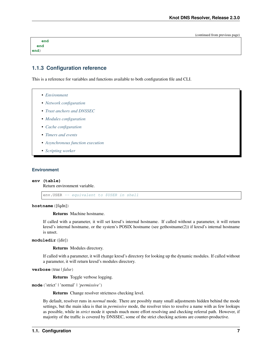| end  |  |  |  |
|------|--|--|--|
| end  |  |  |  |
| end) |  |  |  |

### <span id="page-10-0"></span>**1.1.3 Configuration reference**

This is a reference for variables and functions available to both configuration file and CLI.

• *[Environment](#page-10-1)*

- *[Network configuration](#page-12-0)*
- *[Trust anchors and DNSSEC](#page-14-0)*
- *[Modules configuration](#page-16-0)*
- *[Cache configuration](#page-16-1)*
- *[Timers and events](#page-20-0)*
- *[Asynchronous function execution](#page-21-0)*
- *[Scripting worker](#page-22-0)*

#### <span id="page-10-1"></span>**Environment**

#### **env (table)**

Return environment variable.

env.USER -- equivalent to \$USER in shell

<span id="page-10-2"></span>**hostname**([fqdn])

Returns Machine hostname.

If called with a parameter, it will set kresd's internal hostname. If called without a parameter, it will return kresd's internal hostname, or the system's POSIX hostname (see gethostname(2)) if kresd's internal hostname is unset.

**moduledir**([dir])

Returns Modules directory.

If called with a parameter, it will change kresd's directory for looking up the dynamic modules. If called without a parameter, it will return kresd's modules directory.

**verbose**(true | *false*)

Returns Toggle verbose logging.

**mode**('strict' | 'normal' | *'permissive'*)

Returns Change resolver strictness checking level.

By default, resolver runs in *normal* mode. There are possibly many small adjustments hidden behind the mode settings, but the main idea is that in *permissive* mode, the resolver tries to resolve a name with as few lookups as possible, while in *strict* mode it spends much more effort resolving and checking referral path. However, if majority of the traffic is covered by DNSSEC, some of the strict checking actions are counter-productive.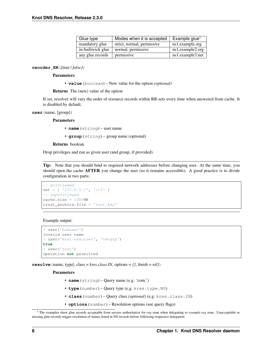| Glue type         | Modes when it is accepted  | Example glue <sup>1</sup>      |  |
|-------------------|----------------------------|--------------------------------|--|
| mandatory glue    | strict, normal, permissive | ns1.example.org                |  |
| in-bailiwick glue | normal, permissive         | ns1 <sup>o</sup> .example2.org |  |
| any glue records  | permissive                 | ns1.example3.net               |  |

**reorder\_RR**([true | *false]*)

#### Parameters

• **value** (boolean) – New value for the option *(optional)*

Returns The (new) value of the option

If set, resolver will vary the order of resource records within RR-sets every time when answered from cache. It is disabled by default.

#### **user**(name, [group])

#### Parameters

• **name** (string) – user name

• **group** (string) – group name (optional)

#### Returns boolean

Drop privileges and run as given user (and group, if provided).

Tip: Note that you should bind to required network addresses before changing user. At the same time, you should open the cache **AFTER** you change the user (so it remains accessible). A good practice is to divide configuration in two parts:

```
-- privileged
net = { '127.0.0.1', '::1' }
-- unprivileged
cache.size = 100*MBtrust_anchors.file = 'root.key'
```
#### Example output:

```
> user('baduser')
invalid user name
> user('knot-resolver', 'netgrp')
true
> user('root')
Operation not permitted
```
**resolve** (name, type[, class = *kres.class.IN*, options =  $\{$ , finish =  $nil$ )

#### Parameters

- **name** (string) Query name (e.g. 'com.')
- **type** (number) Query type (e.g. kres.type.NS)
- **class** (number) Query class *(optional)* (e.g. kres.class.IN)
- **options** (number) Resolution options (see query flags)

<sup>1</sup> The examples show glue records acceptable from servers authoritative for *org* zone when delegating to *example.org* zone. Unacceptable or missing glue records trigger resolution of names listed in NS records before following respective delegation.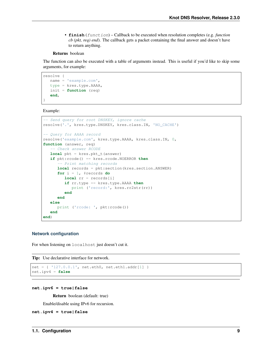• **finish** (function) – Callback to be executed when resolution completes (e.g. *function cb (pkt, req) end*). The callback gets a packet containing the final answer and doesn't have to return anything.

#### Returns boolean

The function can also be executed with a table of arguments instead. This is useful if you'd like to skip some arguments, for example:

```
resolve {
  name = 'example.com',
  type = kres.type.AAAA,
  init = function (req)
  end,
}
```
Example:

```
-- Send query for root DNSKEY, ignore cache
resolve('.', kres.type.DNSKEY, kres.class.IN, 'NO_CACHE')
-- Query for AAAA record
resolve('example.com', kres.type.AAAA, kres.class.IN, 0,
function (answer, req)
   -- Check answer RCODE
   local pkt = kres.pkt_t(answer)
   if pkt:rcode() == kres.rcode.NOERROR then
      -- Print matching records
      local records = pkt:section(kres.section.ANSWER)
      for i = 1, #records do
         local rr = records[i]
         if rr.type == kres.type.AAAA then
            print ('record:', kres.rr2str(rr))
         end
      end
   else
      print ('rcode: ', pkt:rcode())
   end
end)
```
#### <span id="page-12-0"></span>**Network configuration**

For when listening on localhost just doesn't cut it.

Tip: Use declarative interface for network.

```
net = { '127.0.0.1', net.eth0, net.eth1.addr[1] }
net.ipv4 = false
```

```
net.ipv6 = true|false
```
Return boolean (default: true)

Enable/disable using IPv6 for recursion.

```
net.ipv4 = true|false
```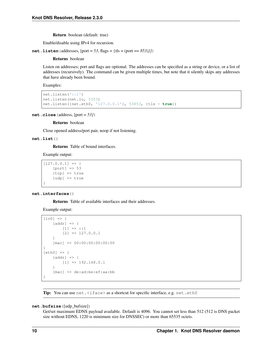Return boolean (default: true)

Enable/disable using IPv4 for recursion.

**net.listen** (addresses,  $[port = 53, flags = {tls = (port == 853)}]$ )

Returns boolean

Listen on addresses; port and flags are optional. The addresses can be specified as a string or device, or a list of addresses (recursively). The command can be given multiple times, but note that it silently skips any addresses that have already been bound.

Examples:

```
net.listen('::1')
net.listen(net.lo, 5353)
net.listen({net.eth0, '127.0.0.1'}, 53853, {tls = true})
```
**net.close**(address, [port = *53]*)

#### Returns boolean

Close opened address/port pair, noop if not listening.

#### **net.list**()

Returns Table of bound interfaces.

Example output:

```
[127.0.0.1] => {
    [port] \Rightarrow 53[tcp] => true
    [udp] => true
}
```
#### **net.interfaces**()

Returns Table of available interfaces and their addresses.

Example output:

```
[100] => {
    [addr] => {
        [1] => ::1
        [2] => 127.0.0.1
    }
    [mac] => 00:00:00:00:00:00
}
[eth0] => {
    [addr] \Rightarrow {
       [1] => 192.168.0.1
    }
    [mac] => de:ad:be:ef:aa:bb
}
```
**Tip:** You can use net.  $\langle$ iface> as a shortcut for specific interface, e.g. net.eth0

**net.bufsize**([udp\_bufsize])

Get/set maximum EDNS payload available. Default is 4096. You cannot set less than 512 (512 is DNS packet size without EDNS, 1220 is minimum size for DNSSEC) or more than 65535 octets.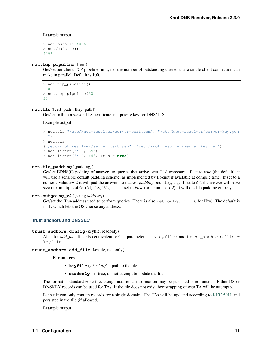Example output:

```
> net.bufsize 4096
> net.bufsize()
4096
```
#### **net.tcp\_pipeline**([len])

Get/set per-client TCP pipeline limit, i.e. the number of outstanding queries that a single client connection can make in parallel. Default is 100.

```
> net.tcp_pipeline()
100
> net.tcp_pipeline(50)
50
```
#### <span id="page-14-1"></span>**net.tls**([cert\_path], [key\_path])

Get/set path to a server TLS certificate and private key for DNS/TLS.

Example output:

```
> net.tls("/etc/knot-resolver/server-cert.pem", "/etc/knot-resolver/server-key.pem
\leftrightarrow")
> net.tls()
("/etc/knot-resolver/server-cert.pem", "/etc/knot-resolver/server-key.pem")
> net.listen("::", 853)
> net.listen("::", 443, {tls = true})
```
#### **net.tls\_padding**([padding])

Get/set EDNS(0) padding of answers to queries that arrive over TLS transport. If set to *true* (the default), it will use a sensible default padding scheme, as implemented by libknot if available at compile time. If set to a numeric value >= 2 it will pad the answers to nearest *padding* boundary, e.g. if set to *64*, the answer will have size of a multiple of 64 (64, 128, 192, ...). If set to *false* (or a number  $\lt 2$ ), it will disable padding entirely.

#### **net.outgoing\_v4**([string *address]*)

Get/set the IPv4 address used to perform queries. There is also net. outgoing  $v6$  for IPv6. The default is nil, which lets the OS choose any address.

#### <span id="page-14-0"></span>**Trust anchors and DNSSEC**

**trust\_anchors.config**(keyfile, readonly)

Alias for *add\_file*. It is also equivalent to CLI parameter  $-k$  <keyfile> and trust\_anchors.file = keyfile.

**trust\_anchors.add\_file**(keyfile, readonly)

**Parameters** 

- **keyfile** (string) path to the file.
- **readonly** if true, do not attempt to update the file.

The format is standard zone file, though additional information may be persisted in comments. Either DS or DNSKEY records can be used for TAs. If the file does not exist, bootstrapping of *root* TA will be attempted.

Each file can only contain records for a single domain. The TAs will be updated according to [RFC 5011](https://tools.ietf.org/html/rfc5011.html) and persisted in the file (if allowed).

Example output: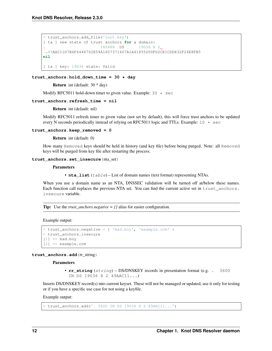```
> trust_anchors.add_file('root.key')
[ ta ] new state of trust anchors for a domain:
                       165488 DS 19036 8 2
˓→49AAC11D7B6F6446702E54A1607371607A1A41855200FD2CE1CDDE32F24E8FB5
nil
[ ta ] key: 19036 state: Valid
```
#### **trust\_anchors.hold\_down\_time = 30 \* day**

Return int (default: 30 \* day)

Modify RFC5011 hold-down timer to given value. Example:  $30 \times \text{sec}$ 

#### **trust\_anchors.refresh\_time = nil**

Return int (default: nil)

Modify RFC5011 refresh timer to given value (not set by default), this will force trust anchors to be updated every N seconds periodically instead of relying on RFC5011 logic and TTLs. Example: 10  $\star$  sec

#### **trust\_anchors.keep\_removed = 0**

Return int (default: 0)

How many Removed keys should be held in history (and key file) before being purged. Note: all Removed keys will be purged from key file after restarting the process.

#### **trust\_anchors.set\_insecure**(nta\_set)

#### **Parameters**

• **nta\_list** (table) – List of domain names (text format) representing NTAs.

When you use a domain name as an NTA, DNSSEC validation will be turned off at/below these names. Each function call replaces the previous NTA set. You can find the current active set in trust anchors. insecure variable.

**Tip:** Use the *trust* anchors.negative =  $\{$ } alias for easier configuration.

Example output:

```
> trust_anchors.negative = { 'bad.boy', 'example.com' }
> trust_anchors.insecure
[1] => bad.boy
[2] => example.com
```
#### **trust\_anchors.add**(rr\_string)

**Parameters** 

• **rr\_string** (string) – DS/DNSKEY records in presentation format (e.g. . 3600 IN DS 19036 8 2 49AAC11...)

Inserts DS/DNSKEY record(s) into current keyset. These will not be managed or updated, use it only for testing or if you have a specific use case for not using a keyfile.

Example output:

> trust\_anchors.add('. 3600 IN DS 19036 8 2 49AAC11...')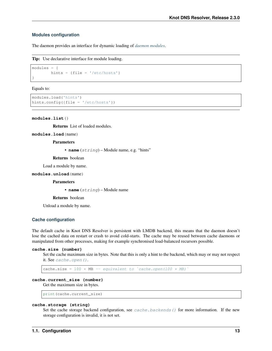#### <span id="page-16-0"></span>**Modules configuration**

The daemon provides an interface for dynamic loading of *[daemon modules](#page-28-0)*.

```
Tip: Use declarative interface for module loading.
```

```
modules = {
        hints = \{file = '/etc/hosts'\}}
```
Equals to:

```
modules.load('hints')
hints.config({file = '/etc/hosts'})
```
**modules.list**()

Returns List of loaded modules.

**modules.load**(name)

**Parameters** 

• **name** (string) – Module name, e.g. "hints"

Returns boolean

Load a module by name.

**modules.unload**(name)

**Parameters** 

• **name** (string) – Module name

Returns boolean

Unload a module by name.

#### <span id="page-16-1"></span>**Cache configuration**

The default cache in Knot DNS Resolver is persistent with LMDB backend, this means that the daemon doesn't lose the cached data on restart or crash to avoid cold-starts. The cache may be reused between cache daemons or manipulated from other processes, making for example synchronised load-balanced recursors possible.

**cache.size (number)**

Set the cache maximum size in bytes. Note that this is only a hint to the backend, which may or may not respect it. See [cache.open\(\)](#page-17-0).

cache.size =  $100 * MB$  -- equivalent to `cache.open(100  $* MB$ )`

### **cache.current\_size (number)**

Get the maximum size in bytes.

print(cache.current\_size)

#### **cache.storage (string)**

Set the cache storage backend configuration, see *[cache.backends\(\)](#page-17-1)* for more information. If the new storage configuration is invalid, it is not set.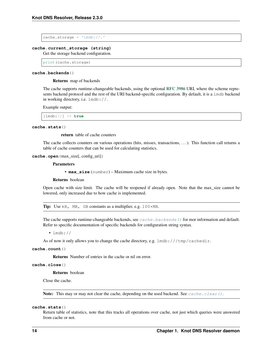$cache.\,storage = 'lmdb://.'$ 

#### **cache.current\_storage (string)**

Get the storage backend configuration.

print(cache.storage)

#### <span id="page-17-1"></span>**cache.backends**()

Returns map of backends

The cache supports runtime-changeable backends, using the optional [RFC 3986](https://tools.ietf.org/html/rfc3986.html) URI, where the scheme represents backend protocol and the rest of the URI backend-specific configuration. By default, it is a lmdb backend in working directory, i.e. lmdb://.

Example output:

[lmdb://] => **true**

#### **cache.stats**()

return table of cache counters

The cache collects counters on various operations (hits, misses, transactions, . . . ). This function call returns a table of cache counters that can be used for calculating statistics.

#### <span id="page-17-0"></span>**cache.open**(max\_size[, config\_uri])

#### **Parameters**

• **max\_size** (number) – Maximum cache size in bytes.

Returns boolean

Open cache with size limit. The cache will be reopened if already open. Note that the max\_size cannot be lowered, only increased due to how cache is implemented.

Tip: Use kB, MB, GB constants as a multiplier, e.g. 100\*MB.

The cache supports runtime-changeable backends, see  $cache$ .  $backs$  () for mor information and default. Refer to specific documentation of specific backends for configuration string syntax.

 $\cdot$  lmdb://

As of now it only allows you to change the cache directory, e.g.  $1 \text{mdb}: // / \text{tmp}/\text{cachedir}.$ 

#### **cache.count**()

Returns Number of entries in the cache or nil on error.

#### **cache.close**()

Returns boolean

Close the cache.

**Note:** This may or may not clear the cache, depending on the used backend. See [cache.clear\(\)](#page-19-0).

#### **cache.stats**()

Return table of statistics, note that this tracks all operations over cache, not just which queries were answered from cache or not.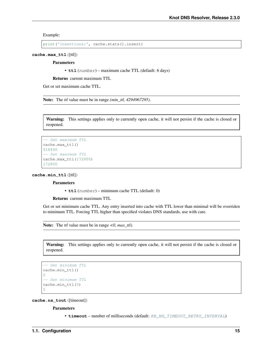Example:

```
print('Insertions:', cache.stats().insert)
```
**cache.max\_ttl**([ttl])

Parameters

• **ttl** (number) – maximum cache TTL (default: 6 days)

Returns current maximum TTL

Get or set maximum cache TTL.

Note: The *ttl* value must be in range *(min\_ttl, 4294967295)*.

Warning: This settings applies only to currently open cache, it will not persist if the cache is closed or reopened.

```
-- Get maximum TTL
cache.max_ttl()
518400
-- Set maximum TTL
cache.max_ttl(172800)
172800
```
**cache.min\_ttl**([ttl])

Parameters

• **ttl** (number) – minimum cache TTL (default: 0)

Returns current maximum TTL

Get or set minimum cache TTL. Any entry inserted into cache with TTL lower than minimal will be overriden to minimum TTL. Forcing TTL higher than specified violates DNS standards, use with care.

Note: The *ttl* value must be in range *<0, max\_ttl)*.

Warning: This settings applies only to currently open cache, it will not persist if the cache is closed or reopened.

```
-- Get minimum TTL
cache.min_ttl()
0
-- Set minimum TTL
cache.min_ttl(5)
5
```
#### **cache.ns\_tout**([timeout])

**Parameters** 

• **timeout** – number of milliseconds (default: [KR\\_NS\\_TIMEOUT\\_RETRY\\_INTERVAL](#page-79-0))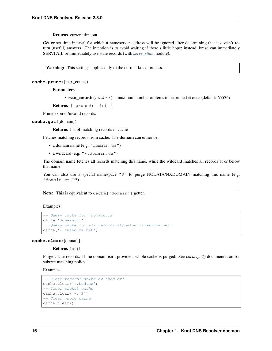#### Returns current timeout

Get or set time interval for which a nameserver address will be ignored after determining that it doesn't return (useful) answers. The intention is to avoid waiting if there's little hope; instead, kresd can immediately SERVFAIL or immediately use stale records (with *[serve\\_stale](#page-53-0)* module).

Warning: This settings applies only to the current kresd process.

**cache.prune**([max\_count])

**Parameters** 

• **max\_count** (number) – maximum number of items to be pruned at once (default: 65536)

```
Returns { pruned: int }
```
Prune expired/invalid records.

**cache.get**([domain])

Returns list of matching records in cache

Fetches matching records from cache. The domain can either be:

- a domain name (e.g. "domain.cz")
- a wildcard (e.g. "\*.domain.cz")

The domain name fetches all records matching this name, while the wildcard matches all records at or below that name.

You can also use a special namespace "P" to purge NODATA/NXDOMAIN matching this name (e.g. "domain.cz P").

Note: This is equivalent to cache ['domain'] getter.

Examples:

```
-- Query cache for 'domain.cz'
cache['domain.cz']
-- Query cache for all records at/below 'insecure.net'
cache['*.insecure.net']
```
<span id="page-19-0"></span>**cache.clear**([domain])

Returns bool

Purge cache records. If the domain isn't provided, whole cache is purged. See *cache.get()* documentation for subtree matching policy.

Examples:

```
-- Clear records at/below 'bad.cz'
cache.clear('*.bad.cz')
-- Clear packet cache
cache.clear('*. P')
-- Clear whole cache
cache.clear()
```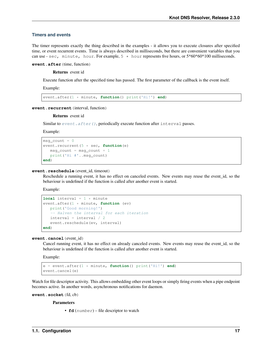### <span id="page-20-0"></span>**Timers and events**

The timer represents exactly the thing described in the examples - it allows you to execute closures after specified time, or event recurrent events. Time is always described in milliseconds, but there are convenient variables that you can use - sec, minute, hour. For example,  $5 \star$  hour represents five hours, or  $5*60*60*100$  milliseconds.

<span id="page-20-3"></span>**event.after**(time, function)

Returns event id

Execute function after the specified time has passed. The first parameter of the callback is the event itself.

Example:

event.after(1 \* minute, **function**() print('Hi!') **end**)

<span id="page-20-1"></span>event.recurrent (interval, function)

#### Returns event id

Similar to [event.after\(\)](#page-20-3), periodically execute function after interval passes.

Example:

```
msg\_count = 0event.recurrent(5 * sec, function(e)
  msg\_count = msg\_count + 1print('Hi #'..msg_count)
end)
```
#### **event.reschedule**(event\_id, timeout)

Reschedule a running event, it has no effect on canceled events. New events may reuse the event id, so the behaviour is undefined if the function is called after another event is started.

Example:

```
local interval = 1 * minute
event.after(1 * minute, function (ev)
  print('Good morning!')
   -- Halven the interval for each iteration
  interval = interval / 2event.reschedule(ev, interval)
end)
```
#### **event.cancel**(event\_id)

Cancel running event, it has no effect on already canceled events. New events may reuse the event\_id, so the behaviour is undefined if the function is called after another event is started.

Example:

```
e = event.after(1 * minute, function() print('Hi!') end)
event.cancel(e)
```
Watch for file descriptor activity. This allows embedding other event loops or simply firing events when a pipe endpoint becomes active. In another words, asynchronous notifications for daemon.

<span id="page-20-2"></span>**event.socket**(fd, cb)

**Parameters** 

• **fd** (number) – file descriptor to watch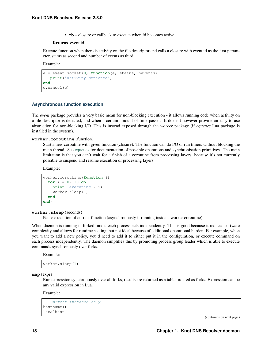• **cb** – closure or callback to execute when fd becomes active

#### Returns event id

Execute function when there is activity on the file descriptor and calls a closure with event id as the first parameter, status as second and number of events as third.

Example:

```
e = event.socket(0, function(e, status, nevents)
   print('activity detected')
end)
e.cancel(e)
```
#### <span id="page-21-0"></span>**Asynchronous function execution**

The *event* package provides a very basic mean for non-blocking execution - it allows running code when activity on a file descriptor is detected, and when a certain amount of time passes. It doesn't however provide an easy to use abstraction for non-blocking I/O. This is instead exposed through the *worker* package (if *cqueues* Lua package is installed in the system).

#### <span id="page-21-1"></span>**worker.coroutine**(function)

Start a new coroutine with given function (closure). The function can do I/O or run timers without blocking the main thread. See [cqueues](https://25thandclement.com/~william/projects/cqueues.html) for documentation of possible operations and synchronisation primitives. The main limitation is that you can't wait for a finish of a coroutine from processing layers, because it's not currently possible to suspend and resume execution of processing layers.

Example:

```
worker.coroutine(function ()
  for i = 0, 10 do
    print('executing', i)
    worker.sleep(1)
  end
end)
```
#### **worker.sleep**(seconds)

Pause execution of current function (asynchronously if running inside a worker coroutine).

When daemon is running in forked mode, each process acts independently. This is good because it reduces software complexity and allows for runtime scaling, but not ideal because of additional operational burden. For example, when you want to add a new policy, you'd need to add it to either put it in the configuration, or execute command on each process independently. The daemon simplifies this by promoting process group leader which is able to execute commands synchronously over forks.

Example:

```
worker.sleep(1)
```

```
map(expr)
```
Run expression synchronously over all forks, results are returned as a table ordered as forks. Expression can be any valid expression in Lua.

#### Example:

```
-- Current instance only
hostname()
localhost
```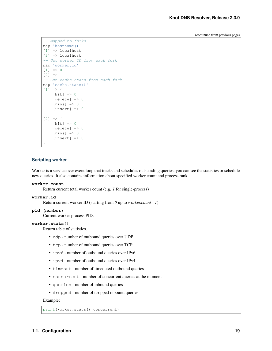```
-- Mapped to forks
map 'hostname()'
[1] => localhost
[2] => localhost
-- Get worker ID from each fork
map 'worker.id'
[1] => 0
[2] => 1
-- Get cache stats from each fork
map 'cache.stats()'
[1] => {
    [hit] \Rightarrow 0
    [delete] => 0
    [miss] \Rightarrow 0[insert] => 0
}
[2] => {
    [hit] => 0
    [delete] => 0
    [miss] \Rightarrow 0[insert] => 0
}
```
### <span id="page-22-0"></span>**Scripting worker**

Worker is a service over event loop that tracks and schedules outstanding queries, you can see the statistics or schedule new queries. It also contains information about specified worker count and process rank.

#### **worker.count**

Return current total worker count (e.g. *1* for single-process)

#### **worker.id**

Return current worker ID (starting from *0* up to *worker.count - 1*)

#### **pid (number)**

Current worker process PID.

#### **worker.stats**()

Return table of statistics.

- udp number of outbound queries over UDP
- tcp number of outbound queries over TCP
- ipv6 number of outbound queries over IPv6
- ipv4 number of outbound queries over IPv4
- timeout number of timeouted outbound queries
- concurrent number of concurrent queries at the moment
- queries number of inbound queries
- dropped number of dropped inbound queries

#### Example:

print(worker.stats().concurrent)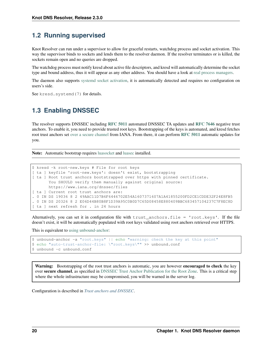# <span id="page-23-0"></span>**1.2 Running supervised**

Knot Resolver can run under a supervisor to allow for graceful restarts, watchdog process and socket activation. This way the supervisor binds to sockets and lends them to the resolver daemon. If the resolver terminates or is killed, the sockets remain open and no queries are dropped.

The watchdog process must notify kresd about active file descriptors, and kresd will automatically determine the socket type and bound address, thus it will appear as any other address. You should have a look at [real process managers.](http://blog.crocodoc.com/post/48703468992/process-managers-the-good-the-bad-and-the-ugly)

The daemon also supports [systemd socket activation,](http://0pointer.de/blog/projects/socket-activation.html) it is automatically detected and requires no configuration on users's side.

See kresd.systemd(7) for details.

# <span id="page-23-1"></span>**1.3 Enabling DNSSEC**

The resolver supports DNSSEC including [RFC 5011](https://tools.ietf.org/html/rfc5011.html) automated DNSSEC TA updates and [RFC 7646](https://tools.ietf.org/html/rfc7646.html) negative trust anchors. To enable it, you need to provide trusted root keys. Bootstrapping of the keys is automated, and kresd fetches root trust anchors set [over a secure channel](http://jpmens.net/2015/01/21/opendnssec-rfc-5011-bind-and-unbound/) from IANA. From there, it can perform [RFC 5011](https://tools.ietf.org/html/rfc5011.html) automatic updates for you.

Note: Automatic bootstrap requires [luasocket](https://luarocks.org/modules/luarocks/luasocket) and [luasec](https://luarocks.org/modules/brunoos/luasec) installed.

```
$ kresd -k root-new.keys # File for root keys
[ ta ] keyfile 'root-new.keys': doesn't exist, bootstrapping
[ ta ] Root trust anchors bootstrapped over https with pinned certificate.
      You SHOULD verify them manually against original source:
      https://www.iana.org/dnssec/files
[ ta ] Current root trust anchors are:
. 0 IN DS 19036 8 2 49AAC11D7B6F6446702E54A1607371607A1A41855200FD2CE1CDDE32F24E8FB5
. 0 IN DS 20326 8 2 E06D44B80B8F1D39A95C0B0D7C65D08458E880409BBC683457104237C7F8EC8D
[ ta ] next refresh for . in 24 hours
```
Alternatively, you can set it in configuration file with trust\_anchors.file = 'root.keys'. If the file doesn't exist, it will be automatically populated with root keys validated using root anchors retrieved over HTTPS.

This is equivalent to [using unbound-anchor:](https://www.unbound.net/documentation/howto_anchor.html)

```
$ unbound-anchor -a "root.keys" || echo "warning: check the key at this point"
$ echo "auto-trust-anchor-file: \"root.keys\"" >> unbound.conf
$ unbound -c unbound.conf
```
Warning: Bootstrapping of the root trust anchors is automatic, you are however encouraged to check the key over secure channel, as specified in [DNSSEC Trust Anchor Publication for the Root Zone.](https://data.iana.org/root-anchors/draft-icann-dnssec-trust-anchor.html#sigs) This is a critical step where the whole infrastructure may be compromised, you will be warned in the server log.

Configuration is described in *[Trust anchors and DNSSEC](#page-14-0)*.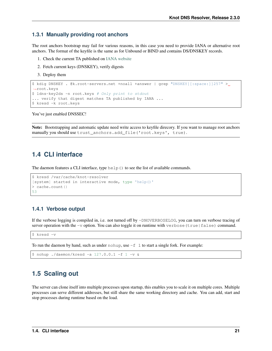### **1.3.1 Manually providing root anchors**

The root anchors bootstrap may fail for various reasons, in this case you need to provide IANA or alternative root anchors. The format of the keyfile is the same as for Unbound or BIND and contains DS/DNSKEY records.

- 1. Check the current TA published on [IANA website](https://data.iana.org/root-anchors/root-anchors.xml)
- 2. Fetch current keys (DNSKEY), verify digests
- 3. Deploy them

```
$ kdig DNSKEY . @k.root-servers.net +noall +answer | grep "DNSKEY[[:space:]]257" >
˓→root.keys
$ ldns-key2ds -n root.keys # Only print to stdout
... verify that digest matches TA published by IANA ...
$ kresd -k root.keys
```
You've just enabled DNSSEC!

Note: Bootstrapping and automatic update need write access to keyfile direcory. If you want to manage root anchors manually you should use trust\_anchors.add\_file('root.keys', true).

# <span id="page-24-0"></span>**1.4 CLI interface**

The daemon features a CLI interface, type help () to see the list of available commands.

```
$ kresd /var/cache/knot-resolver
[system] started in interactive mode, type 'help()'
> cache.count()
53
```
## **1.4.1 Verbose output**

If the verbose logging is compiled in, i.e. not turned off by -DNOVERBOSELOG, you can turn on verbose tracing of server operation with the  $-v$  option. You can also toggle it on runtime with verbose (true | false) command.

\$ kresd -v

To run the daemon by hand, such as under nohup, use  $-f \sim 1$  to start a single fork. For example:

\$ nohup ./daemon/kresd -a 127.0.0.1 -f 1 -v &

# <span id="page-24-1"></span>**1.5 Scaling out**

The server can clone itself into multiple processes upon startup, this enables you to scale it on multiple cores. Multiple processes can serve different addresses, but still share the same working directory and cache. You can add, start and stop processes during runtime based on the load.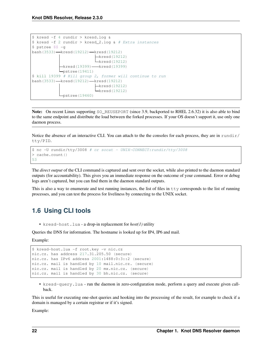```
$ kresd -f 4 rundir > kresd.log &
$ kresd -f 2 rundir > kresd_2.log & # Extra instances
$ pstree $$ -g
bash(3533) - kresd(19212) - kresd(19212)
                           -kresd(19212)Lkresd(19212)
            kresd(19399) - kresd(19399)
           Lpstree(19411)$ kill 19399 # Kill group 2, former will continue to run
bash(3533) - kresd(19212) - kresd(19212)
                           kresd(19212)
                           L<sub>kresd</sub>(19212)
            Lpstree(19460)
```
Note: On recent Linux supporting SO\_REUSEPORT (since 3.9, backported to RHEL 2.6.32) it is also able to bind to the same endpoint and distribute the load between the forked processes. If your OS doesn't support it, use only one daemon process.

Notice the absence of an interactive CLI. You can attach to the the consoles for each process, they are in rundir/ tty/PID.

```
$ nc -U rundir/tty/3008 # or socat - UNIX-CONNECT:rundir/tty/3008
> cache.count()
53
```
The *direct output* of the CLI command is captured and sent over the socket, while also printed to the daemon standard outputs (for accountability). This gives you an immediate response on the outcome of your command. Error or debug logs aren't captured, but you can find them in the daemon standard outputs.

This is also a way to enumerate and test running instances, the list of files in  $t \tau y$  corresponds to the list of running processes, and you can test the process for liveliness by connecting to the UNIX socket.

# <span id="page-25-0"></span>**1.6 Using CLI tools**

• kresd-host.lua - a drop-in replacement for *host(1)* utility

Queries the DNS for information. The hostname is looked up for IP4, IP6 and mail.

Example:

```
$ kresd-host.lua -f root.key -v nic.cz
nic.cz. has address 217.31.205.50 (secure)
nic.cz. has IPv6 address 2001:1488:0:3::2 (secure)
nic.cz. mail is handled by 10 mail.nic.cz. (secure)
nic.cz. mail is handled by 20 mx.nic.cz. (secure)
nic.cz. mail is handled by 30 bh.nic.cz. (secure)
```
• kresd-query.lua - run the daemon in zero-configuration mode, perform a query and execute given callback.

This is useful for executing one-shot queries and hooking into the processing of the result, for example to check if a domain is managed by a certain registrar or if it's signed.

Example: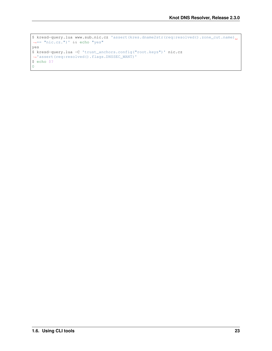```
$ kresd-query.lua www.sub.nic.cz 'assert(kres.dname2str(req:resolved().zone_cut.name)
˓→== "nic.cz.")' && echo "yes"
yes
$ kresd-query.lua -C 'trust_anchors.config("root.keys")' nic.cz
˓→'assert(req:resolved().flags.DNSSEC_WANT)'
$ echo $?
0
```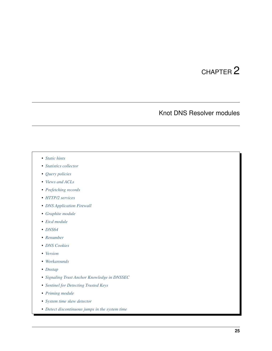# CHAPTER 2

# Knot DNS Resolver modules

- <span id="page-28-0"></span>• *[Static hints](#page-29-0)*
- *[Statistics collector](#page-31-0)*
- *[Query policies](#page-33-0)*
- *[Views and ACLs](#page-37-0)*
- *[Prefetching records](#page-38-0)*
- *[HTTP/2 services](#page-39-0)*
- *[DNS Application Firewall](#page-44-0)*
- *[Graphite module](#page-46-0)*
- *[Etcd module](#page-47-0)*
- *[DNS64](#page-48-0)*
- *[Renumber](#page-48-1)*
- *[DNS Cookies](#page-49-0)*
- *[Version](#page-50-0)*
- *[Workarounds](#page-50-1)*
- *[Dnstap](#page-50-2)*
- *[Signaling Trust Anchor Knowledge in DNSSEC](#page-51-0)*
- *[Sentinel for Detecting Trusted Keys](#page-51-1)*
- *[Priming module](#page-51-2)*
- *[System time skew detector](#page-51-3)*
- *[Detect discontinuous jumps in the system time](#page-52-0)*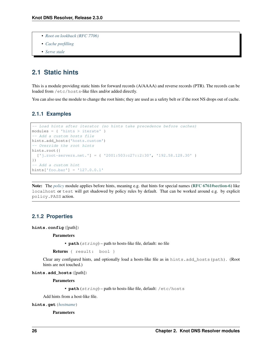- *[Root on lookback \(RFC 7706\)](#page-52-1)*
- *[Cache prefilling](#page-52-2)*
- *[Serve stale](#page-53-0)*

# <span id="page-29-0"></span>**2.1 Static hints**

This is a module providing static hints for forward records (A/AAAA) and reverse records (PTR). The records can be loaded from /etc/hosts-like files and/or added directly.

You can also use the module to change the root hints; they are used as a safety belt or if the root NS drops out of cache.

## **2.1.1 Examples**

```
-- Load hints after iterator (so hints take precedence before caches)
modules = { 'hints > iterate' }-- Add a custom hosts file
hints.add_hosts('hosts.custom')
-- Override the root hints
hints.root({
 ['j.root-servers.net.'] = { '2001:503:c27::2:30', '192.58.128.30' }
})
-- Add a custom hint
hints['foo.bar'] = '127.0.0.1'
```
Note: The *[policy](#page-33-0)* module applies before hints, meaning e.g. that hints for special names ([RFC 6761#section-6](https://tools.ietf.org/html/rfc6761.html#section-6)) like localhost or test will get shadowed by policy rules by default. That can be worked around e.g. by explicit policy.PASS action.

# **2.1.2 Properties**

**hints.config**([path])

**Parameters** 

• **path** (string) – path to hosts-like file, default: no file

Returns { result: bool }

Clear any configured hints, and optionally load a hosts-like file as in hints.add\_hosts(path). (Root hints are not touched.)

**hints.add\_hosts**([path])

Parameters

• **path** (string) – path to hosts-like file, default: /etc/hosts

Add hints from a host-like file.

**hints.get**(*[hostname](#page-10-2)*)

Parameters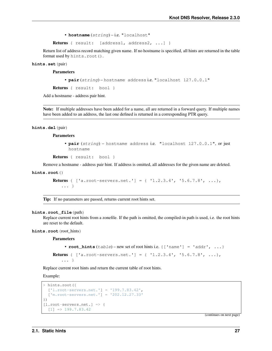• **hostname** (string) – i.e. "localhost"

Returns { result: [address1, address2, ...] }

Return list of address record matching given name. If no hostname is specified, all hints are returned in the table format used by hints.root().

**hints.set**(pair)

Parameters

• **pair** (string) – hostname address i.e. "localhost 127.0.0.1"

Returns { result: bool }

Add a hostname - address pair hint.

Note: If multiple addresses have been added for a name, all are returned in a forward query. If multiple names have been added to an address, the last one defined is returned in a corresponding PTR query.

**hints.del**(pair)

Parameters

• **pair** (string) – hostname address i.e. "localhost 127.0.0.1", or just hostname

```
Returns { result: bool }
```
Remove a hostname - address pair hint. If address is omitted, all addresses for the given name are deleted.

**hints.root**()

```
Returns { [ 'a.root-servers.net.' ] = { '1.2.3.4', '5.6.7.8', ... }... }
```
Tip: If no parameters are passed, returns current root hints set.

#### **hints.root\_file**(path)

Replace current root hints from a zonefile. If the path is omitted, the compiled-in path is used, i.e. the root hints are reset to the default.

**hints.root**(root\_hints)

Parameters

```
• root hints (table) – new set of root hints i.e. \{[}' name'] = 'addr', ...}
Returns { [\text{a root-} \text{ servers.net.}'] = \{ \text{1.2.3.4'}, \text{1.5.6.7.8'}, \dots \}
```
... }

Replace current root hints and return the current table of root hints.

Example:

```
> hints.root({
  ['l.root-servers.net.'] = '199.7.83.42',
  ['m.root-servers.net.'] = '202.12.27.33'
})
[l.root-servers.net.] => {
  [1] => 199.7.83.42
```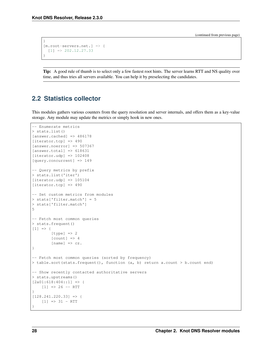```
}
[m.root-servers.net.] => {
 [1] => 202.12.27.33
}
```
Tip: A good rule of thumb is to select only a few fastest root hints. The server learns RTT and NS quality over time, and thus tries all servers available. You can help it by preselecting the candidates.

# <span id="page-31-0"></span>**2.2 Statistics collector**

This modules gathers various counters from the query resolution and server internals, and offers them as a key-value storage. Any module may update the metrics or simply hook in new ones.

```
-- Enumerate metrics
> stats.list()
[answer.cached] => 486178
[iterator.tcp] => 490
[answer.noerror] => 507367
[answer.total] => 618631
[terator.udy] => 102408
[query.concurrent] => 149
-- Query metrics by prefix
> stats.list('iter')
[iterator.udp] \Rightarrow 105104[iterator.tcp] => 490
-- Set custom metrics from modules
> stats['filter.match'] = 5
> stats['filter.match']
5
-- Fetch most common queries
> stats.frequent()
[1] \Rightarrow {
        [type] => 2
        [count] => 4
        [name] => cz.}
-- Fetch most common queries (sorted by frequency)
> table.sort(stats.frequent(), function (a, b) return a.count > b.count end)
-- Show recently contacted authoritative servers
> stats.upstreams()
[2a01:618:404::1] => {
    [1] => 26 -- RTT
}
[128.241.220.33] => {
    [1] => 31 - RTT
}
```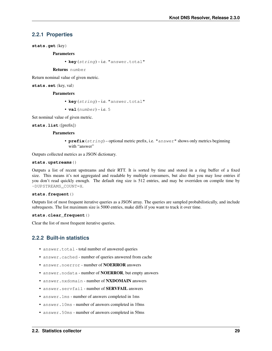### **2.2.1 Properties**

**stats.get**(key)

Parameters

• **key** (string) – i.e. "answer.total"

Returns number

Return nominal value of given metric.

**stats.set**(key, val)

#### **Parameters**

- **key** (string) i.e. "answer.total"
- $val(number) i.e. 5$

Set nominal value of given metric.

**stats.list**([prefix])

#### **Parameters**

• **prefix** (string) – optional metric prefix, i.e. "answer" shows only metrics beginning with "answer"

Outputs collected metrics as a JSON dictionary.

#### **stats.upstreams**()

Outputs a list of recent upstreams and their RTT. It is sorted by time and stored in a ring buffer of a fixed size. This means it's not aggregated and readable by multiple consumers, but also that you may lose entries if you don't read quickly enough. The default ring size is 512 entries, and may be overriden on compile time by -DUPSTREAMS\_COUNT=X.

#### **stats.frequent**()

Outputs list of most frequent iterative queries as a JSON array. The queries are sampled probabilistically, and include subrequests. The list maximum size is 5000 entries, make diffs if you want to track it over time.

#### **stats.clear\_frequent**()

Clear the list of most frequent iterative queries.

## **2.2.2 Built-in statistics**

- answer.total total number of answered queries
- answer.cached number of queries answered from cache
- answer.noerror number of **NOERROR** answers
- answer.nodata number of NOERROR, but empty answers
- answer.nxdomain number of NXDOMAIN answers
- answer.servfail number of **SERVFAIL** answers
- answer.1ms number of answers completed in 1ms
- answer.10ms number of answers completed in 10ms
- answer.50ms number of answers completed in 50ms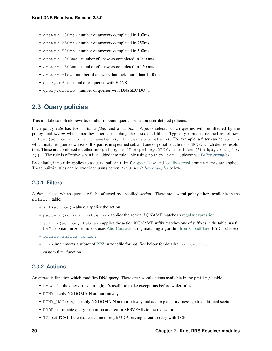- answer.100ms number of answers completed in 100ms
- answer.250ms number of answers completed in 250ms
- answer.500ms number of answers completed in 500ms
- answer.1000ms number of answers completed in 1000ms
- answer.1500ms number of answers completed in 1500ms
- answer.slow number of answers that took more than 1500ms
- query.edns number of queries with EDNS
- query.dnssec number of queries with DNSSEC DO=1

# <span id="page-33-0"></span>**2.3 Query policies**

This module can block, rewrite, or alter inbound queries based on user-defined policies.

Each policy *rule* has two parts: a *filter* and an *action*. A *filter* selects which queries will be affected by the policy, and *action* which modifies queries matching the associated filter. Typically a rule is defined as follows: filter(action(action parameters), filter parameters). For example, a filter can be suffix which matches queries whose suffix part is in specified set, and one of possible actions is DENY, which denies resolution. These are combined together into policy.suffix(policy.DENY, {todname('badguy.example. ')}). The rule is effective when it is added into rule table using policy.add(), please see *[Policy examples](#page-35-0)*.

By default, if no rule applies to a query, built-in rules for [special-use](https://www.iana.org/assignments/special-use-domain-names/special-use-domain-names.xhtml) and [locally-served](http://www.iana.org/assignments/locally-served-dns-zone) domain names are applied. These built-in rules can be overriden using action PASS, see *[Policy examples](#page-35-0)* below.

### **2.3.1 Filters**

A *filter* selects which queries will be affected by specified *action*. There are several policy filters available in the policy. table:

- all(action) always applies the action
- pattern (action, pattern) applies the action if ONAME matches a [regular expression](http://lua-users.org/wiki/PatternsTutorial)
- suffix (action, table) applies the action if ONAME suffix matches one of suffixes in the table (useful for "is domain in zone" rules), uses [Aho-Corasick](https://en.wikipedia.org/wiki/Aho%E2%80%93Corasick_string_matching_algorithm) string matching algorithm [from CloudFlare](https://github.com/cloudflare/lua-aho-corasick) (BSD 3-clause)
- [policy.suffix\\_common](#page-36-0)
- $rpz$  implements a subset of [RPZ](https://dnsrpz.info/) in zonefile format. See below for details:  $policy, rpz$ .
- custom filter function

### **2.3.2 Actions**

An *action* is function which modifies DNS query. There are several actions available in the policy. table:

- PASS let the query pass through; it's useful to make exceptions before wider rules
- DENY reply NXDOMAIN authoritatively
- DENY\_MSG(msg) reply NXDOMAIN authoritatively and add explanatory message to additional section
- DROP terminate query resolution and return SERVFAIL to the requestor
- TC set TC=1 if the request came through UDP, forcing client to retry with TCP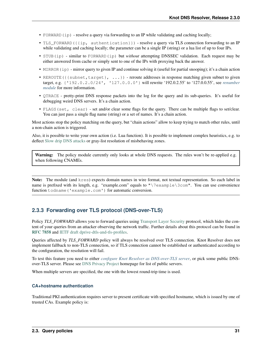- FORWARD (ip) resolve a query via forwarding to an IP while validating and caching locally;
- TLS\_FORWARD({{ip, authentication}}) resolve a query via TLS connection forwarding to an IP while validating and caching locally; the parameter can be a single IP (string) or a lua list of up to four IPs.
- STUB(ip) similar to FORWARD(ip) but *without* attempting DNSSEC validation. Each request may be either answered from cache or simply sent to one of the IPs with proxying back the answer.
- MIRROR(ip) mirror query to given IP and continue solving it (useful for partial snooping); it's a chain action
- REROUTE({{subnet,target}, ...}) reroute addresses in response matching given subnet to given target, e.g. {'192.0.2.0/24', '127.0.0.0'} will rewrite '192.0.2.55' to '127.0.0.55', see *[renumber](#page-48-1) [module](#page-48-1)* for more information.
- QTRACE pretty-print DNS response packets into the log for the query and its sub-queries. It's useful for debugging weird DNS servers. It's a chain action.
- FLAGS(set, clear) set and/or clear some flags for the query. There can be multiple flags to set/clear. You can just pass a single flag name (string) or a set of names. It's a chain action.

Most actions stop the policy matching on the query, but "chain actions" allow to keep trying to match other rules, until a non-chain action is triggered.

Also, it is possible to write your own action (i.e. Lua function). It is possible to implement complex heuristics, e.g. to deflect [Slow drip DNS attacks](https://secure64.com/water-torture-slow-drip-dns-ddos-attack) or gray-list resolution of misbehaving zones.

Warning: The policy module currently only looks at whole DNS requests. The rules won't be re-applied e.g. when following CNAMEs.

Note: The module (and kres) expects domain names in wire format, not textual representation. So each label in name is prefixed with its length, e.g. "example.com" equals to "\7example\3com". You can use convenience function todname('example.com') for automatic conversion.

# **2.3.3 Forwarding over TLS protocol (DNS-over-TLS)**

Policy *TLS\_FORWARD* allows you to forward queries using [Transport Layer Security](https://en.wikipedia.org/wiki/Transport_Layer_Security) protocol, which hides the content of your queries from an attacker observing the network traffic. Further details about this protocol can be found in [RFC 7858](https://tools.ietf.org/html/rfc7858.html) and [IETF draft dprive-dtls-and-tls-profiles.](https://tools.ietf.org/html/draft-ietf-dprive-dtls-and-tls-profiles)

Queries affected by *TLS\_FORWARD* policy will always be resolved over TLS connection. Knot Resolver does not implement fallback to non-TLS connection, so if TLS connection cannot be established or authenticated according to the configuration, the resolution will fail.

To test this feature you need to either *[configure Knot Resolver as DNS-over-TLS server](#page-14-1)*, or pick some public DNSover-TLS server. Please see [DNS Privacy Project](https://dnsprivacy.org/) homepage for list of public servers.

When multiple servers are specified, the one with the lowest round-trip time is used.

### **CA+hostname authentication**

Traditional PKI authentication requires server to present certificate with specified hostname, which is issued by one of trusted CAs. Example policy is: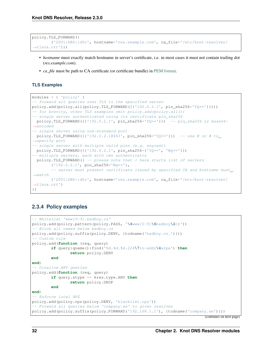```
policy.TLS_FORWARD({
        {'2001:DB8::d0c', hostname='res.example.com', ca_file='/etc/knot-resolver/
˓→tlsca.crt'}})
```
- *hostname* must exactly match hostname in server's certificate, i.e. in most cases it must not contain trailing dot (*res.example.com*).
- *ca\_file* must be path to CA certificate (or certificate bundle) in [PEM format.](https://en.wikipedia.org/wiki/Privacy-enhanced_Electronic_Mail)

### **TLS Examples**

```
modules = { 'policy' }-- forward all queries over TLS to the specified server
policy.add(policy.all(policy.TLS_FORWARD({{'192.0.2.1', pin_sha256='YQ=='}})))
-- for brevity, other TLS examples omit policy.add(policy.all())
-- single server authenticated using its certificate pin_sha256
 policy.TLS_FORWARD({{'192.0.2.1', pin_sha256='YQ=='}}) -- pin_sha256 is base64-
˓→encoded
 - single server using non-standard port
 policy.TLS_FORWARD({{'192.0.2.1@443', pin_sha256='YQ=='}}) -- use \theta or # to_
˓→specify port
-- single server with multiple valid pins (e.g. anycast)
policy.TLS_FORWARD({{'192.0.2.1', pin_sha256={'YQ==', 'Wg=='}})
-- multiple servers, each with own authenticator
 policy.TLS_FORWARD({ -- please note that { here starts list of servers
        {'192.0.2.1', pin_sha256='Wg=='},
        -- server must present certificate issued by specified CA and hostname must
\rightarrowmatch
        {'2001:DB8::d0c', hostname='res.example.com', ca_file='/etc/knot-resolver/
˓→tlsca.crt'}
})
```
# <span id="page-35-0"></span>**2.3.4 Policy examples**

```
-- Whitelist 'www[0-9].badboy.cz'
policy.add(policy.pattern(policy.PASS, '\4www[0-9]\6badboy\2cz'))
-- Block all names below badboy.cz
policy.add(policy.suffix(policy.DENY, {todname('badboy.cz.')}))
 - Custom rule
policy.add(function (req, query)
        if query:qname():find('%d.%d.%d.224\7in-addr\4arpa') then
                return policy.DENY
        end
end)
-- Disallow ANY queries
policy.add(function (req, query)
        if query.stype == kres.type.ANY then
                return policy.DROP
        end
end)
-- Enforce local RPZ
policy.add(policy.rpz(policy.DENY, 'blacklist.rpz'))
-- Forward all queries below 'company.se' to given resolver
policy.add(policy.suffix(policy.FORWARD('192.168.1.1'), {todname('company.se')}))
```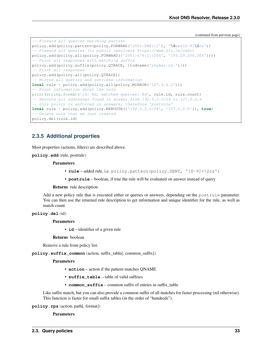(continued from previous page)

```
- Forward all queries matching pattern
policy.add(policy.pattern(policy.FORWARD('2001:DB8::1'), '\4bad[0-9]\2cz'))
-- Forward all queries (to public resolvers https://www.nic.cz/odvr)
policy.add(policy.all(policy.FORWARD({'2001:678:1::206', '193.29.206.206'})))
-- Print all responses with matching suffix
policy.add(policy.suffix(policy.QTRACE, {todname('rhybar.cz.')}))
 - Print all responses
policy.add(policy.all(policy.QTRACE))
 - Mirror all queries and retrieve information
local rule = policy.add(policy.all(policy.MIRROR('127.0.0.2')))
-- Print information about the rule
print(string.format('id: %d, matched queries: %d', rule.id, rule.count)
-- Reroute all addresses found in answer from 192.0.2.0/24 to 127.0.0.x
-- this policy is enforced on answers, therefore 'postrule'
local rule = policy.add(policy.REROUTE({'192.0.2.0/24', '127.0.0.0'}), true)
-- Delete rule that we just created
policy.del(rule.id)
```
### **2.3.5 Additional properties**

Most properties (actions, filters) are described above.

**policy.add**(rule, postrule)

#### Parameters

- **rule** added rule, i.e. policy.pattern(policy.DENY, '[0-9]+\2cz')
- **postrule** boolean, if true the rule will be evaluated on answer instead of query

#### Returns rule description

Add a new policy rule that is executed either or queries or answers, depending on the postrule parameter. You can then use the returned rule description to get information and unique identifier for the rule, as well as match count.

#### **policy.del**(id)

#### **Parameters**

• **id** – identifier of a given rule

#### Returns boolean

Remove a rule from policy list.

**policy.suffix\_common**(action, suffix\_table[, common\_suffix])

#### **Parameters**

- **action** action if the pattern matches QNAME
- **suffix\_table** table of valid suffixes
- **common\_suffix** common suffix of entries in suffix\_table

Like suffix match, but you can also provide a common suffix of all matches for faster processing (nil otherwise). This function is faster for small suffix tables (in the order of "hundreds").

#### **policy.rpz**(action, path[, format])

**Parameters**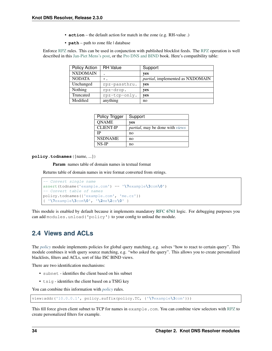- **action** the default action for match in the zone (e.g. RH-value *.*)
- **path** path to zone file | database

Enforce [RPZ](https://dnsrpz.info/) rules. This can be used in conjunction with published blocklist feeds. The [RPZ](https://dnsrpz.info/) operation is well described in this [Jan-Piet Mens's post,](http://jpmens.net/2011/04/26/how-to-configure-your-bind-resolvers-to-lie-using-response-policy-zones-rpz/) or the [Pro DNS and BIND](http://www.zytrax.com/books/dns/ch7/rpz.html) book. Here's compatibility table:

| Policy Action   | <b>RH</b> Value | Support                                  |
|-----------------|-----------------|------------------------------------------|
| <b>NXDOMAIN</b> | $\bullet$       | yes                                      |
| <b>NODATA</b>   | $\star$ .       | <i>partial</i> , implemented as NXDOMAIN |
| Unchanged       | rpz-passthru.   | yes                                      |
| Nothing         | $rpz-drop.$     | yes                                      |
| Truncated       | rpz-tcp-only.   | yes                                      |
| Modified        | anything        | no                                       |

| Policy Trigger   | Support                                        |
|------------------|------------------------------------------------|
| <b>ONAME</b>     | ves                                            |
| <b>CLIENT-IP</b> | <i>partial</i> , may be done with <i>views</i> |
| ΙP               | no                                             |
| <b>NSDNAME</b>   | no                                             |
| NS-IP            | no                                             |

**policy.todnames**({name, ...})

Param names table of domain names in textual format

Returns table of domain names in wire format converted from strings.

```
-- Convert single name
assert(todname('example.com') == '\7example\3com\0')
-- Convert table of names
policy.todnames({'example.com', 'me.cz'})
{ '\7example\3com\0', '\2me\2cz\0' }
```
This module is enabled by default because it implements mandatory [RFC 6761](https://tools.ietf.org/html/rfc6761.html) logic. For debugging purposes you can add modules.unload('policy') to your config to unload the module.

## <span id="page-37-0"></span>**2.4 Views and ACLs**

The *[policy](#page-33-0)* module implements policies for global query matching, e.g. solves "how to react to certain query". This module combines it with query source matching, e.g. "who asked the query". This allows you to create personalized blacklists, filters and ACLs, sort of like ISC BIND views.

There are two identification mechanisms:

- subnet identifies the client based on his subnet
- tsig identifies the client based on a TSIG key

You can combine this information with *[policy](#page-33-0)* rules.

view:addr('10.0.0.1', policy.suffix(policy.TC, {'**\7**example**\3**com'}))

This fill force given client subnet to TCP for names in example.com. You can combine view selectors with [RPZ](https://dnsrpz.info/) to create personalized filters for example.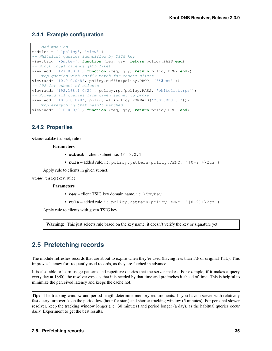### **2.4.1 Example configuration**

```
-- Load modules
modules = { 'policy', 'view' }
-- Whitelist queries identified by TSIG key
view:tsig('\5mykey', function (req, qry) return policy.PASS end)
-- Block local clients (ACL like)
view:addr('127.0.0.1', function (req, qry) return policy.DENY end))
-- Drop queries with suffix match for remote client
view:addr('10.0.0.0/8', policy.suffix(policy.DROP, {'\3xxx'}))
-- RPZ for subset of clients
view:addr('192.168.1.0/24', policy.rpz(policy.PASS, 'whitelist.rpz'))
-- Forward all queries from given subnet to proxy
view:addr('10.0.0.0/8', policy.all(policy.FORWARD('2001:DB8::1')))
-- Drop everything that hasn't matched
view:addr('0.0.0.0/0', function (req, qry) return policy.DROP end)
```
### **2.4.2 Properties**

**view:addr**(subnet, rule)

**Parameters** 

- **subnet** client subnet, i.e. 10.0.0.1
- **rule** added rule, i.e. policy.pattern(policy.DENY, '[0-9]+\2cz')

Apply rule to clients in given subnet.

#### **view:tsig**(key, rule)

**Parameters** 

- **key** client TSIG key domain name, i.e. \5mykey
- **rule** added rule, i.e. policy.pattern(policy.DENY, '[0-9]+\2cz')

Apply rule to clients with given TSIG key.

Warning: This just selects rule based on the key name, it doesn't verify the key or signature yet.

## **2.5 Prefetching records**

The module refreshes records that are about to expire when they're used (having less than 1% of original TTL). This improves latency for frequently used records, as they are fetched in advance.

It is also able to learn usage patterns and repetitive queries that the server makes. For example, if it makes a query every day at 18:00, the resolver expects that it is needed by that time and prefetches it ahead of time. This is helpful to minimize the perceived latency and keeps the cache hot.

Tip: The tracking window and period length determine memory requirements. If you have a server with relatively fast query turnover, keep the period low (hour for start) and shorter tracking window (5 minutes). For personal slower resolver, keep the tracking window longer (i.e. 30 minutes) and period longer (a day), as the habitual queries occur daily. Experiment to get the best results.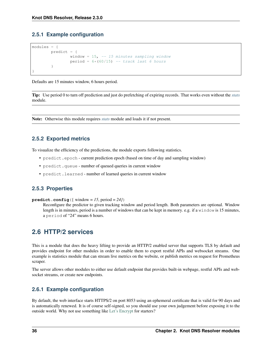### **2.5.1 Example configuration**

```
modules = {
        predict = {
                window = 15, -- 15 minutes sampling window
                period = 6*(60/15) -- track last 6 hours
        }
}
```
Defaults are 15 minutes window, 6 hours period.

Tip: Use period 0 to turn off prediction and just do prefetching of expiring records. That works even without the *[stats](#page-31-0)* module.

Note: Otherwise this module requires *[stats](#page-31-0)* module and loads it if not present.

### **2.5.2 Exported metrics**

To visualize the efficiency of the predictions, the module exports following statistics.

- predict.epoch current prediction epoch (based on time of day and sampling window)
- predict.queue number of queued queries in current window
- predict.learned number of learned queries in current window

### **2.5.3 Properties**

**predict.config**({ window =  $15$ , period =  $24$ })

Reconfigure the predictor to given tracking window and period length. Both parameters are optional. Window length is in minutes, period is a number of windows that can be kept in memory. e.g. if a window is 15 minutes, a period of "24" means 6 hours.

## <span id="page-39-0"></span>**2.6 HTTP/2 services**

This is a module that does the heavy lifting to provide an HTTP/2 enabled server that supports TLS by default and provides endpoint for other modules in order to enable them to export restful APIs and websocket streams. One example is statistics module that can stream live metrics on the website, or publish metrics on request for Prometheus scraper.

The server allows other modules to either use default endpoint that provides built-in webpage, restful APIs and websocket streams, or create new endpoints.

### **2.6.1 Example configuration**

By default, the web interface starts HTTPS/2 on port 8053 using an ephemeral certificate that is valid for 90 days and is automatically renewed. It is of course self-signed, so you should use your own judgement before exposing it to the outside world. Why not use something like [Let's Encrypt](https://letsencrypt.org) for starters?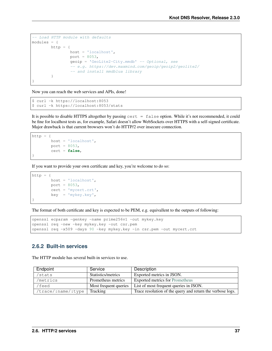```
-- Load HTTP module with defaults
modules = {
       http = {host = 'localhost',
                port = 8053,
                geoip = 'GeoLite2-City.mmdb' -- Optional, see
                -- e.g. https://dev.maxmind.com/geoip/geoip2/geolite2/
                -- and install mmdblua library
        }
}
```
Now you can reach the web services and APIs, done!

```
$ curl -k https://localhost:8053
$ curl -k https://localhost:8053/stats
```
It is possible to disable HTTPS altogether by passing cert = false option. While it's not recommended, it could be fine for localhost tests as, for example, Safari doesn't allow WebSockets over HTTPS with a self-signed certificate. Major drawback is that current browsers won't do HTTP/2 over insecure connection.

```
http = {host = 'localhost',
        port = 8053,
        cert = false,
}
```
If you want to provide your own certificate and key, you're welcome to do so:

```
http = {host = 'localhost',
        port = 8053,
        cert = 'mycert.crt',
        key = 'mykey.key',
}
```
The format of both certificate and key is expected to be PEM, e.g. equivallent to the outputs of following:

```
openssl ecparam -genkey -name prime256v1 -out mykey.key
openssl req -new -key mykey.key -out csr.pem
openssl req -x509 -days 90 -key mykey.key -in csr.pem -out mycert.crt
```
### **2.6.2 Built-in services**

The HTTP module has several built-in services to use.

| Endpoint           | Service               | Description                                                |
|--------------------|-----------------------|------------------------------------------------------------|
| stats'             | Statistics/metrics    | Exported metrics in JSON.                                  |
| /metrics           | Prometheus metrics    | <b>Exported metrics for Prometheus</b>                     |
| feed/              | Most frequent queries | List of most frequent queries in JSON.                     |
| /trace/:name/:type | Tracking              | Trace resolution of the query and return the verbose logs. |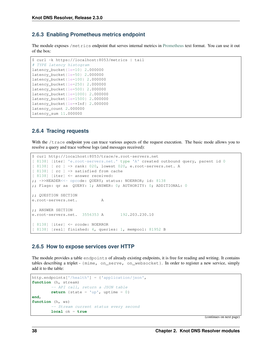### **2.6.3 Enabling Prometheus metrics endpoint**

The module exposes /metrics endpoint that serves internal metrics in [Prometheus](https://prometheus.io) text format. You can use it out of the box:

```
$ curl -k https://localhost:8053/metrics | tail
# TYPE latency histogram
latency_bucket{le=10} 2.000000
latency_bucket{le=50} 2.000000
latency_bucket{le=100} 2.000000
latency_bucket{le=250} 2.000000
latency_bucket{le=500} 2.000000
latency_bucket{le=1000} 2.000000
latency_bucket{le=1500} 2.000000
latency_bucket{le=+Inf} 2.000000
latency_count 2.000000
latency_sum 11.000000
```
### **2.6.4 Tracing requests**

With the /trace endpoint you can trace various aspects of the request execution. The basic mode allows you to resolve a query and trace verbose logs (and messages received):

```
$ curl http://localhost:8053/trace/e.root-servers.net
[ 8138] [iter] 'e.root-servers.net.' type 'A' created outbound query, parent id 0
[ 8138] [ rc ] => rank: 020, lowest 020, e.root-servers.net. A
[ 8138] [ rc ] => satisfied from cache
[ 8138] [iter] <= answer received:
;; ->>HEADER<<- opcode: QUERY; status: NOERROR; id: 8138
;; Flags: qr aa QUERY: 1; ANSWER: 0; AUTHORITY: 0; ADDITIONAL: 0
;; QUESTION SECTION
e.root-servers.net. A
;; ANSWER SECTION
e.root-servers.net. 3556353 A 192.203.230.10
[ 8138] [iter] <= rcode: NOERROR
[ 8138] [resl] finished: 4, queries: 1, mempool: 81952 B
```
### **2.6.5 How to expose services over HTTP**

The module provides a table endpoints of already existing endpoints, it is free for reading and writing. It contains tables describing a triplet - {mime, on\_serve, on\_websocket}. In order to register a new service, simply add it to the table:

```
http.endpoints['/health'] = {'application/json',
function (h, stream)
        -- API call, return a JSON table
        return {state = 'up', uptime = 0}
end,
function (h, ws)
        -- Stream current status every second
        local ok = true
```
(continues on next page)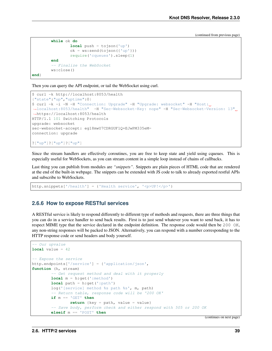(continued from previous page)

```
while ok do
                local push = tojson('up')
                ok = ws:send(tojson({'up'}))
                require('cqueues').sleep(1)
        end
        -- Finalize the WebSocket
        ws:close()
end}
```
Then you can query the API endpoint, or tail the WebSocket using curl.

```
$ curl -k http://localhost:8053/health
{"state":"up","uptime":0}
$ curl -k -i -N -H "Connection: Upgrade" -H "Upgrade: websocket" -H "Host:
˓→localhost:8053/health" -H "Sec-Websocket-Key: nope" -H "Sec-Websocket-Version: 13"
˓→https://localhost:8053/health
HTTP/1.1 101 Switching Protocols
upgrade: websocket
sec-websocket-accept: eg18mwU7CDRGUF1Q+EJwPM335eM=
connection: upgrade
?["up"]?["up"]?["up"]
```
Since the stream handlers are effectively coroutines, you are free to keep state and yield using cqueues. This is especially useful for WebSockets, as you can stream content in a simple loop instead of chains of callbacks.

Last thing you can publish from modules are *"snippets"*. Snippets are plain pieces of HTML code that are rendered at the end of the built-in webpage. The snippets can be extended with JS code to talk to already exported restful APIs and subscribe to WebSockets.

http.snippets['/health'] = {'Health service', '<p>UP!</p>'}

### **2.6.6 How to expose RESTful services**

A RESTful service is likely to respond differently to different type of methods and requests, there are three things that you can do in a service handler to send back results. First is to just send whatever you want to send back, it has to respect MIME type that the service declared in the endpoint definition. The response code would then be 200 OK, any non-string responses will be packed to JSON. Alternatively, you can respond with a number corresponding to the HTTP response code or send headers and body yourself.

```
-- Our upvalue
local value = 42
-- Expose the service
http.endpoints['/service'] = {'application/json',
function (h, stream)
        -- Get request method and deal with it properly
        local m = h:get(':method')
        local path = h:get(':path')
        log('[service] method %s path %s', m, path)
        -- Return table, response code will be '200 OK'
        if m == 'GET' then
                return \{key = path, value = value\}-- Save body, perform check and either respond with 505 or 200 OK
        elseif m == 'POST' then
```
(continues on next page)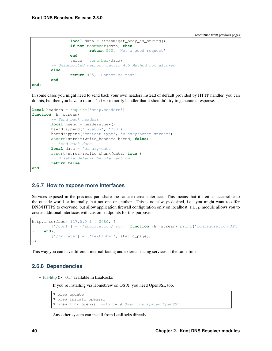(continued from previous page)

```
local data = stream:get_body_as_string()
                if not tonumber(data) then
                        return 500, 'Not a good request'
                end
                value = tonumber(data)
        -- Unsupported method, return 405 Method not allowed
        else
                return 405, 'Cannot do that'
        end
end}
```
In some cases you might need to send back your own headers instead of default provided by HTTP handler, you can do this, but then you have to return false to notify handler that it shouldn't try to generate a response.

```
local headers = require('http.headers')
function (h, stream)
        -- Send back headers
        local hsend = headers.new()
        hsend:append(':status', '200')
        hsend:append('content-type', 'binary/octet-stream')
        assert(stream:write_headers(hsend, false))
        -- Send back data
        local data = 'binary-data'
        assert(stream:write_chunk(data, true))
        -- Disable default handler action
        return false
end
```
### **2.6.7 How to expose more interfaces**

Services exposed in the previous part share the same external interface. This means that it's either accessible to the outside world or internally, but not one or another. This is not always desired, i.e. you might want to offer DNS/HTTPS to everyone, but allow application firewall configuration only on localhost. http module allows you to create additional interfaces with custom endpoints for this purpose.

```
http.interface('127.0.0.1', 8080, {
        ['/conf'] = {'application/json', function (h, stream) print('configuration API
˓→') end},
        ['/private'] = {'text/html', static_page},
})
```
This way you can have different internal-facing and external-facing services at the same time.

### **2.6.8 Dependencies**

• [lua-http](https://github.com/daurnimator/lua-http)  $(>= 0.1)$  available in LuaRocks

If you're installing via Homebrew on OS X, you need OpenSSL too.

```
$ brew update
$ brew install openssl
$ brew link openssl --force # Override system OpenSSL
```
Any other system can install from LuaRocks directly: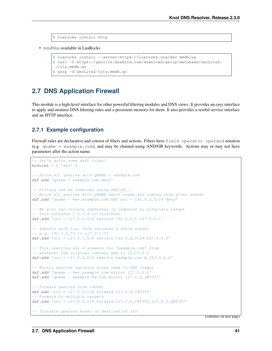```
$ luarocks install http
```
• [mmdblua](https://github.com/daurnimator/mmdblua) available in LuaRocks

```
$ luarocks install --server=https://luarocks.org/dev mmdblua
$ curl -O https://geolite.maxmind.com/download/geoip/database/GeoLite2-
˓→City.mmdb.gz
$ gzip -d GeoLite2-City.mmdb.gz
```
## **2.7 DNS Application Firewall**

This module is a high-level interface for other powerful filtering modules and DNS views. It provides an easy interface to apply and monitor DNS filtering rules and a persistent memory for them. It also provides a restful service interface and an HTTP interface.

### **2.7.1 Example configuration**

Firewall rules are declarative and consist of filters and actions. Filters have field operator operand notation (e.g. qname = example.com), and may be chained using AND/OR keywords. Actions may or may not have parameters after the action name.

```
-- Let's write some daft rules!
modules = \{ 'daf' \}-- Block all queries with QNAME = example.com
daf.add 'qname = example.com deny'
-- Filters can be combined using AND/OR...
-- Block all queries with QNAME match regex and coming from given subnet
daf.add 'qname ~ %w+.example.com AND src = 192.0.2.0/24 deny'
-- We also can reroute addresses in response to alternate target
-- This reroutes 1.2.3.4 to localhost
daf.add 'src = 127.0.0.0/8 reroute 192.0.2.1-127.0.0.1'
-- Subnets work too, this reroutes a whole subnet
-- e. q. 192.0.2.55 to 127.0.0.55daf.add 'src = 127.0.0.0/8 reroute 192.0.2.0/24-127.0.0.0'
 -- This rewrites all A answers for 'example.com' from
-- whatever the original address was to 127.0.0.2
daf.add 'src = 127.0.0.0/8 rewrite example.com A 127.0.0.2'
-- Mirror queries matching given name to DNS logger
daf.add 'qname ~ %w+.example.com mirror 127.0.0.2'
daf.add 'qname ~ example-%d.com mirror 127.0.0.3@5353'
-- Forward queries from subnet
daf.add 'src = 127.0.0.1/8 forward 127.0.0.1@5353'
-- Forward to multiple targets
daf.add 'src = 127.0.0.1/8 forward 127.0.0.1@5353,127.0.0.2@5353'
-- Truncate queries based on destination IPs
```
(continues on next page)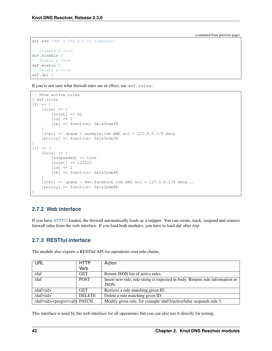(continued from previous page)

```
daf.add 'dst = 192.0.2.51 truncate'
-- Disable a rule
daf.disable 2
-- Enable a rule
daf.enable 2
-- Delete a rule
daf.del 2
```
If you're not sure what firewall rules are in effect, see daf.rules:

```
-- Show active rules
> daf.rules
[1] => {
    [rule] \Rightarrow[count] \Rightarrow 42[id] \Rightarrow 1[cb] => function: 0x1a3eda38
    }
    [info] => qname = example.com AND src = 127.0.0.1/8 deny
    [policy] => function: 0x1a3eda38
}
[2] => {
    [rule] \Rightarrow[suspended] => true
         [count] => 123522
         \lceil id \rceil => 2
         [cb] => function: 0x1a3ede88
    }
    [info] => qname ~ \text{w+}.facebook.com AND src = 127.0.0.1/8 deny...
    [policy] => function: 0x1a3ede88
}
```
## **2.7.2 Web interface**

If you have *[HTTP/2](#page-39-0)* loaded, the firewall automatically loads as a snippet. You can create, track, suspend and remove firewall rules from the web interface. If you load both modules, you have to load *daf* after *http*.

## **2.7.3 RESTful interface**

The module also exports a RESTful API for operations over rule chains.

| URL                                             | <b>HTTP</b>   | Action                                                                        |
|-------------------------------------------------|---------------|-------------------------------------------------------------------------------|
|                                                 | Verb          |                                                                               |
| $\frac{\text{daf}}{\text{a}}$                   | <b>GET</b>    | Return JSON list of active rules.                                             |
| /daf                                            | <b>POST</b>   | Insert new rule, rule string is expected in body. Returns rule information in |
|                                                 |               | JSON.                                                                         |
| $\frac{daf}{\text{id}}$                         | <b>GET</b>    | Retrieve a rule matching given ID.                                            |
| $\frac{daf}{\text{id}}$                         | <b>DELETE</b> | Delete a rule matching given ID.                                              |
| /daf/ <id>/<prop>/<val> PATCH</val></prop></id> |               | Modify given rule, for example /daf/3/active/false suspends rule 3.           |

This interface is used by the web interface for all operations, but you can also use it directly for testing.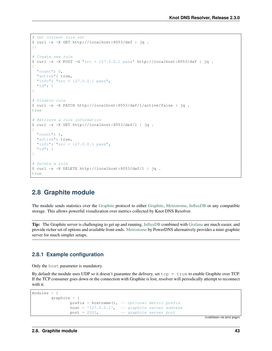```
# Get current rule set
$ curl -s -X GET http://localhost:8053/daf | jq .
{}
# Create new rule
$curl -s -X POST -d "src = 127.0.0.1 pass " http://localhost:8053/daf | jq.{
  "count": 0,
  "active": true,
  "info": "src = 127.0.0.1 pass",
  "id": 1
}
# Disable rule
$ curl -s -X PATCH http://localhost:8053/daf/1/active/false | jq .
true
# Retrieve a rule information
$ curl -s -X GET http://localhost:8053/daf/1 | jq .
{
  "count": 4,
 "active": true,
 "info": "src = 127.0.0.1 pass",
  "id": 1
}
# Delete a rule
$ curl -s -X DELETE http://localhost:8053/daf/1 | jq .
true
```
## **2.8 Graphite module**

The module sends statistics over the [Graphite](https://graphite.readthedocs.io/en/latest/feeding-carbon.html) protocol to either [Graphite,](https://graphite.readthedocs.io/en/latest/feeding-carbon.html) [Metronome,](https://github.com/ahuPowerDNS/metronome) [InfluxDB](https://influxdb.com/) or any compatible storage. This allows powerful visualization over metrics collected by Knot DNS Resolver.

Tip: The Graphite server is challenging to get up and running, [InfluxDB](https://influxdb.com/) combined with [Grafana](http://grafana.org/) are much easier, and provide richer set of options and available front-ends. [Metronome](https://github.com/ahuPowerDNS/metronome) by PowerDNS alternatively provides a mini-graphite server for much simpler setups.

### **2.8.1 Example configuration**

Only the host parameter is mandatory.

By default the module uses UDP so it doesn't guarantee the delivery, set  $top = true$  to enable Graphite over TCP. If the TCP consumer goes down or the connection with Graphite is lost, resolver will periodically attempt to reconnect with it.

```
modules = {
       graphite = {
               prefix = hostname(), - optional metric prefix
               host = '127.0.0.1', -- graphite server address
               port = 2003, -- graphite server port
```
(continues on next page)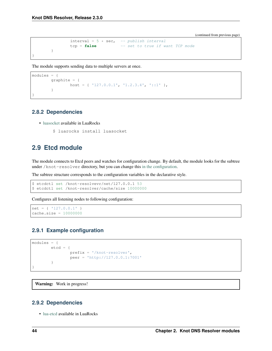(continued from previous page)

```
interval = 5 * sec, -- publish interval<br>tcp = false -- set to true if w
                                          -- set to true if want TCP mode
}
```
The module supports sending data to multiple servers at once.

```
modules = {graphite = {
               host = { '127.0.0.1', '1.2.3.4', '::1' },
        }
}
```
### **2.8.2 Dependencies**

}

- [luasocket](http://w3.impa.br/~diego/software/luasocket/) available in LuaRocks
	- \$ luarocks install luasocket

## **2.9 Etcd module**

The module connects to Etcd peers and watches for configuration change. By default, the module looks for the subtree under /knot-resolver directory, but you can change this [in the configuration.](https://github.com/mah0x211/lua-etcd#cli-err--etcdnew-optiontable-)

The subtree structure corresponds to the configuration variables in the declarative style.

```
$ etcdctl set /knot-resolvevr/net/127.0.0.1 53
$ etcdctl set /knot-resolver/cache/size 10000000
```
Configures all listening nodes to following configuration:

```
net = { 127.0.0.1' }cache.size = 10000000
```
### **2.9.1 Example configuration**

```
modules = {etcd = {
               prefix = '/knot-resolver',
                peer = 'http://127.0.0.1:7001'
        }
}
```
Warning: Work in progress!

### **2.9.2 Dependencies**

• [lua-etcd](https://github.com/mah0x211/lua-etcd) available in LuaRocks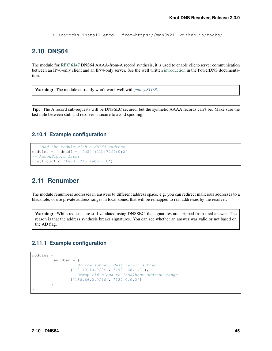\$ luarocks install etcd --from=https://mah0x211.github.io/rocks/

## **2.10 DNS64**

The module for [RFC 6147](https://tools.ietf.org/html/rfc6147.html) DNS64 AAAA-from-A record synthesis, it is used to enable client-server communication between an IPv6-only client and an IPv4-only server. See the well written [introduction](https://doc.powerdns.com/md/recursor/dns64) in the PowerDNS documentation.

Warning: The module currently won't work well with *[policy.STUB](#page-33-0)*.

Tip: The A record sub-requests will be DNSSEC secured, but the synthetic AAAA records can't be. Make sure the last mile between stub and resolver is secure to avoid spoofing.

### **2.10.1 Example configuration**

```
-- Load the module with a NAT64 address
modules = { \text{Ans } 64 = 'f \in 80::21b:77ff:0:0' }-- Reconfigure later
dns64.config('fe80::21b:aabb:0:0')
```
## **2.11 Renumber**

The module renumbers addresses in answers to different address space. e.g. you can redirect malicious addresses to a blackhole, or use private address ranges in local zones, that will be remapped to real addresses by the resolver.

Warning: While requests are still validated using DNSSEC, the signatures are stripped from final answer. The reason is that the address synthesis breaks signatures. You can see whether an answer was valid or not based on the AD flag.

### **2.11.1 Example configuration**

```
modules = {
        renumber = {
                -- Source subnet, destination subnet
                {'10.10.10.0/24', '192.168.1.0'},
                -- Remap /16 block to localhost address range
                {'166.66.0.0/16', '127.0.0.0'}
        }
}
```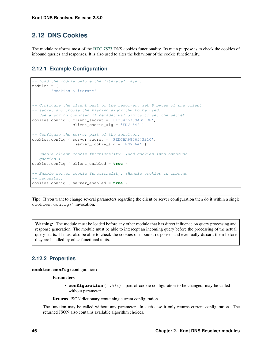## **2.12 DNS Cookies**

The module performs most of the [RFC 7873](https://tools.ietf.org/html/rfc7873.html) DNS cookies functionality. Its main purpose is to check the cookies of inbound queries and responses. It is also used to alter the behaviour of the cookie functionality.

### **2.12.1 Example Configuration**

```
-- Load the module before the 'iterate' layer.
modules = {
        'cookies < iterate'
}
-- Configure the client part of the resolver. Set 8 bytes of the client
-- secret and choose the hashing algorithm to be used.
-- Use a string composed of hexadecimal digits to set the secret.
cookies.config { client_secret = '0123456789ABCDEF',
                 client_cookie_alg = 'FNV-64' }
-- Configure the server part of the resolver.
cookies.config { server_secret = 'FEDCBA9876543210',
                  server_cookie_alg = 'FNV-64' }
-- Enable client cookie functionality. (Add cookies into outbound
-- queries.)
cookies.config { client_enabled = true }
-- Enable server cookie functionality. (Handle cookies in inbound
-- requests.)
cookies.config { server_enabled = true }
```
Tip: If you want to change several parameters regarding the client or server configuration then do it within a single cookies.config() invocation.

Warning: The module must be loaded before any other module that has direct influence on query processing and response generation. The module must be able to intercept an incoming query before the processing of the actual query starts. It must also be able to check the cookies of inbound responses and eventually discard them before they are handled by other functional units.

### **2.12.2 Properties**

**cookies.config**(configuration)

**Parameters** 

- **configuration** (table) part of cookie configuration to be changed, may be called without parameter
- Returns JSON dictionary containing current configuration

The function may be called without any parameter. In such case it only returns current configuration. The returned JSON also contains available algorithm choices.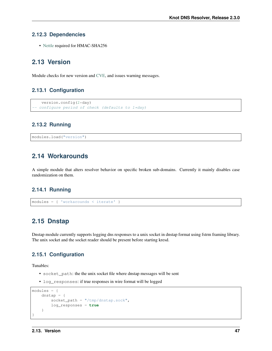### **2.12.3 Dependencies**

• [Nettle](https://www.lysator.liu.se/~nisse/nettle/) required for HMAC-SHA256

## **2.13 Version**

Module checks for new version and [CVE,](https://cve.mitre.org/) and issues warning messages.

### **2.13.1 Configuration**

```
version.config(2*day)
configure period of check (defaults to 1*day)
```
### **2.13.2 Running**

```
modules.load("version")
```
## **2.14 Workarounds**

A simple module that alters resolver behavior on specific broken sub-domains. Currently it mainly disables case randomization on them.

### **2.14.1 Running**

modules = { 'workarounds < iterate' }

## **2.15 Dnstap**

Dnstap module currently supports logging dns responses to a unix socket in dnstap format using fstrm framing library. The unix socket and the socket reader should be present before starting kresd.

### **2.15.1 Configuration**

Tunables:

- socket\_path: the the unix socket file where dnstap messages will be sent
- log\_responses: if true responses in wire format will be logged

```
modules = {
   dnstap = \{socket_path = "/tmp/dnstap.sock",
        log_responses = true
    }
}
```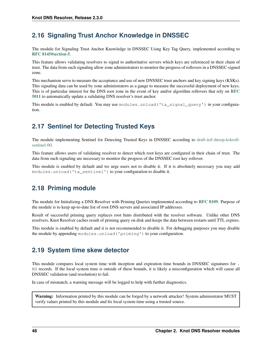## **2.16 Signaling Trust Anchor Knowledge in DNSSEC**

The module for Signaling Trust Anchor Knowledge in DNSSEC Using Key Tag Query, implemented according to [RFC 8145#section-5](https://tools.ietf.org/html/rfc8145.html#section-5).

This feature allows validating resolvers to signal to authoritative servers which keys are referenced in their chain of trust. The data from such signaling allow zone administrators to monitor the progress of rollovers in a DNSSEC-signed zone.

This mechanism serve to measure the acceptance and use of new DNSSEC trust anchors and key signing keys (KSKs). This signaling data can be used by zone administrators as a gauge to measure the successful deployment of new keys. This is of particular interest for the DNS root zone in the event of key and/or algorithm rollovers that rely on [RFC](https://tools.ietf.org/html/rfc5011.html) [5011](https://tools.ietf.org/html/rfc5011.html) to automatically update a validating DNS resolver's trust anchor.

This module is enabled by default. You may use modules.unload ('ta\_signal\_query') in your configuration.

## **2.17 Sentinel for Detecting Trusted Keys**

The module implementing Sentinel for Detecting Trusted Keys in DNSSEC according to [draft-ietf-dnsop-kskroll](https://tools.ietf.org/html/draft-ietf-dnsop-kskroll-sentinel-00)[sentinel-00.](https://tools.ietf.org/html/draft-ietf-dnsop-kskroll-sentinel-00)

This feature allows users of validating resolver to detect which root keys are configured in their chain of trust. The data from such signaling are necessary to monitor the progress of the DNSSEC root key rollover.

This module is enabled by default and we urge users not to disable it. If it is absolutely necessary you may add modules.unload('ta\_sentinel') to your configuration to disable it.

## **2.18 Priming module**

The module for Initializing a DNS Resolver with Priming Queries implemented according to [RFC 8109](https://tools.ietf.org/html/rfc8109.html). Purpose of the module is to keep up-to-date list of root DNS servers and associated IP addresses.

Result of successful priming query replaces root hints distributed with the resolver software. Unlike other DNS resolvers, Knot Resolver caches result of priming query on disk and keeps the data between restarts until TTL expires.

This module is enabled by default and it is not recommended to disable it. For debugging purposes you may disable the module by appending modules.unload('priming') to your configuration.

## **2.19 System time skew detector**

This module compares local system time with inception and expiration time bounds in DNSSEC signatures for . NS records. If the local system time is outside of these bounds, it is likely a misconfiguration which will cause all DNSSEC validation (and resolution) to fail.

In case of mismatch, a warning message will be logged to help with further diagnostics.

Warning: Information printed by this module can be forged by a network attacker! System administrator MUST verify values printed by this module and fix local system time using a trusted source.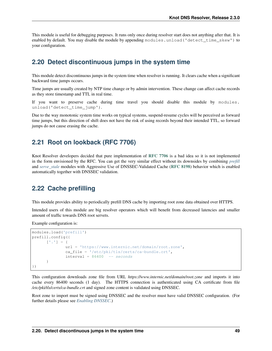This module is useful for debugging purposes. It runs only once during resolver start does not anything after that. It is enabled by default. You may disable the module by appending modules.unload ('detect time skew') to your configuration.

## **2.20 Detect discontinuous jumps in the system time**

This module detect discontinuous jumps in the system time when resolver is running. It clears cache when a significant backward time jumps occurs.

Time jumps are usually created by NTP time change or by admin intervention. These change can affect cache records as they store timestamp and TTL in real time.

If you want to preserve cache during time travel you should disable this module by modules. unload('detect\_time\_jump').

Due to the way monotonic system time works on typical systems, suspend-resume cycles will be perceived as forward time jumps, but this direction of shift does not have the risk of using records beyond their intended TTL, so forward jumps do not cause erasing the cache.

### **2.21 Root on lookback (RFC 7706)**

Knot Resolver developers decided that pure implementation of [RFC 7706](https://tools.ietf.org/html/rfc7706.html) is a bad idea so it is not implemented in the form envisioned by the RFC. You can get the very similar effect without its downsides by combining *[prefill](#page-52-0)* and *[serve\\_stale](#page-53-0)* modules with Aggressive Use of DNSSEC-Validated Cache ([RFC 8198](https://tools.ietf.org/html/rfc8198.html)) behavior which is enabled automatically together with DNSSEC validation.

### <span id="page-52-0"></span>**2.22 Cache prefilling**

This module provides ability to periodically prefill DNS cache by importing root zone data obtained over HTTPS.

Intended users of this module are big resolver operators which will benefit from decreased latencies and smaller amount of traffic towards DNS root servets.

Example configuration is:

```
modules.load('prefill')
prefill.config({
      ['.'] = {
              url = 'https://www.internic.net/domain/root.zone',
              ca_file = '/etc/pki/tls/certs/ca-bundle.crt',
              interval = 86400 -- seconds}
})
```
This configuration downloads zone file from URL *https://www.internic.net/domain/root.zone* and imports it into cache every 86400 seconds (1 day). The HTTPS connection is authenticated using CA certificate from file */etc/pki/tls/certs/ca-bundle.crt* and signed zone content is validated using DNSSEC.

Root zone to import must be signed using DNSSEC and the resolver must have valid DNSSEC configuration. (For further details please see *[Enabling DNSSEC](#page-23-0)*.)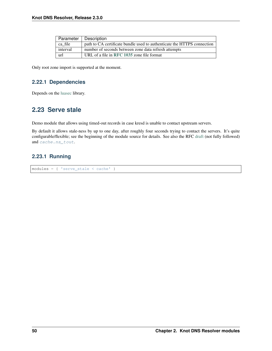| Parameter | Description                                                             |
|-----------|-------------------------------------------------------------------------|
| ca file   | path to CA certificate bundle used to authenticate the HTTPS connection |
| interval  | number of seconds between zone data refresh attempts                    |
| url       | URL of a file in RFC 1035 zone file format                              |

Only root zone import is supported at the moment.

### **2.22.1 Dependencies**

Depends on the [luasec](https://luarocks.org/modules/brunoos/luasec) library.

## <span id="page-53-0"></span>**2.23 Serve stale**

Demo module that allows using timed-out records in case kresd is unable to contact upstream servers.

By default it allows stale-ness by up to one day, after roughly four seconds trying to contact the servers. It's quite configurable/flexible; see the beginning of the module source for details. See also the RFC [draft](https://tools.ietf.org/html/draft-ietf-dnsop-serve-stale-00) (not fully followed) and [cache.ns\\_tout](#page-18-0).

### **2.23.1 Running**

```
modules = { 'serve_stale < cache' }
```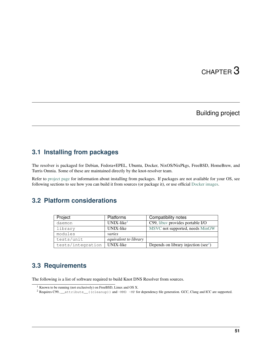# CHAPTER 3

## Building project

## **3.1 Installing from packages**

The resolver is packaged for Debian, Fedora+EPEL, Ubuntu, Docker, NixOS/NixPkgs, FreeBSD, HomeBrew, and Turris Omnia. Some of these are maintained directly by the knot-resolver team.

Refer to [project page](https://www.knot-resolver.cz/download) for information about installing from packages. If packages are not available for your OS, see following sections to see how you can build it from sources (or package it), or use official [Docker images.](https://hub.docker.com/r/cznic/knot-resolver)

## **3.2 Platform considerations**

| Project           | <b>Platforms</b>             | Compatibility notes                              |
|-------------------|------------------------------|--------------------------------------------------|
| daemon            | $UNIX$ -like <sup>1</sup>    | C99, libuv provides portable I/O                 |
| library           | UNIX-like                    | MSVC not supported, needs MinGW                  |
| modules           | varies                       |                                                  |
| tests/unit        | <i>equivalent to library</i> |                                                  |
| tests/integration | UNIX-like                    | Depends on library injection (see <sup>2</sup> ) |

## **3.3 Requirements**

The following is a list of software required to build Knot DNS Resolver from sources.

<span id="page-54-0"></span><sup>1</sup> Known to be running (not exclusively) on FreeBSD, Linux and OS X.

<span id="page-54-1"></span><sup>&</sup>lt;sup>2</sup> Requires C99, \_\_attribute\_\_((cleanup)) and -MMD -MP for dependency file generation. GCC, Clang and ICC are supported.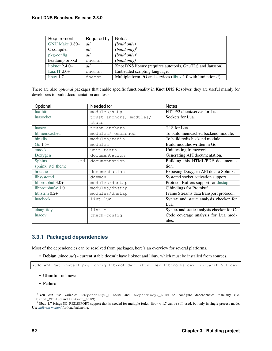| Requirement        | Required by | <b>Notes</b>                                                               |
|--------------------|-------------|----------------------------------------------------------------------------|
| $GNU$ Make $3.80+$ | all         | (build only)                                                               |
| C compiler         | all         | (build only) <sup>2</sup>                                                  |
| pkg-config         | all         | (build only) <sup>3</sup>                                                  |
| hexdump or xxd     | daemon      | (build only)                                                               |
| libknot $2.4.0+$   | all         | Knot DNS library (requires autotools, GnuTLS and Jansson).                 |
| LuaJIT $2.0+$      | daemon      | Embedded scripting language.                                               |
| libuv $1.7+$       | daemon      | Multiplatform I/O and services (libuv 1.0 with limitations <sup>4</sup> ). |

There are also *optional* packages that enable specific functionality in Knot DNS Resolver, they are useful mainly for developers to build documentation and tests.

| Optional           | Needed for              | <b>Notes</b>                              |
|--------------------|-------------------------|-------------------------------------------|
| lua-http           | modules/http            | HTTP/2 client/server for Lua.             |
| luasocket          | trust anchors, modules/ | Sockets for Lua.                          |
|                    | stats                   |                                           |
| luasec             | trust anchors           | TLS for Lua.                              |
| libmemcached       | modules/memcached       | To build memcached backend module.        |
| hiredis            | modules/redis           | To build redis backend module.            |
| Go $1.5+$          | modules                 | Build modules written in Go.              |
| cmocka             | unit tests              | Unit testing framework.                   |
| Doxygen            | documentation           | Generating API documentation.             |
| Sphinx<br>and      | documentation           | Building this HTML/PDF documenta-         |
| sphinx_rtd_theme   |                         | tion.                                     |
| breathe            | documentation           | Exposing Doxygen API doc to Sphinx.       |
| libsystemd         | daemon                  | Systemd socket activation support.        |
| libprotobuf $3.0+$ | modules/dnstap          | Protocol Buffers support for dnstap.      |
| libprotobuf-c 1.0+ | modules/dnstap          | C bindings for Protobuf.                  |
| libfstrm $0.2+$    | modules/dnstap          | Frame Streams data transport protocol.    |
| <b>luacheck</b>    | lint-lua                | Syntax and static analysis checker for    |
|                    |                         | Lua.                                      |
| clang-tidy         | $lint-c$                | Syntax and static analysis checker for C. |
| <i>luacov</i>      | check-config            | Code coverage analysis for Lua mod-       |
|                    |                         | ules.                                     |

### **3.3.1 Packaged dependencies**

Most of the dependencies can be resolved from packages, here's an overview for several platforms.

• Debian (since *sid*) - current stable doesn't have libknot and libuv, which must be installed from sources.

```
sudo apt-get install pkg-config libknot-dev libuv1-dev libcmocka-dev libluajit-5.1-dev
```
- Ubuntu unknown.
- Fedora

<span id="page-55-0"></span><sup>&</sup>lt;sup>3</sup> You can use variables <dependency>\_CFLAGS and <dependency>\_LIBS to configure dependencies manually (i.e. libknot\_CFLAGS and libknot\_LIBS).

<span id="page-55-1"></span><sup>4</sup> libuv 1.7 brings SO\_REUSEPORT support that is needed for multiple forks. libuv < 1.7 can be still used, but only in single-process mode. Use *[different method](#page-25-0)* for load balancing.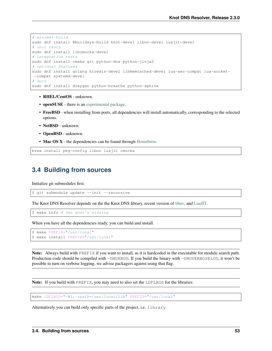```
# minimal build
sudo dnf install @buildsys-build knot-devel libuv-devel luajit-devel
# unit tests
sudo dnf install libcmocka-devel
# integration tests
sudo dnf install cmake git python-dns python-jinja2
# optional features
sudo dnf install golang hiredis-devel libmemcached-devel lua-sec-compat lua-socket-
˓→compat systemd-devel
# docs
sudo dnf install doxygen python-breathe python-sphinx
```
- RHEL/CentOS unknown.
- openSUSE there is an [experimental package.](https://build.opensuse.org/package/show/server:dns/knot-resolver)
- FreeBSD when installing from ports, all dependencies will install automatically, corresponding to the selected options.
- NetBSD unknown.
- OpenBSD unknown.
- Mac OS X the dependencies can be found through [Homebrew.](http://brew.sh/)

```
brew install pkg-config libuv luajit cmocka
```
## **3.4 Building from sources**

Initialize git submodules first.

\$ git submodule update --init --recursive

The Knot DNS Resolver depends on the the Knot DNS library, recent version of [libuv,](https://github.com/libuv/libuv) and [LuaJIT.](http://luajit.org/luajit.html)

\$ make info # See what's missing

When you have all the dependencies ready, you can build and install.

```
$ make PREFIX="/usr/local"
$ make install PREFIX="/usr/local"
```
Note: Always build with PREFIX if you want to install, as it is hardcoded in the executable for module search path. Production code should be compiled with -DNDEBUG. If you build the binary with -DNOVERBOSELOG, it won't be possible to turn on verbose logging; we advise packagers against using that flag.

Note: If you build with PREFIX, you may need to also set the LDFLAGS for the libraries:

make LDFLAGS="-Wl,-rpath=/usr/local/lib" PREFIX="/usr/local"

Alternatively you can build only specific parts of the project, i.e. library.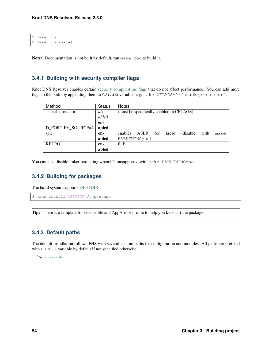```
$ make lib
$ make lib-install
```
Note: Documentation is not built by default, run make doc to build it.

### **3.4.1 Building with security compiler flags**

Knot DNS Resolver enables certain [security compile-time flags](https://wiki.debian.org/Hardening#Notes_on_Memory_Corruption_Mitigation_Methods) that do not affect performance. You can add more flags to the build by appending them to *CFLAGS* variable, e.g. make CFLAGS="-fstack-protector".

| Method             | <b>Status</b> | <b>Notes</b>                                                 |  |  |
|--------------------|---------------|--------------------------------------------------------------|--|--|
| -fstack-protector  | $dis-$        | (must be specifically enabled in CFLAGS)                     |  |  |
|                    | abled         |                                                              |  |  |
|                    | en-           |                                                              |  |  |
| D FORTIFY SOURCE=2 | abled         |                                                              |  |  |
| -pie               | en-           | (disable)<br>enables<br>ASLR<br>for<br>with<br>kresd<br>make |  |  |
|                    | abled         | HARDENING=no)                                                |  |  |
| <b>RELRO</b>       | en-           | full <sup>5</sup>                                            |  |  |
|                    | abled         |                                                              |  |  |

You can also disable linker hardening when it's unsupported with make HARDENING=no.

### **3.4.2 Building for packages**

The build system supports [DESTDIR](https://www.gnu.org/prep/standards/html_node/DESTDIR.html)

```
$ make install DESTDIR=/tmp/stage
```
Tip: There is a template for service file and AppArmor profile to help you kickstart the package.

### **3.4.3 Default paths**

The default installation follows FHS with several custom paths for configuration and modules. All paths are prefixed with PREFIX variable by default if not specified otherwise.

```
5 See checksec.sh
```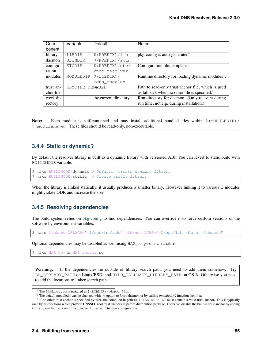| Com-      | Variable         | Default               | <b>Notes</b>                                                 |
|-----------|------------------|-----------------------|--------------------------------------------------------------|
| ponent    |                  |                       |                                                              |
| library   | LIBDIR           | $$$ (PREFIX) $/$ lib  | $pkg$ -config is auto-generated $\delta$                     |
| daemon    | SBINDIR          | $$$ (PREFIX) / sbin   |                                                              |
| configu-  | <b>ETCDIR</b>    | $$$ (PREFIX)/etc/     | Configuration file, templates.                               |
| ration    |                  | knot-resolver         |                                                              |
| modules   | MODULEDIR        | $$$ (LIBDIR) $/$      | Runtime directory for loading dynamic modules <sup>7</sup> . |
|           |                  | kdns modules          |                                                              |
| trust an- | KEYFILE DETMOMET |                       | Path to read-only trust anchor file, which is used           |
| chor file |                  |                       | as fallback when no other file is specified. <sup>8</sup>    |
| work di-  |                  | the current directory | Run directory for daemon. (Only relevant during              |
| rectory   |                  |                       | run time, not e.g. during installation.)                     |

Note: Each module is self-contained and may install additional bundled files within  $\frac{1}{2}$  (MODULEDIR) / \$(modulename). These files should be read-only, non-executable.

### **3.4.4 Static or dynamic?**

By default the resolver library is built as a dynamic library with versioned ABI. You can revert to static build with BUILDMODE variable.

```
$ make BUILDMODE=dynamic # Default, create dynamic library
$ make BUILDMODE=static # Create static library
```
When the library is linked statically, it usually produces a smaller binary. However linking it to various C modules might violate ODR and increase the size.

### **3.4.5 Resolving dependencies**

The build system relies on [pkg-config](https://www.freedesktop.org/wiki/Software/pkg-config/) to find dependencies. You can override it to force custom versions of the software by environment variables.

\$ make libknot\_CFLAGS="-I/opt/include" libknot\_LIBS="-L/opt/lib -lknot -ldnssec"

Optional dependencies may be disabled as well using HAS\_x=yes|no variable.

\$ make HAS\_go=no HAS\_cmocka=no

Warning: If the dependencies lie outside of library search path, you need to add them somehow. Try LD\_LIBRARY\_PATH on Linux/BSD, and DYLD\_FALLBACK\_LIBRARY\_PATH on OS X. Otherwise you need to add the locations to linker search path.

<span id="page-58-0"></span> $6$  The libkres.pc is installed in  $$$  (LIBDIR) /pkgconfig.

<span id="page-58-1"></span><sup>7</sup> The default moduledir can be changed with *-m* option to *kresd* daemon or by calling *moduledir()* function from lua.

<span id="page-58-2"></span><sup>&</sup>lt;sup>8</sup> If no other trust anchor is specified by user, the compiled-in path KEYFILE\_DEFAULT must contain a valid trust anchor. This is typically used by distributions which provide DNSSEC root trust anchors as part of distribution package. Users can disable the built-in trust anchor by adding trust\_anchors.keyfile\_default = nil to their configuration.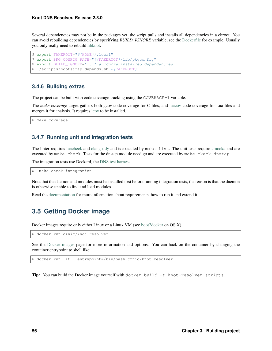Several dependencies may not be in the packages yet, the script pulls and installs all dependencies in a chroot. You can avoid rebuilding dependencies by specifying *BUILD\_IGNORE* variable, see the [Dockerfile](https://registry.hub.docker.com/u/cznic/knot-resolver/dockerfile/) for example. Usually you only really need to rebuild [libknot.](https://gitlab.labs.nic.cz/knot/knot-dns)

```
$ export FAKEROOT="${HOME}/.local"
$ export PKG_CONFIG_PATH="${FAKEROOT}/lib/pkgconfig"
$ export BUILD_IGNORE="..." # Ignore installed dependencies
$ ./scripts/bootstrap-depends.sh ${FAKEROOT}
```
### **3.4.6 Building extras**

The project can be built with code coverage tracking using the COVERAGE=1 variable.

The *make coverage* target gathers both gcov code coverage for C files, and [luacov](https://keplerproject.github.io/luacov/) code coverage for Lua files and merges it for analysis. It requires [lcov](http://ltp.sourceforge.net/coverage/lcov.php) to be installed.

\$ make coverage

### **3.4.7 Running unit and integration tests**

The linter requires [luacheck](http://luacheck.readthedocs.io) and [clang-tidy](http://clang.llvm.org/extra/clang-tidy/index.html) and is executed by make lint. The unit tests require [cmocka](https://cmocka.org/) and are executed by make check. Tests for the dnstap module need go and are executed by make ckeck-dnstap.

The integration tests use Deckard, the [DNS test harness.](#page-0-0)

\$ make check-integration

Note that the daemon and modules must be installed first before running integration tests, the reason is that the daemon is otherwise unable to find and load modules.

Read the [documentation](#page-0-0) for more information about requirements, how to run it and extend it.

## **3.5 Getting Docker image**

Docker images require only either Linux or a Linux VM (see [boot2docker](http://boot2docker.io/) on OS X).

\$ docker run cznic/knot-resolver

See the [Docker images](https://hub.docker.com/r/cznic/knot-resolver) page for more information and options. You can hack on the container by changing the container entrypoint to shell like:

\$ docker run -it --entrypoint=/bin/bash cznic/knot-resolver

Tip: You can build the Docker image yourself with docker build -t knot-resolver scripts.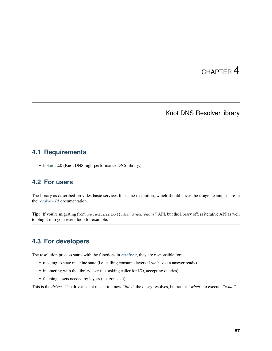# CHAPTER 4

## Knot DNS Resolver library

## <span id="page-60-0"></span>**4.1 Requirements**

• [libknot](https://gitlab.labs.nic.cz/knot/knot-dns/tree/master/src/libknot) 2.0 (Knot DNS high-performance DNS library.)

## **4.2 For users**

The library as described provides basic services for name resolution, which should cover the usage, examples are in the *[resolve API](#page-66-0)* documentation.

Tip: If you're migrating from getaddrinfo(), see *"synchronous"* API, but the library offers iterative API as well to plug it into your event loop for example.

## **4.3 For developers**

The resolution process starts with the functions in *[resolve.c](#page-66-0)*, they are responsible for:

- reacting to state machine state (i.e. calling consume layers if we have an answer ready)
- interacting with the library user (i.e. asking caller for I/O, accepting queries)
- fetching assets needed by layers (i.e. zone cut)

This is the *driver*. The driver is not meant to know *"how"* the query resolves, but rather *"when"* to execute *"what"*.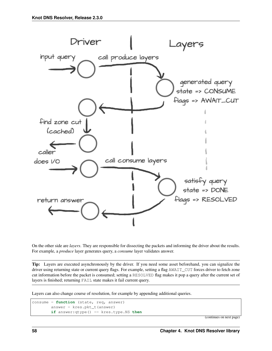

On the other side are *layers*. They are responsible for dissecting the packets and informing the driver about the results. For example, a *produce* layer generates query, a *consume* layer validates answer.

Tip: Layers are executed asynchronously by the driver. If you need some asset beforehand, you can signalize the driver using returning state or current query flags. For example, setting a flag AWAIT\_CUT forces driver to fetch zone cut information before the packet is consumed; setting a RESOLVED flag makes it pop a query after the current set of layers is finished; returning FAIL state makes it fail current query.

Layers can also change course of resolution, for example by appending additional queries.

```
consume = function (state, req, answer)
       answer = kres.pkt_t(answer)
       if answer:qtype() == kres.type.NS then
```
(continues on next page)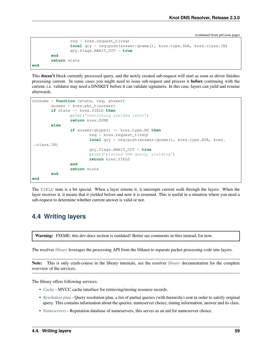(continued from previous page)

```
req = kres.request_t(req)
                local qry = req:push(answer:qname(), kres.type.SOA, kres.class.IN)
                qry.flags.AWAIT_CUT = true
        end
        return state
end
```
This doesn't block currently processed query, and the newly created sub-request will start as soon as driver finishes processing current. In some cases you might need to issue sub-request and process it before continuing with the current, i.e. validator may need a DNSKEY before it can validate signatures. In this case, layers can yield and resume afterwards.

```
consume = function (state, req, answer)
        answer = kres.pkt_t(answer)
        if state == kres.YIELD then
                print('continuing yielded layer')
                return kres.DONE
        else
                if answer:qtype() == kres.type.NS then
                        req = kres.request_t(req)
                        local qry = req:push(answer:qname(), kres.type.SOA, kres.
˓→class.IN)
                        qry.flags.AWAIT_CUT = true
                        print('planned SOA query, yielding')
                        return kres.YIELD
                end
                return state
        end
end
```
The YIELD state is a bit special. When a layer returns it, it interrupts current walk through the layers. When the layer receives it, it means that it yielded before and now it is resumed. This is useful in a situation where you need a sub-request to determine whether current answer is valid or not.

## **4.4 Writing layers**

Warning: FIXME: this dev-docs section is outdated! Better see comments in files instead, for now.

The resolver *[library](#page-60-0)* leverages the processing API from the libknot to separate packet processing code into layers.

Note: This is only crash-course in the library internals, see the resolver *[library](#page-60-0)* documentation for the complete overview of the services.

The library offers following services:

- *[Cache](#page-77-0)* MVCC cache interface for retrieving/storing resource records.
- *[Resolution plan](#page-66-0)* Query resolution plan, a list of partial queries (with hierarchy) sent in order to satisfy original query. This contains information about the queries, nameserver choice, timing information, answer and its class.
- *[Nameservers](#page-79-0)* Reputation database of nameservers, this serves as an aid for nameserver choice.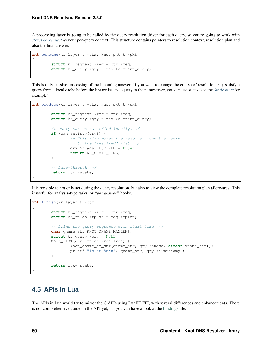A processing layer is going to be called by the query resolution driver for each query, so you're going to work with *[struct kr\\_request](#page-66-0)* as your per-query context. This structure contains pointers to resolution context, resolution plan and also the final answer.

```
int consume(kr_layer_t *ctx, knot_pkt_t *pkt)
{
        struct kr_request *req = ctx->req;
        struct kr_query *qry = req->current_query;
}
```
This is only passive processing of the incoming answer. If you want to change the course of resolution, say satisfy a query from a local cache before the library issues a query to the nameserver, you can use states (see the *[Static hints](#page-29-0)* for example).

```
int produce(kr_layer_t *ctx, knot_pkt_t *pkt)
{
        struct kr_request *req = ctx->req;
        struct kr_query *qry = req->current_query;
        /* Query can be satisfied locally. */
        if (can_satisfy(qry)) {
                /* This flag makes the resolver move the query
                 * to the "resolved" list. */
                qry->flags.RESOLVED = true;
                return KR_STATE_DONE;
        }
        /* Pass-through. */
        return ctx->state;
}
```
It is possible to not only act during the query resolution, but also to view the complete resolution plan afterwards. This is useful for analysis-type tasks, or *"per answer"* hooks.

```
int finish(kr_layer_t *ctx)
{
        struct kr_request *req = ctx->req;
        struct kr_rplan *rplan = req->rplan;
        /* Print the query sequence with start time. */char qname_str[KNOT_DNAME_MAXLEN];
        struct kr_query *qry = NULL
        WALK_LIST(qry, rplan->resolved) {
                knot_dname_to_str(qname_str, qry->sname, sizeof(qname_str));
                printf("%s at %u\n", qname_str, qry->timestamp);
        }
        return ctx->state;
}
```
## **4.5 APIs in Lua**

The APIs in Lua world try to mirror the C APIs using LuaJIT FFI, with several differences and enhancements. There is not comprehensive guide on the API yet, but you can have a look at the [bindings](https://gitlab.labs.nic.cz/knot/knot-resolver/blob/master/daemon/lua/kres.lua) file.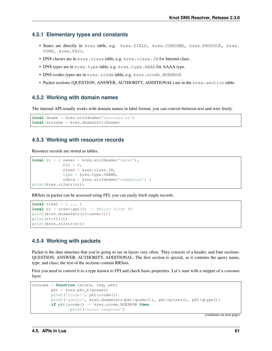### **4.5.1 Elementary types and constants**

- States are directly in kres table, e.g. kres. YIELD, kres. CONSUME, kres. PRODUCE, kres. DONE, kres.FAIL.
- DNS classes are in kres.class table, e.g. kres.class.IN for Internet class.
- DNS types are in kres.type table, e.g. kres.type.AAAA for AAAA type.
- DNS rcodes types are in kres.rcode table, e.g. kres.rcode.NOERROR.
- Packet sections (QUESTION, ANSWER, AUTHORITY, ADDITIONAL) are in the kres.section table.

### **4.5.2 Working with domain names**

The internal API usually works with domain names in label format, you can convert between text and wire freely.

```
local dname = kres.str2dname('business.se')
local strname = kres.dname2str(dname)
```
### **4.5.3 Working with resource records**

Resource records are stored as tables.

```
local rr = { owner = kres.str2dname('owner'),
             ttl = 0,class = kres.class.IN,
             type = kres.type.CNAME,
             rdata = kres.str2dname('someplace') }
print(kres.rr2str(rr))
```
RRSets in packet can be accessed using FFI, you can easily fetch single records.

```
local rrset = { ... }
local rr = rrset:get(0) -- Return first RR
print(kres.dname2str(rr:owner()))
print(rr:ttl())
print(kres.rr2str(rr))
```
### **4.5.4 Working with packets**

Packet is the data structure that you're going to see in layers very often. They consists of a header, and four sections: QUESTION, ANSWER, AUTHORITY, ADDITIONAL. The first section is special, as it contains the query name, type, and class; the rest of the sections contain RRSets.

First you need to convert it to a type known to FFI and check basic properties. Let's start with a snippet of a *consume* layer.

```
consume = function (state, req, pkt)
       pkt = kres.pkt_t(answer)
       print('rcode:', pkt:rcode())
       print('query:', kres.dname2str(pkt:qname()), pkt:qclass(), pkt:qtype())
       if pkt:rcode() ~= kres.rcode.NOERROR then
                print('error response')
```
(continues on next page)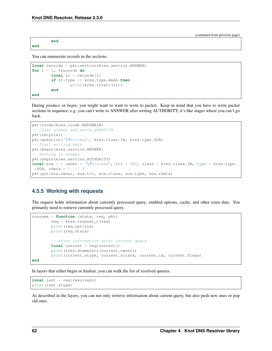**end**

(continued from previous page)

**end**

You can enumerate records in the sections.

```
local records = pkt:section(kres.section.ANSWER)
for i = 1, #records do
        local rr = records[i]
        if rr.type == kres.type.AAAA then
                print(kres.rr2str(rr))
        end
end
```
During *produce* or *begin*, you might want to want to write to packet. Keep in mind that you have to write packet sections in sequence, e.g. you can't write to ANSWER after writing AUTHORITY, it's like stages where you can't go back.

```
pkt:rcode(kres.rcode.NXDOMAIN)
 - Clear answer and write QUESTION
pkt:recycle()
pkt:question('\7blocked', kres.class.IN, kres.type.SOA)
-- Start writing data
pkt:begin(kres.section.ANSWER)
 - Nothing in answer
pkt:begin(kres.section.AUTHORITY)
local soa = { owner = '\7blocked', ttl = 900, class = kres.class.IN, type = kres.type.
˓→SOA, rdata = '...' }
pkt:put(soa.owner, soa.ttl, soa.class, soa.type, soa.rdata)
```
### **4.5.5 Working with requests**

The request holds information about currently processed query, enabled options, cache, and other extra data. You primarily need to retrieve currently processed query.

```
consume = function (state, req, pkt)
        req = kres.request_t(req)
        print(req.options)
        print(req.state)
        -- Print information about current query
        local current = req: current()
        print(kres.dname2str(current.owner))
        print(current.stype, current.sclass, current.id, current.flags)
end
```
In layers that either begin or finalize, you can walk the list of resolved queries.

```
local last = req:resolved()
print(last.stype)
```
As described in the layers, you can not only retrieve information about current query, but also push new ones or pop old ones.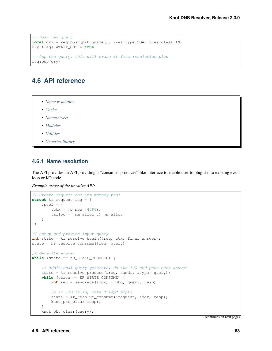```
- Push new query
local qry = req:push(pkt:qname(), kres.type.SOA, kres.class.IN)
qry.flags.AWAIT_CUT = true
-- Pop the query, this will erase it from resolution plan
req:pop(qry)
```
## **4.6 API reference**

- *[Name resolution](#page-66-0)*
- *[Cache](#page-77-0)*
- *[Nameservers](#page-79-0)*
- *[Modules](#page-85-0)*
- *[Utilities](#page-87-0)*
- *[Generics library](#page-92-0)*

### <span id="page-66-0"></span>**4.6.1 Name resolution**

The API provides an API providing a "consumer-producer"-like interface to enable user to plug it into existing event loop or I/O code.

*Example usage of the iterative API:*

```
// Create request and its memory pool
struct kr_request req = {
   .pool = \{. ctx = mp_new (4096),
        .alloc = (mm_alloc_t) mp_alloc
    }
};
// Setup and provide input query
int state = kr_resolve_begin(&req, ctx, final_answer);
state = kr\_resolve\_cosume(\&req, query);// Generate answer
while (state == KR_STATE_PRODUCE) {
   // Additional query generate, do the I/O and pass back answer
   state = kr_resolve_produce(&req, &addr, &type, query);
   while (state == KR STATE CONSUME) {
       int ret = sendrecv(addr, proto, query, resp);
       // If I/O fails, make "resp" empty
        state = kr_resolve_consume(&request, addr, resp);
       knot_pkt_clear(resp);
    }
    knot_pkt_clear(query);
```
(continues on next page)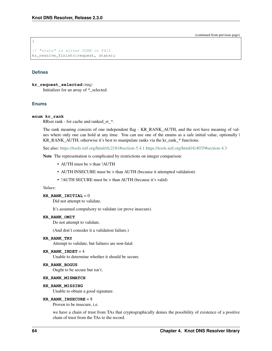(continued from previous page)

// "state" is either DONE or FAIL kr\_resolve\_finish(&request, state);

#### **Defines**

}

**kr\_request\_selected**(req) Initializer for an array of \*\_selected.

#### **Enums**

#### **enum kr\_rank**

RRset rank - for cache and ranked\_rr\_\*.

The rank meaning consists of one independent flag - KR\_RANK\_AUTH, and the rest have meaning of values where only one can hold at any time. You can use one of the enums as a safe initial value, optionally  $\vert$ KR\_RANK\_AUTH; otherwise it's best to manipulate ranks via the kr\_rank\_\* functions.

See also: <https://tools.ietf.org/html/rfc2181#section-5.4.1> <https://tools.ietf.org/html/rfc4035#section-4.3>

Note The representation is complicated by restrictions on integer comparison:

- AUTH must be > than !AUTH
- AUTH INSECURE must be > than AUTH (because it attempted validation)
- ! AUTH SECURE must be > than AUTH (because it's valid)

#### *Values:*

#### **KR\_RANK\_INITIAL =**  $0$

Did not attempt to validate.

It's assumed compulsory to validate (or prove insecure).

#### **KR\_RANK\_OMIT**

Do not attempt to validate.

(And don't consider it a validation failure.)

#### **KR\_RANK\_TRY**

Attempt to validate, but failures are non-fatal.

#### **KR\_RANK\_INDET** =  $4$

Unable to determine whether it should be secure.

#### **KR\_RANK\_BOGUS**

Ought to be secure but isn't.

#### **KR\_RANK\_MISMATCH**

#### **KR\_RANK\_MISSING**

Unable to obtain a good signature.

#### **KR\_RANK\_INSECURE =**  $8$

Proven to be insecure, i.e.

we have a chain of trust from TAs that cryptographically denies the possibility of existence of a positive chain of trust from the TAs to the record.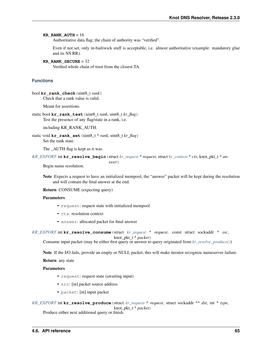#### **KR\_RANK\_AUTH** =  $16$

Authoritative data flag; the chain of authority was "verified".

Even if not set, only in-bailiwick stuff is acceptable, i.e. almost authoritative (example: mandatory glue and its NS RR).

```
KR_RANK_SECURE = 32
```
Verified whole chain of trust from the closest TA.

### **Functions**

bool **kr\_rank\_check**(uint8\_t *rank*) Check that a rank value is valid.

Meant for assertions.

static bool **kr\_rank\_test**(uint8\_t *rank*, uint8\_t *kr\_flag*) Test the presence of any flag/state in a rank, i.e.

including KR\_RANK\_AUTH.

static void **kr\_rank\_set**(uint8\_t \* *rank*, uint8\_t *kr\_flag*) Set the rank state.

The \_AUTH flag is kept as it was.

*[KR\\_EXPORT](#page-91-0)* int **kr\_resolve\_begin**(struct *[kr\\_request](#page-70-0)* \* *request*, struct *[kr\\_context](#page-70-1)* \* *ctx*, knot\_pkt\_t \* *an-*

*swer*)

Begin name resolution.

Note Expects a request to have an initialized mempool, the "answer" packet will be kept during the resolution and will contain the final answer at the end.

Return CONSUME (expecting query)

#### Parameters

- request: request state with initialized mempool
- ctx: resolution context
- answer: allocated packet for final answer

```
KR_EXPORT int kr_resolve_consume(struct kr_request * request, const struct sockaddr * src,
                                       knot_pkt_t * packet)
```
Consume input packet (may be either first query or answer to query originated from *[kr\\_resolve\\_produce\(\)](#page-68-0)*)

Note If the I/O fails, provide an empty or NULL packet, this will make iterator recognize nameserver failure.

Return any state

#### Parameters

- request: request state (awaiting input)
- src: [in] packet source address
- packet: [in] input packet

<span id="page-68-0"></span>*[KR\\_EXPORT](#page-91-0)* int **kr\_resolve\_produce**(struct *[kr\\_request](#page-70-0)* \* *request*, struct sockaddr \*\* *dst*, int \* *type*, knot\_pkt\_t \* *packet*)

Produce either next additional query or finish.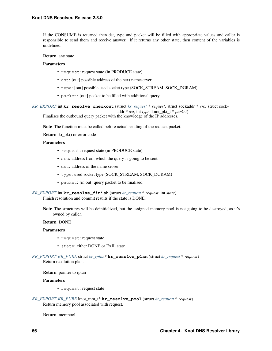If the CONSUME is returned then dst, type and packet will be filled with appropriate values and caller is responsible to send them and receive answer. If it returns any other state, then content of the variables is undefined.

#### Return any state

#### Parameters

- request: request state (in PRODUCE state)
- dst: [out] possible address of the next nameserver
- type: [out] possible used socket type (SOCK\_STREAM, SOCK\_DGRAM)
- packet: [out] packet to be filled with additional query

```
KR_EXPORT int kr_resolve_checkout(struct kr_request * request, struct sockaddr * src, struct sock-
                                            addr * dst, int type, knot_pkt_t * packet)
```
Finalises the outbound query packet with the knowledge of the IP addresses.

Note The function must be called before actual sending of the request packet.

**Return** kr\_ok() or error code

#### **Parameters**

- request: request state (in PRODUCE state)
- src: address from which the query is going to be sent
- dst: address of the name server
- type: used socket type (SOCK\_STREAM, SOCK\_DGRAM)
- packet: [in,out] query packet to be finalised

#### *[KR\\_EXPORT](#page-91-0)* int **kr\_resolve\_finish**(struct *[kr\\_request](#page-70-0)* \* *request*, int *state*) Finish resolution and commit results if the state is DONE.

Note The structures will be deinitialized, but the assigned memory pool is not going to be destroyed, as it's owned by caller.

#### Return DONE

#### Parameters

- request: request state
- state: either DONE or FAIL state
- *[KR\\_EXPORT](#page-91-0) [KR\\_PURE](#page-91-1)* struct *[kr\\_rplan](#page-76-0)*\* **kr\_resolve\_plan**(struct *[kr\\_request](#page-70-0)* \* *request*) Return resolution plan.

#### Return pointer to rplan

#### Parameters

• request: request state

```
KR_EXPORT KR_PURE knot_mm_t* kr_resolve_pool(struct kr_request * request)
     Return memory pool associated with request.
```
Return mempool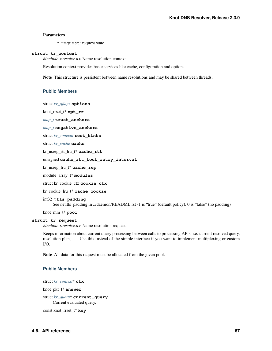#### Parameters

• request: request state

#### <span id="page-70-1"></span>**struct kr\_context**

*#include <resolve.h>* Name resolution context.

Resolution context provides basic services like cache, configuration and options.

Note This structure is persistent between name resolutions and may be shared between threads.

#### **Public Members**

struct *[kr\\_qflags](#page-73-0)* **options**

knot\_rrset\_t\* **opt\_rr**

*[map\\_t](#page-95-0)* **trust\_anchors**

*[map\\_t](#page-95-0)* **negative\_anchors**

struct *[kr\\_zonecut](#page-84-0)* **root\_hints**

struct *[kr\\_cache](#page-78-0)* **cache**

kr\_nsrep\_rtt\_lru\_t\* **cache\_rtt**

unsigned **cache\_rtt\_tout\_retry\_interval**

kr\_nsrep\_lru\_t\* **cache\_rep**

module\_array\_t\* **modules**

struct kr\_cookie\_ctx **cookie\_ctx**

kr\_cookie\_lru\_t\* **cache\_cookie**

int32\_t **tls\_padding** See net.tls\_padding in ../daemon/README.rst -1 is "true" (default policy), 0 is "false" (no padding)

knot\_mm\_t\* **pool**

#### <span id="page-70-0"></span>**struct kr\_request**

*#include <resolve.h>* Name resolution request.

Keeps information about current query processing between calls to processing APIs, i.e. current resolved query, resolution plan, ... Use this instead of the simple interface if you want to implement multiplexing or custom I/O.

Note All data for this request must be allocated from the given pool.

#### **Public Members**

struct *[kr\\_context](#page-70-1)*\* **ctx**

knot\_pkt\_t\* **answer**

struct *[kr\\_query](#page-75-0)*\* **current\_query** Current evaluated query.

const knot\_rrset\_t\* **key**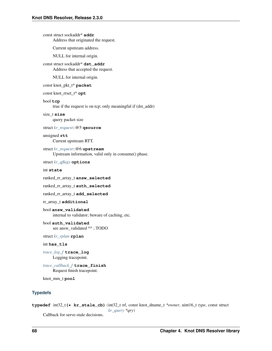```
const struct sockaddr* addr
     Address that originated the request.
```
Current upstream address.

NULL for internal origin.

```
const struct sockaddr* dst_addr
     Address that accepted the request.
```
NULL for internal origin.

#### const knot\_pkt\_t\* **packet**

```
const knot_rrset_t* opt
```
#### bool **tcp**

true if the request is on tcp; only meaningful if (dst\_addr)

#### size\_t **size**

query packet size

struct *[kr\\_request](#page-70-0)*::@5 **qsource**

#### unsigned **rtt**

Current upstream RTT.

struct *[kr\\_request](#page-70-0)*::@6 **upstream** Upstream information, valid only in consume() phase.

struct *[kr\\_qflags](#page-73-0)* **options**

#### int **state**

ranked\_rr\_array\_t **answ\_selected**

ranked\_rr\_array\_t **auth\_selected**

```
ranked_rr_array_t add_selected
```
rr\_array\_t **additional**

bool **answ\_validated** internal to validator; beware of caching, etc.

bool **auth\_validated** see answ\_validated ^^; TODO

#### struct *[kr\\_rplan](#page-76-0)* **rplan**

#### int **has\_tls**

*[trace\\_log\\_f](#page-87-1)* **trace\_log** Logging tracepoint.

*[trace\\_callback\\_f](#page-87-2)* **trace\_finish** Request finish tracepoint.

knot\_mm\_t **pool**

#### **Typedefs**

```
typedef int32_t(* kr_stale_cb)(int32_t ttl, const knot_dname_t *owner, uint16_t type, const struct
                                      kr_query *qry)
```
Callback for serve-stale decisions.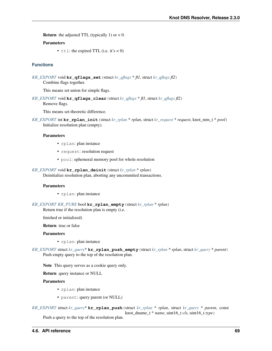**Return** the adjusted TTL (typically 1) or  $< 0$ .

## Parameters

•  $t$ tl: the expired TTL (i.e. it's < 0)

## **Functions**

```
KR_EXPORT void kr_qflags_set(struct kr_qflags * fl1, struct kr_qflags fl2)
     Combine flags together.
```
This means set union for simple flags.

```
KR_EXPORT void kr_qflags_clear(struct kr_qflags * fl1, struct kr_qflags fl2)
     Remove flags.
```
This means set-theoretic difference.

```
KR_EXPORT int kr_rplan_init(struct kr_rplan * rplan, struct kr_request * request, knot_mm_t * pool)
     Initialize resolution plan (empty).
```
#### Parameters

- rplan: plan instance
- request: resolution request
- pool: ephemeral memory pool for whole resolution
- *[KR\\_EXPORT](#page-91-0)* void **kr\_rplan\_deinit**(struct *[kr\\_rplan](#page-76-0)* \* *rplan*) Deinitialize resolution plan, aborting any uncommited transactions.

#### Parameters

- rplan: plan instance
- *[KR\\_EXPORT](#page-91-0) [KR\\_PURE](#page-91-1)* bool **kr\_rplan\_empty**(struct *[kr\\_rplan](#page-76-0)* \* *rplan*) Return true if the resolution plan is empty (i.e.

finished or initialized)

Return true or false

## Parameters

- rplan: plan instance
- *[KR\\_EXPORT](#page-91-0)* struct *[kr\\_query](#page-75-0)*\* **kr\_rplan\_push\_empty**(struct *[kr\\_rplan](#page-76-0)* \* *rplan*, struct *[kr\\_query](#page-75-0)* \* *parent*) Push empty query to the top of the resolution plan.

Note This query serves as a cookie query only.

Return query instance or NULL

## Parameters

- rplan: plan instance
- parent: query parent (or NULL)

*[KR\\_EXPORT](#page-91-0)* struct *[kr\\_query](#page-75-0)*\* **kr\_rplan\_push**(struct *[kr\\_rplan](#page-76-0)* \* *rplan*, struct *[kr\\_query](#page-75-0)* \* *parent*, const knot dname  $t * name$ , uint16  $t$  *cls*, uint16  $t$  *type*)

Push a query to the top of the resolution plan.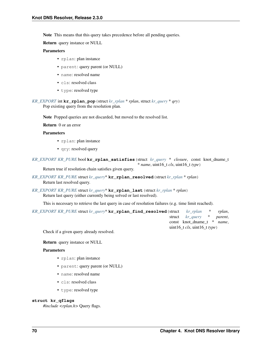Note This means that this query takes precedence before all pending queries.

Return query instance or NULL

## Parameters

- rplan: plan instance
- parent: query parent (or NULL)
- name: resolved name
- cls: resolved class
- type: resolved type

*[KR\\_EXPORT](#page-91-0)* int **kr\_rplan\_pop**(struct *[kr\\_rplan](#page-76-0)* \* *rplan*, struct *[kr\\_query](#page-75-0)* \* *qry*) Pop existing query from the resolution plan.

Note Popped queries are not discarded, but moved to the resolved list.

Return 0 or an error

## Parameters

- rplan: plan instance
- qry: resolved query

*[KR\\_EXPORT](#page-91-0) [KR\\_PURE](#page-91-1)* bool **kr\_rplan\_satisfies**(struct *[kr\\_query](#page-75-0)* \* *closure*, const knot\_dname\_t \* *name*, uint16\_t *cls*, uint16\_t *type*)

Return true if resolution chain satisfies given query.

- *[KR\\_EXPORT](#page-91-0) [KR\\_PURE](#page-91-1)* struct *[kr\\_query](#page-75-0)*\* **kr\_rplan\_resolved**(struct *[kr\\_rplan](#page-76-0)* \* *rplan*) Return last resolved query.
- *[KR\\_EXPORT](#page-91-0) [KR\\_PURE](#page-91-1)* struct *[kr\\_query](#page-75-0)*\* **kr\_rplan\_last**(struct *[kr\\_rplan](#page-76-0)* \* *rplan*) Return last query (either currently being solved or last resolved).

This is necessary to retrieve the last query in case of resolution failures (e.g. time limit reached).

*[KR\\_EXPORT](#page-91-0) [KR\\_PURE](#page-91-1)* struct *[kr\\_query](#page-75-0)*\* **kr\_rplan\_find\_resolved**(struct *[kr\\_rplan](#page-76-0)* \* *rplan*, struct *[kr\\_query](#page-75-0)* \* *parent*, const knot\_dname\_t \* *name*, uint16\_t *cls*, uint16\_t *type*)

Check if a given query already resolved.

Return query instance or NULL

#### Parameters

- rplan: plan instance
- parent: query parent (or NULL)
- name: resolved name
- cls: resolved class
- type: resolved type

#### <span id="page-73-0"></span>**struct kr\_qflags**

*#include <rplan.h>* Query flags.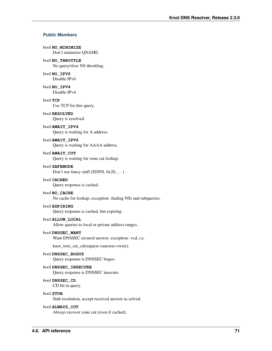## **Public Members**

## bool **NO\_MINIMIZE**

Don't minimize QNAME.

## bool **NO\_THROTTLE**

No query/slow NS throttling.

## bool **NO\_IPV6**

Disable IPv6.

bool **NO\_IPV4** Disable IPv4.

# bool **TCP**

Use TCP for this query.

### bool **RESOLVED**

Query is resolved.

## bool **AWAIT\_IPV4**

Query is waiting for A address.

## bool **AWAIT\_IPV6**

Query is waiting for AAAA address.

#### bool **AWAIT\_CUT**

Query is waiting for zone cut lookup.

#### bool **SAFEMODE**

Don't use fancy stuff (EDNS,  $0x20$ , ...)

## bool **CACHED**

Query response is cached.

## bool **NO\_CACHE**

No cache for lookup; exception: finding NSs and subqueries.

## bool **EXPIRING**

Query response is cached, but expiring.

## bool **ALLOW\_LOCAL**

Allow queries to local or private address ranges.

#### bool **DNSSEC\_WANT**

Want DNSSEC secured answer; exception: +cd, i.e.

knot\_wire\_set\_cd(request->answer->wire).

## bool **DNSSEC\_BOGUS**

Query response is DNSSEC bogus.

## bool **DNSSEC\_INSECURE**

Query response is DNSSEC insecure.

#### bool **DNSSEC\_CD**

CD bit in query.

#### bool **STUB**

Stub resolution, accept received answer as solved.

#### bool **ALWAYS\_CUT**

Always recover zone cut (even if cached).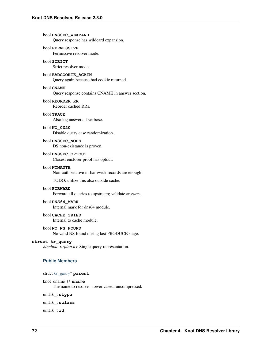bool **DNSSEC\_WEXPAND** Query response has wildcard expansion. bool **PERMISSIVE** Permissive resolver mode. bool **STRICT** Strict resolver mode. bool **BADCOOKIE\_AGAIN** Query again because bad cookie returned. bool **CNAME** Query response contains CNAME in answer section. bool **REORDER\_RR** Reorder cached RRs. bool **TRACE** Also log answers if verbose. bool **NO\_0X20** Disable query case randomization . bool **DNSSEC\_NODS** DS non-existance is proven. bool **DNSSEC\_OPTOUT** Closest encloser proof has optout. bool **NONAUTH** Non-authoritative in-bailiwick records are enough. TODO: utilize this also outside cache. bool **FORWARD** Forward all queries to upstream; validate answers. bool **DNS64\_MARK** Internal mark for dns64 module. bool **CACHE\_TRIED** Internal to cache module. bool **NO\_NS\_FOUND** No valid NS found during last PRODUCE stage. **struct kr\_query** *#include <rplan.h>* Single query representation. **Public Members** struct *[kr\\_query](#page-75-0)*\* **parent** knot\_dname\_t\* **sname** The name to resolve - lower-cased, uncompressed.

<span id="page-75-0"></span>uint16\_t **stype**

uint16\_t **sclass**

uint16\_t **id**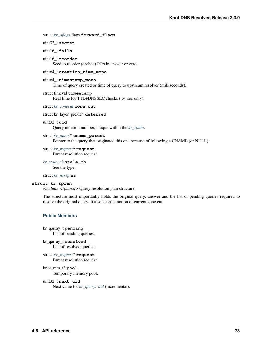## struct *[kr\\_qflags](#page-73-0)* flags **forward\_flags**

uint32\_t **secret**

## uint16\_t **fails**

uint16\_t **reorder**

Seed to reorder (cached) RRs in answer or zero.

#### uint64\_t **creation\_time\_mono**

#### uint64\_t **timestamp\_mono**

Time of query created or time of query to upstream resolver (milliseconds).

#### struct timeval **timestamp** Real time for TTL+DNSSEC checks (.tv\_sec only).

struct *[kr\\_zonecut](#page-84-0)* **zone\_cut**

struct kr\_layer\_pickle\* **deferred**

## <span id="page-76-2"></span>uint32\_t **uid**

Query iteration number, unique within the *[kr\\_rplan](#page-76-1)*.

#### struct *[kr\\_query](#page-75-0)*\* **cname\_parent**

Pointer to the query that originated this one because of following a CNAME (or NULL).

struct *[kr\\_request](#page-70-0)*\* **request**

Parent resolution request.

*[kr\\_stale\\_cb](#page-71-0)* **stale\_cb**

See the type.

#### struct *[kr\\_nsrep](#page-82-0)* **ns**

#### <span id="page-76-1"></span><span id="page-76-0"></span>**struct kr\_rplan**

*#include <rplan.h>* Query resolution plan structure.

The structure most importantly holds the original query, answer and the list of pending queries required to resolve the original query. It also keeps a notion of current zone cut.

## **Public Members**

- kr\_qarray\_t **pending** List of pending queries.
- kr\_qarray\_t **resolved** List of resolved queries.
- struct *[kr\\_request](#page-70-0)*\* **request** Parent resolution request.
- knot\_mm\_t\* **pool** Temporary memory pool.

## uint32\_t **next\_uid**

Next value for *[kr\\_query::uid](#page-76-2)* (incremental).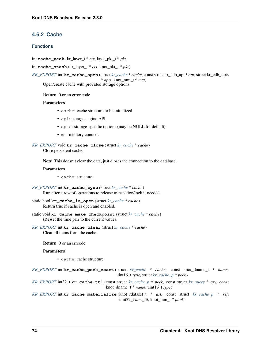## **4.6.2 Cache**

## **Functions**

int **cache\_peek**(kr\_layer\_t \* *ctx*, knot\_pkt\_t \* *pkt*)

int **cache** stash (kr layer  $t * ctx$ , knot pkt  $t * pkt$ )

*[KR\\_EXPORT](#page-91-0)* int **kr\_cache\_open**(struct *[kr\\_cache](#page-78-0)* \* *cache*, const struct kr\_cdb\_api \* *api*, struct kr\_cdb\_opts \* *opts*, knot\_mm\_t \* *mm*)

Open/create cache with provided storage options.

Return 0 or an error code

## Parameters

- cache: cache structure to be initialized
- api: storage engine API
- opts: storage-specific options (may be NULL for default)
- mm: memory context.

```
KR_EXPORT void kr_cache_close(struct kr_cache * cache)
```
Close persistent cache.

Note This doesn't clear the data, just closes the connection to the database.

#### Parameters

• cache: structure

```
KR_EXPORT int kr_cache_sync(struct kr_cache * cache)
     Run after a row of operations to release transaction/lock if needed.
```

```
static bool kr_cache_is_open(struct kr_cache * cache)
     Return true if cache is open and enabled.
```
- static void **kr\_cache\_make\_checkpoint**(struct *[kr\\_cache](#page-78-0)* \* *cache*) (Re)set the time pair to the current values.
- *[KR\\_EXPORT](#page-91-0)* int **kr\_cache\_clear**(struct *[kr\\_cache](#page-78-0)* \* *cache*) Clear all items from the cache.

Return 0 or an errcode

## Parameters

• cache: cache structure

*[KR\\_EXPORT](#page-91-0)* int **kr\_cache\_peek\_exact**(struct *[kr\\_cache](#page-78-0)* \* *cache*, const knot\_dname\_t \* *name*, uint16\_t *type*, struct *[kr\\_cache\\_p](#page-78-1)* \* *peek*)

*[KR\\_EXPORT](#page-91-0)* int32\_t **kr\_cache\_ttl**(const struct *[kr\\_cache\\_p](#page-78-1)* \* *peek*, const struct *[kr\\_query](#page-75-0)* \* *qry*, const knot\_dname\_t \* *name*, uint16\_t *type*)

*[KR\\_EXPORT](#page-91-0)* int **kr\_cache\_materialize**(knot\_rdataset\_t \* *dst*, const struct *[kr\\_cache\\_p](#page-78-1)* \* *ref*, uint32\_t *new\_ttl*, knot\_mm\_t \* *pool*)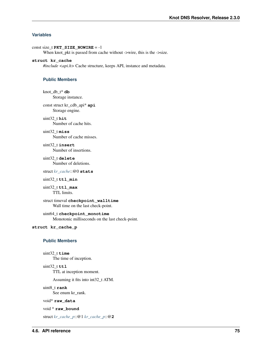## **Variables**

const size\_t **PKT\_SIZE\_NOWIRE** = -1

When knot\_pkt is passed from cache without ->wire, this is the ->size.

#### <span id="page-78-0"></span>**struct kr\_cache**

*#include <api.h>* Cache structure, keeps API, instance and metadata.

## **Public Members**

knot\_db\_t\* **db** Storage instance.

const struct kr\_cdb\_api\* **api** Storage engine.

#### uint32\_t **hit**

Number of cache hits.

## uint32\_t **miss**

Number of cache misses.

#### uint32\_t **insert**

Number of insertions.

## uint32\_t **delete** Number of deletions.

struct *[kr\\_cache](#page-78-0)*::@0 **stats**

### uint32\_t **ttl\_min**

uint32\_t **ttl\_max** TTL limits.

## struct timeval **checkpoint\_walltime** Wall time on the last check-point.

uint64\_t **checkpoint\_monotime** Monotonic milliseconds on the last check-point.

## <span id="page-78-1"></span>**struct kr\_cache\_p**

## **Public Members**

uint32\_t **time**

The time of inception.

## uint32\_t **ttl**

TTL at inception moment.

Assuming it fits into int32\_t ATM.

#### uint8\_t **rank**

See enum kr\_rank.

## void\* **raw\_data**

```
void * raw_bound
```
struct *[kr\\_cache\\_p](#page-78-1)*::@1 *[kr\\_cache\\_p](#page-78-1)*::@**2**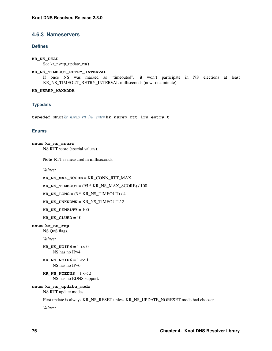## **4.6.3 Nameservers**

## **Defines**

## **KR\_NS\_DEAD**

See kr\_nsrep\_update\_rtt()

## **KR\_NS\_TIMEOUT\_RETRY\_INTERVAL**

If once NS was marked as "timeouted", it won't participate in NS elections at least KR\_NS\_TIMEOUT\_RETRY\_INTERVAL milliseconds (now: one minute).

## **KR\_NSREP\_MAXADDR**

## **Typedefs**

<span id="page-79-0"></span>**typedef** struct *[kr\\_nsrep\\_rtt\\_lru\\_entry](#page-81-0)* **kr\_nsrep\_rtt\_lru\_entry\_t**

## **Enums**

```
enum kr_ns_score
     NS RTT score (special values).
```
Note RTT is measured in milliseconds.

*Values:*

**KR\_NS\_MAX\_SCORE** = KR\_CONN\_RTT\_MAX

**KR\_NS\_TIMEOUT** = (95 \* KR\_NS\_MAX\_SCORE) / 100

**KR\_NS\_LONG** =  $(3 * KR$ \_NS\_TIMEOUT) / 4

**KR\_NS\_UNKNOWN** = KR\_NS\_TIMEOUT / 2

**KR\_NS\_PENALTY** = 100

**KR\_NS\_GLUED** =  $10$ 

**enum kr\_ns\_rep**

NS QoS flags.

*Values:*

**KR\_NS\_NOIP4** =  $1 \ll 0$ NS has no IPv4.

**KR\_NS\_NOIP6** =  $1 \ll 1$ NS has no IPv6.

```
KR_NS_NOEDNS = 1 << 2
    NS has no EDNS support.
```
## **enum kr\_ns\_update\_mode**

```
NS RTT update modes.
```
First update is always KR\_NS\_RESET unless KR\_NS\_UPDATE\_NORESET mode had choosen.

*Values:*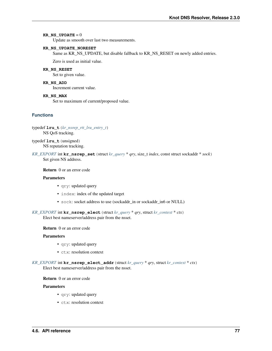## **KR\_NS\_UPDATE** =  $0$

Update as smooth over last two measurements.

#### **KR\_NS\_UPDATE\_NORESET**

Same as KR\_NS\_UPDATE, but disable fallback to KR\_NS\_RESET on newly added entries.

Zero is used as initial value.

## **KR\_NS\_RESET**

Set to given value.

## **KR\_NS\_ADD**

Increment current value.

#### **KR\_NS\_MAX**

Set to maximum of current/proposed value.

## **Functions**

typedef **lru\_t**(*[kr\\_nsrep\\_rtt\\_lru\\_entry\\_t](#page-79-0)*) NS QoS tracking.

typedef **lru\_t**(unsigned) NS reputation tracking.

## *[KR\\_EXPORT](#page-91-0)* int **kr\_nsrep\_set**(struct *[kr\\_query](#page-75-0)* \* *qry*, size\_t *index*, const struct sockaddr \* *sock*) Set given NS address.

Return 0 or an error code

## Parameters

- qry: updated query
- index: index of the updated target
- sock: socket address to use (sockaddr\_in or sockaddr\_in6 or NULL)

*[KR\\_EXPORT](#page-91-0)* int **kr\_nsrep\_elect**(struct *[kr\\_query](#page-75-0)* \* *qry*, struct *[kr\\_context](#page-70-1)* \* *ctx*) Elect best nameserver/address pair from the nsset.

Return 0 or an error code

## Parameters

- qry: updated query
- ctx: resolution context
- *[KR\\_EXPORT](#page-91-0)* int **kr\_nsrep\_elect\_addr**(struct *[kr\\_query](#page-75-0)* \* *qry*, struct *[kr\\_context](#page-70-1)* \* *ctx*) Elect best nameserver/address pair from the nsset.

Return 0 or an error code

#### **Parameters**

- qry: updated query
- ctx: resolution context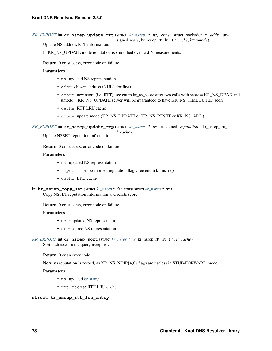```
KR_EXPORT int kr_nsrep_update_rtt(struct kr_nsrep * ns, const struct sockaddr * addr, un-
                                         signed score, kr_nsrep_rtt_lru_t * cache, int umode)
```
Update NS address RTT information.

In KR\_NS\_UPDATE mode reputation is smoothed over last N measurements.

Return 0 on success, error code on failure

## Parameters

- ns: updated NS representation
- addr: chosen address (NULL for first)
- score: new score (i.e. RTT), see enum kr\_ns\_score after two calls with score = KR\_NS\_DEAD and umode = KR\_NS\_UPDATE server will be guaranteed to have KR\_NS\_TIMEOUTED score
- cache: RTT LRU cache
- umode: update mode (KR\_NS\_UPDATE or KR\_NS\_RESET or KR\_NS\_ADD)

*[KR\\_EXPORT](#page-91-0)* int **kr\_nsrep\_update\_rep**(struct *[kr\\_nsrep](#page-82-0)* \* *ns*, unsigned *reputation*, kr\_nsrep\_lru\_t \* *cache*)

Update NSSET reputation information.

Return 0 on success, error code on failure

## Parameters

- ns: updated NS representation
- reputation: combined reputation flags, see enum kr\_ns\_rep
- cache: LRU cache

```
int kr_nsrep_copy_set(struct kr_nsrep * dst, const struct kr_nsrep * src)
     Copy NSSET reputation information and resets score.
```
Return 0 on success, error code on failure

## Parameters

- dst: updated NS representation
- src: source NS representation

```
KR_EXPORT int kr_nsrep_sort(struct kr_nsrep * ns, kr_nsrep_rtt_lru_t * rtt_cache)
     Sort addresses in the query nsrep list.
```
Return 0 or an error code

Note ns reputation is zeroed, as KR\_NS\_NOIP{4,6} flags are useless in STUB/FORWARD mode.

## Parameters

- ns: updated *[kr\\_nsrep](#page-82-1)*
- rtt\_cache: RTT LRU cache

## <span id="page-81-0"></span>**struct kr\_nsrep\_rtt\_lru\_entry**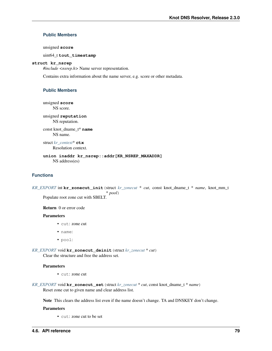## **Public Members**

unsigned **score**

uint64\_t **tout\_timestamp**

## <span id="page-82-1"></span><span id="page-82-0"></span>**struct kr\_nsrep**

*#include <nsrep.h>* Name server representation.

Contains extra information about the name server, e.g. score or other metadata.

## **Public Members**

unsigned **score** NS score.

unsigned **reputation**

NS reputation. const knot\_dname\_t\* **name**

NS name.

struct *[kr\\_context](#page-70-1)*\* **ctx** Resolution context.

## **union inaddr kr\_nsrep::addr[KR\_NSREP\_MAXADDR]** NS address(es)

## **Functions**

*[KR\\_EXPORT](#page-91-0)* int **kr\_zonecut\_init**(struct *[kr\\_zonecut](#page-84-0)* \* *cut*, const knot\_dname\_t \* *name*, knot\_mm\_t \* *pool*) Populate root zone cut with SBELT.

## Return 0 or error code

## Parameters

- cut: zone cut
- name:
- pool:

*[KR\\_EXPORT](#page-91-0)* void **kr\_zonecut\_deinit**(struct *[kr\\_zonecut](#page-84-0)* \* *cut*) Clear the structure and free the address set.

## Parameters

- cut: zone cut
- *[KR\\_EXPORT](#page-91-0)* void **kr\_zonecut\_set**(struct *[kr\\_zonecut](#page-84-0)* \* *cut*, const knot\_dname\_t \* *name*) Reset zone cut to given name and clear address list.

Note This clears the address list even if the name doesn't change. TA and DNSKEY don't change.

#### Parameters

• cut: zone cut to be set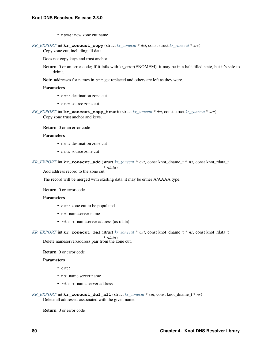• name: new zone cut name

```
KR_EXPORT int kr_zonecut_copy(struct kr_zonecut * dst, const struct kr_zonecut * src)
     Copy zone cut, including all data.
```
Does not copy keys and trust anchor.

Return 0 or an error code; If it fails with kr error(ENOMEM), it may be in a half-filled state, but it's safe to deinit. . .

Note addresses for names in src get replaced and others are left as they were.

## Parameters

- dst: destination zone cut
- src: source zone cut

*[KR\\_EXPORT](#page-91-0)* int **kr\_zonecut\_copy\_trust**(struct *[kr\\_zonecut](#page-84-0)* \* *dst*, const struct *[kr\\_zonecut](#page-84-0)* \* *src*) Copy zone trust anchor and keys.

Return 0 or an error code

## Parameters

- dst: destination zone cut
- src: source zone cut

*[KR\\_EXPORT](#page-91-0)* int **kr\_zonecut\_add**(struct *[kr\\_zonecut](#page-84-0)* \* *cut*, const knot\_dname\_t \* *ns*, const knot\_rdata\_t \* *rdata*)

Add address record to the zone cut.

The record will be merged with existing data, it may be either A/AAAA type.

## Return 0 or error code

#### Parameters

- cut: zone cut to be populated
- ns: nameserver name
- rdata: nameserver address (as rdata)

*[KR\\_EXPORT](#page-91-0)* int **kr\_zonecut\_del**(struct *[kr\\_zonecut](#page-84-0)* \* *cut*, const knot\_dname\_t \* *ns*, const knot\_rdata\_t \* *rdata*)

Delete nameserver/address pair from the zone cut.

## Return 0 or error code

#### Parameters

- cut:
- ns: name server name
- rdata: name server address

*[KR\\_EXPORT](#page-91-0)* int **kr\_zonecut\_del\_all**(struct *[kr\\_zonecut](#page-84-0)* \* *cut*, const knot\_dname\_t \* *ns*) Delete all addresses associated with the given name.

Return 0 or error code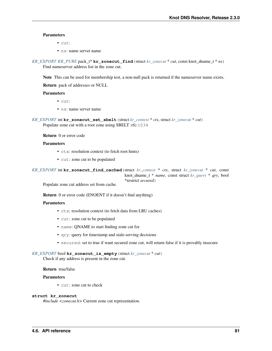## **Parameters**

- $\bullet$  cut:
- ns: name server name

*[KR\\_EXPORT](#page-91-0) [KR\\_PURE](#page-91-1)* pack\_t\* **kr\_zonecut\_find**(struct *[kr\\_zonecut](#page-84-0)* \* *cut*, const knot\_dname\_t \* *ns*) Find nameserver address list in the zone cut.

Note This can be used for membership test, a non-null pack is returned if the nameserver name exists.

Return pack of addresses or NULL

#### Parameters

- cut:
- ns: name server name

*[KR\\_EXPORT](#page-91-0)* int **kr\_zonecut\_set\_sbelt**(struct *[kr\\_context](#page-70-1)* \* *ctx*, struct *[kr\\_zonecut](#page-84-0)* \* *cut*) Populate zone cut with a root zone using SBELT :rfc:1034

Return 0 or error code

## Parameters

- ctx: resolution context (to fetch root hints)
- cut: zone cut to be populated

*[KR\\_EXPORT](#page-91-0)* int **kr\_zonecut\_find\_cached**(struct *[kr\\_context](#page-70-1)* \* *ctx*, struct *[kr\\_zonecut](#page-84-0)* \* *cut*, const knot\_dname\_t \* *name*, const struct *[kr\\_query](#page-75-0)* \* *qry*, bool \*restrict *secured*)

Populate zone cut address set from cache.

Return 0 or error code (ENOENT if it doesn't find anything)

## Parameters

- ctx: resolution context (to fetch data from LRU caches)
- cut: zone cut to be populated
- name: QNAME to start finding zone cut for
- qry: query for timestamp and stale-serving decisions
- secured: set to true if want secured zone cut, will return false if it is provably insecure

```
KR_EXPORT bool kr_zonecut_is_empty(struct kr_zonecut * cut)
```
Check if any address is present in the zone cut.

## Return true/false

## Parameters

• cut: zone cut to check

#### <span id="page-84-0"></span>**struct kr\_zonecut**

*#include <zonecut.h>* Current zone cut representation.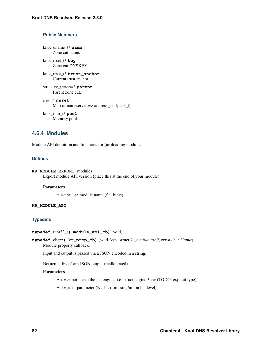## **Public Members**

knot\_dname\_t\* **name** Zone cut name.

knot\_rrset\_t\* **key** Zone cut DNSKEY.

knot\_rrset\_t\* **trust\_anchor** Current trust anchor.

struct *[kr\\_zonecut](#page-84-0)*\* **parent** Parent zone cut.

*[trie\\_t](#page-101-0)*\* **nsset** Map of nameserver => address\_set (pack\_t).

knot\_mm\_t\* **pool** Memory pool.

## <span id="page-85-0"></span>**4.6.4 Modules**

Module API definition and functions for (un)loading modules.

## **Defines**

```
KR_MODULE_EXPORT(module)
     Export module API version (place this at the end of your module).
```
## Parameters

• module: module name (f.e. hints)

## **KR\_MODULE\_API**

## **Typedefs**

```
typedef uint32_t( module_api_cb)(void)
```
**typedef** char\***( kr\_prop\_cb)**(void *\*env*, struct *[kr\\_module](#page-86-0) \*self*, const char *\*input*) Module property callback.

Input and output is passed via a JSON encoded in a string.

Return a free-form JSON output (malloc-ated)

## Parameters

- env: pointer to the lua engine, i.e. struct engine \*env (TODO: explicit type)
- input: parameter (NULL if missing/nil on lua level)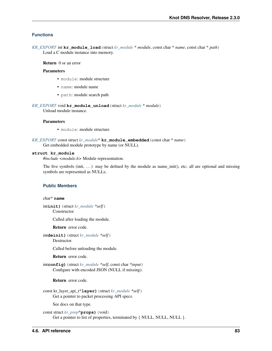## **Functions**

*[KR\\_EXPORT](#page-91-0)* int **kr\_module\_load**(struct *[kr\\_module](#page-86-0)* \* *module*, const char \* *name*, const char \* *path*) Load a C module instance into memory.

Return 0 or an error

#### Parameters

- module: module structure
- name: module name
- path: module search path

*[KR\\_EXPORT](#page-91-0)* void **kr\_module\_unload**(struct *[kr\\_module](#page-86-0)* \* *module*)

Unload module instance.

## Parameters

- module: module structure
- *[KR\\_EXPORT](#page-91-0)* const struct *[kr\\_module](#page-86-0)*\* **kr\_module\_embedded**(const char \* *name*) Get embedded module prototype by name (or NULL).

#### <span id="page-86-0"></span>**struct kr\_module**

*#include <module.h>* Module representation.

The five symbols (init,  $\dots$ ) may be defined by the module as name\_init(), etc; all are optional and missing symbols are represented as NULLs;

## **Public Members**

## char\* **name**

int**init)**(struct *[kr\\_module](#page-86-0) \*self*)

Constructor.

Called after loading the module.

Return error code.

int**deinit)**(struct *[kr\\_module](#page-86-0) \*self*) Destructor.

Called before unloading the module.

Return error code.

int**config)**(struct *[kr\\_module](#page-86-0) \*self*, const char *\*input*) Configure with encoded JSON (NULL if missing).

Return error code.

const kr\_layer\_api\_t\***layer)**(struct *[kr\\_module](#page-86-0) \*self*) Get a pointer to packet processing API specs.

See docs on that type.

const struct *[kr\\_prop](#page-87-0)*\***props)**(void) Get a pointer to list of properties, terminated by { NULL, NULL, NULL }.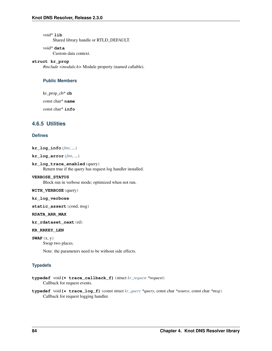void\* **lib**

Shared library handle or RTLD\_DEFAULT.

## void\* **data**

Custom data context.

## <span id="page-87-0"></span>**struct kr\_prop**

*#include <module.h>* Module property (named callable).

## **Public Members**

kr\_prop\_cb\* **cb**

const char\* **name**

const char\* **info**

## **4.6.5 Utilities**

## **Defines**

**kr\_log\_info**(*[fmt](#page-91-2)*, ...)

```
kr_log_error(fmt, ...)
```
## **kr\_log\_trace\_enabled**(query)

Return true if the query has request log handler installed.

#### **VERBOSE\_STATUS**

Block run in verbose mode; optimized when not run.

## **WITH\_VERBOSE**(query)

#### **kr\_log\_verbose**

static\_assert(cond, msg)

## **RDATA\_ARR\_MAX**

**kr\_rdataset\_next**(rd)

#### **KR\_RRKEY\_LEN**

**SWAP**(x, y)

Swap two places.

Note: the parameters need to be without side effects.

## **Typedefs**

```
typedef void(* trace_callback_f)(struct kr_request *request)
     Callback for request events.
```
**typedef** void**(\* trace\_log\_f)**(const struct *[kr\\_query](#page-75-0) \*query*, const char *\*source*, const char *\*msg*) Callback for request logging handler.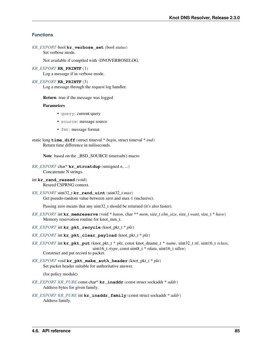## **Functions**

```
KR_EXPORT bool kr_verbose_set(bool status)
     Set verbose mode.
```
Not available if compiled with -DNOVERBOSELOG.

## *[KR\\_EXPORT](#page-91-0)* **KR\_PRINTF**(1)

Log a message if in verbose mode.

#### *[KR\\_EXPORT](#page-91-0)* **KR\_PRINTF**(3)

Log a message through the request log handler.

Return true if the message was logged

### Parameters

- query: current query
- source: message source
- fmt: message format
- static long **time\_diff**(struct timeval \* *begin*, struct timeval \* *end*) Return time difference in miliseconds.

Note based on the \_BSD\_SOURCE timersub() macro

- *[KR\\_EXPORT](#page-91-0)* char\* **kr\_strcatdup**(unsigned *n*, ...) Concatenate N strings.
- int **kr** rand reseed (void) Reseed CSPRNG context.
- *[KR\\_EXPORT](#page-91-0)* uint32\_t **kr\_rand\_uint**(uint32\_t *max*) Get pseudo-random value between zero and max-1 (inclusive).

Passing zero means that any uint 32\_t should be returned (it's also faster).

- *[KR\\_EXPORT](#page-91-0)* int **kr\_memreserve**(void \* *baton*, char \*\* *mem*, size\_t *elm\_size*, size\_t *want*, size\_t \* *have*) Memory reservation routine for knot\_mm\_t.
- *[KR\\_EXPORT](#page-91-0)* int **kr\_pkt\_recycle**(knot\_pkt\_t \* *pkt*)
- *[KR\\_EXPORT](#page-91-0)* int **kr\_pkt\_clear\_payload**(knot\_pkt\_t \* *pkt*)
- *[KR\\_EXPORT](#page-91-0)* int **kr\_pkt\_put**(knot\_pkt\_t \* *pkt*, const knot\_dname\_t \* *name*, uint32\_t *ttl*, uint16\_t *rclass*, uint16\_t *rtype*, const uint8\_t \* *rdata*, uint16\_t *rdlen*) Construct and put record to packet.
- *[KR\\_EXPORT](#page-91-0)* void **kr\_pkt\_make\_auth\_header**(knot\_pkt\_t \* *pkt*) Set packet header suitable for authoritative answer.

(for policy module)

- *[KR\\_EXPORT](#page-91-0) [KR\\_PURE](#page-91-1)* const char\* **kr\_inaddr**(const struct sockaddr \* *addr*) Address bytes for given family.
- *[KR\\_EXPORT](#page-91-0) [KR\\_PURE](#page-91-1)* int **kr\_inaddr\_family**(const struct sockaddr \* *addr*) Address family.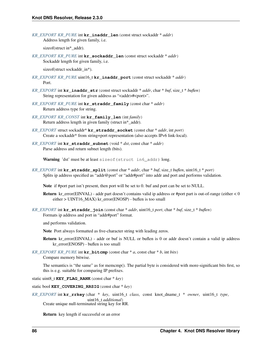*[KR\\_EXPORT](#page-91-0) [KR\\_PURE](#page-91-1)* int **kr\_inaddr\_len**(const struct sockaddr \* *addr*) Address length for given family, i.e.

sizeof(struct in\*\_addr).

*[KR\\_EXPORT](#page-91-0) [KR\\_PURE](#page-91-1)* int **kr\_sockaddr\_len**(const struct sockaddr \* *addr*) Sockaddr length for given family, i.e.

sizeof(struct sockaddr\_in\*).

- *[KR\\_EXPORT](#page-91-0) [KR\\_PURE](#page-91-1)* uint16\_t **kr\_inaddr\_port**(const struct sockaddr \* *addr*) Port.
- *[KR\\_EXPORT](#page-91-0)* int **kr\_inaddr\_str**(const struct sockaddr \* *addr*, char \* *buf*, size\_t \* *buflen*) String representation for given address as "<addr>#<port>".
- *[KR\\_EXPORT](#page-91-0) [KR\\_PURE](#page-91-1)* int **kr\_straddr\_family**(const char \* *addr*) Return address type for string.
- *[KR\\_EXPORT](#page-91-0) [KR\\_CONST](#page-91-3)* int **kr\_family\_len**(int *family*) Return address length in given family (struct in\*\_addr).
- *[KR\\_EXPORT](#page-91-0)* struct sockaddr\* **kr\_straddr\_socket**(const char \* *addr*, int *port*) Create a sockaddr\* from string+port representation (also accepts IPv6 link-local).
- *[KR\\_EXPORT](#page-91-0)* int **kr\_straddr\_subnet**(void \* *dst*, const char \* *addr*) Parse address and return subnet length (bits).

Warning 'dst' must be at least sizeof (struct in6\_addr) long.

*[KR\\_EXPORT](#page-91-0)* int **kr\_straddr\_split**(const char \* *addr*, char \* *buf*, size\_t *buflen*, uint16\_t \* *port*) Splits ip address specified as "addr@port" or "addr#port" into addr and port and performs validation.

Note if #port part isn't present, then port will be set to 0. buf and port can be set to NULL.

**Return** kr\_error(EINVAL) - addr part doesn't contains valid ip address or #port part is out-of-range (either  $< 0$ ) either > UINT16\_MAX) kr\_error(ENOSP) - buflen is too small

*[KR\\_EXPORT](#page-91-0)* int **kr\_straddr\_join**(const char \* *addr*, uint16\_t *port*, char \* *buf*, size\_t \* *buflen*) Formats ip address and port in "addr#port" format.

and performs validation.

Note Port always formatted as five-character string with leading zeros.

Return kr\_error(EINVAL) - addr or buf is NULL or buflen is 0 or addr doesn't contain a valid ip address kr\_error(ENOSP) - buflen is too small

*[KR\\_EXPORT](#page-91-0) [KR\\_PURE](#page-91-1)* int **kr\_bitcmp**(const char \* *a*, const char \* *b*, int *bits*) Compare memory bitwise.

The semantics is "the same" as for memcmp(). The partial byte is considered with more-significant bits first, so this is e.g. suitable for comparing IP prefixes.

static uint8\_t **KEY\_FLAG\_RANK**(const char \* *key*)

static bool **KEY\_COVERING\_RRSIG**(const char \* *key*)

```
KR_EXPORT int kr_rrkey(char * key, uint16_t class, const knot_dname_t * owner, uint16_t type,
                            uint16_t additional)
     Create unique null-terminated string key for RR.
```
Return key length if successful or an error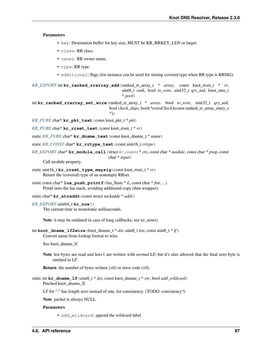#### Parameters

- key: Destination buffer for key size, MUST be KR\_RRKEY\_LEN or larger.
- class: RR class.
- owner: RR owner name.
- type: RR type.
- additional: flags (for instance can be used for storing covered type when RR type is RRSIG).

*[KR\\_EXPORT](#page-91-0)* int **kr\_ranked\_rrarray\_add**(ranked\_rr\_array\_t \* *array*, const knot\_rrset\_t \* *rr*, uint8\_t *rank*, bool *to\_wire*, uint32\_t *qry\_uid*, knot\_mm\_t \* *pool*)

int **kr\_ranked\_rrarray\_set\_wire**(ranked\_rr\_array\_t \* *array*, bool *to\_wire*, uint32\_t *qry\_uid*, bool *check\_dups*, bool(*\*extraCheck*)(const ranked\_rr\_array\_entry\_t \*))

*[KR\\_PURE](#page-91-1)* char\* **kr\_pkt\_text**(const knot\_pkt\_t \* *pkt*)

*[KR\\_PURE](#page-91-1)* char\* **kr\_rrset\_text**(const knot\_rrset\_t \* *rr*)

static *[KR\\_PURE](#page-91-1)* char\* **kr\_dname\_text**(const knot\_dname\_t \* *name*)

- static *[KR\\_CONST](#page-91-3)* char\* **kr\_rrtype\_text**(const uint16\_t *rrtype*)
- *[KR\\_EXPORT](#page-91-0)* char\* **kr\_module\_call**(struct *[kr\\_context](#page-70-1)* \* *ctx*, const char \* *module*, const char \* *prop*, const char \* *input*)

Call module property.

- static uint16\_t **kr\_rrset\_type\_maysig**(const knot\_rrset\_t \* *rr*) Return the (covered) type of an nonempty RRset.
- static const char\* **lua\_push\_printf**(lua\_State \* *L*, const char \* *fmt*, ...) Printf onto the lua stack, avoiding additional copy (thin wrapper).

```
static char* kr_straddr(const struct sockaddr * addr)
```

```
KR_EXPORT uint64_t kr_now()
```
The current time in monotonic milliseconds.

```
Note it may be outdated in case of long callbacks; see uv_now().
```
int **knot\_dname\_lf2wire**(knot\_dname\_t \* *dst*, uint8\_t *len*, const uint8\_t \* *lf*) Convert name from lookup format to wire.

See knot\_dname\_lf

Note len bytes are read and len+1 are written with *normal* LF, but it's also allowed that the final zero byte is omitted in LF.

**Return** the number of bytes written  $(>0)$  or error code  $(<0)$ 

static int **kr\_dname\_lf**(uint8\_t \* *dst*, const knot\_dname\_t \* *src*, bool *add\_wildcard*) Patched knot dname 1f.

LF for "." has length zero instead of one, for consistency. (TODO: consistency?)

Note packet is always NULL

## Parameters

• add\_wildcard: append the wildcard label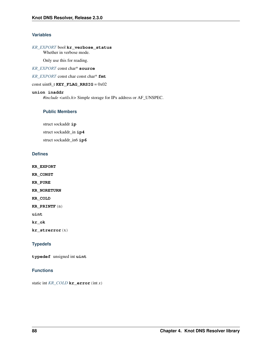## **Variables**

## *[KR\\_EXPORT](#page-91-0)* bool **kr\_verbose\_status**

Whether in verbose mode.

Only use this for reading.

*[KR\\_EXPORT](#page-91-0)* const char\* **source**

<span id="page-91-2"></span>*[KR\\_EXPORT](#page-91-0)* const char const char\* **fmt**

const uint $8$ \_t **KEY\_FLAG\_RRSIG** =  $0x02$ 

## **union inaddr**

*#include <utils.h>* Simple storage for IPx address or AF\_UNSPEC.

## **Public Members**

struct sockaddr **ip**

struct sockaddr\_in **ip4** struct sockaddr\_in6 **ip6**

## **Defines**

<span id="page-91-0"></span>**KR\_EXPORT**

<span id="page-91-3"></span>**KR\_CONST**

<span id="page-91-1"></span>**KR\_PURE**

<span id="page-91-4"></span>**KR\_NORETURN**

**KR\_COLD**

<span id="page-91-5"></span>**KR\_PRINTF**(n)

**uint**

**kr\_ok**

**kr\_strerror**(x)

## **Typedefs**

**typedef** unsigned int **uint**

## **Functions**

static int *[KR\\_COLD](#page-91-4)* **kr\_error**(int *x*)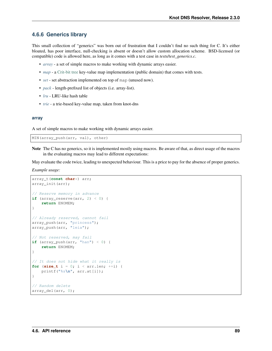## **4.6.6 Generics library**

This small collection of "generics" was born out of frustration that I couldn't find no such thing for C. It's either bloated, has poor interface, null-checking is absent or doesn't allow custom allocation scheme. BSD-licensed (or compatible) code is allowed here, as long as it comes with a test case in *tests/test\_generics.c*.

- *[array](#page-92-0)* a set of simple macros to make working with dynamic arrays easier.
- *[map](#page-94-0)* a [Crit-bit tree](https://cr.yp.to/critbit.html) key-value map implementation (public domain) that comes with tests.
- *[set](#page-95-0)* set abstraction implemented on top of map (unused now).
- *[pack](#page-97-0)* length-prefixed list of objects (i.e. array-list).
- *[lru](#page-98-0)* LRU-like hash table
- *[trie](#page-101-1)* a trie-based key-value map, taken from knot-dns

#### <span id="page-92-0"></span>**array**

A set of simple macros to make working with dynamic arrays easier.

MIN(array\_push(arr, val), other)

Note The C has no generics, so it is implemented mostly using macros. Be aware of that, as direct usage of the macros in the evaluating macros may lead to different expectations:

May evaluate the code twice, leading to unexpected behaviour. This is a price to pay for the absence of proper generics.

*Example usage:*

```
array_t(const char*) arr;
array_init(arr);
// Reserve memory in advance
if (array_reserve(arr, 2) < 0) {
    return ENOMEM;
}
// Already reserved, cannot fail
array_push(arr, "princess");
array_push(arr, "leia");
// Not reserved, may fail
if (array_push(arr, "han") \leq 0) {
    return ENOMEM;
}
// It does not hide what it really is
for (size t i = 0; i < arr.len; ++i) {
    printf("%s\n", arr.at[i]);
}
// Random delete
array_del(arr, 0);
```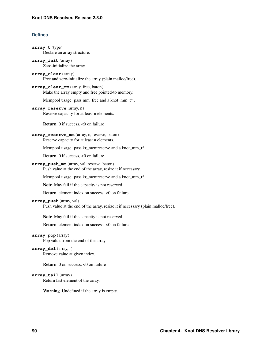## **Defines**

```
array_t(type)
     Declare an array structure.
array_init(array)
     Zero-initialize the array.
array_clear(array)
     Free and zero-initialize the array (plain malloc/free).
array_clear_mm(array, free, baton)
     Make the array empty and free pointed-to memory.
     Mempool usage: pass mm_free and a knot_mm_t* .
array_reserve(array, n)
     Reserve capacity for at least n elements.
     Return 0 if success, <0 on failure
array_reserve_mm(array, n, reserve, baton)
     Reserve capacity for at least n elements.
     Mempool usage: pass kr_memreserve and a knot_mm_t<sup>*</sup>.
     Return 0 if success, <0 on failure
array_push_mm(array, val, reserve, baton)
     Push value at the end of the array, resize it if necessary.
     Mempool usage: pass kr_memreserve and a knot_mm_t* .
     Note May fail if the capacity is not reserved.
     Return element index on success, <0 on failure
array_push(array, val)
     Push value at the end of the array, resize it if necessary (plain malloc/free).
     Note May fail if the capacity is not reserved.
     Return element index on success, <0 on failure
array_pop(array)
     Pop value from the end of the array.
array_del(array, i)
     Remove value at given index.
     Return 0 on success, <0 on failure
array_tail(array)
     Return last element of the array.
     Warning Undefined if the array is empty.
```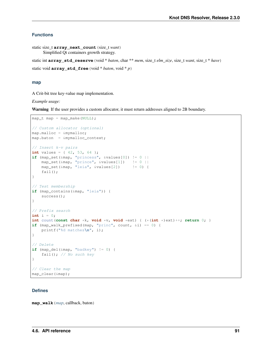## **Functions**

```
static size_t array_next_count(size_t want)
     Simplified Qt containers growth strategy.
```
static int **array\_std\_reserve**(void \* *baton*, char \*\* *mem*, size\_t *elm\_size*, size\_t *want*, size\_t \* *have*)

```
static void array_std_free(void * baton, void * p)
```
## <span id="page-94-0"></span>**map**

A Crit-bit tree key-value map implementation.

## *Example usage:*

Warning If the user provides a custom allocator, it must return addresses aligned to 2B boundary.

```
map_t map = map_make(NULL);
// Custom allocator (optional)
map.malloc = &mymalloc;
map.baton = &mymalloc_context;
// Insert k-v pairs
int values = { 42, 53, 64 };
if (map_set(\&map, "princess", \&values[0]) != 0 ||
   map_set(&map, "prince", &values[1]) != 0 ||
   map\_set(\&map, "leia", \&values[2]) != 0) {
   fail();
}
// Test membership
if (map_contains(&map, "leia")) {
   success();
}
// Prefix search
int i = 0;
int count(const char *k, void *v, void *ext) { (*(int *)ext)++; return 0; }
if (map_walk_prefixed(map, "princ", count, &i) == 0) {
   printf("%d matches\n", i);
}
// Delete
if (map_del(&map, "badkey") != 0) {
    fail(); // No such key}
// Clear the map
map clear(&map);
```
## **Defines**

**map\_walk**(*[map](#page-21-0)*, callback, baton)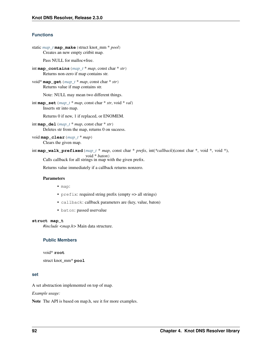## **Functions**

```
static map_t map_make(struct knot_mm * pool)
     Creates an new empty critbit map.
```
Pass NULL for malloc+free.

```
int map_contains(map_t * map, const char * str)
     Returns non-zero if map contains str.
```
void\* **map\_get**(*[map\\_t](#page-95-1)* \* *map*, const char \* *str*) Returns value if map contains str.

Note: NULL may mean two different things.

int **map\_set**(*[map\\_t](#page-95-1)* \* *map*, const char \* *str*, void \* *val*) Inserts str into map.

Returns 0 if new, 1 if replaced, or ENOMEM.

- int **map\_del**(*[map\\_t](#page-95-1)* \* *map*, const char \* *str*) Deletes str from the map, returns 0 on suceess.
- void **map\_clear**(*[map\\_t](#page-95-1)* \* *map*) Clears the given map.

```
int map_walk_prefixed(map_t * map, const char * prefix, int(*callback)(const char *, void *, void *),
                           void * baton)
```
Calls callback for all strings in map with the given prefix.

Returns value immediately if a callback returns nonzero.

## Parameters

- map:
- prefix: required string prefix (empty => all strings)
- callback: callback parameters are (key, value, baton)
- baton: passed uservalue

#### <span id="page-95-1"></span>**struct map\_t**

*#include <map.h>* Main data structure.

## **Public Members**

void\* **root**

```
struct knot_mm* pool
```
## <span id="page-95-0"></span>**set**

A set abstraction implemented on top of map.

*Example usage:*

Note The API is based on map.h, see it for more examples.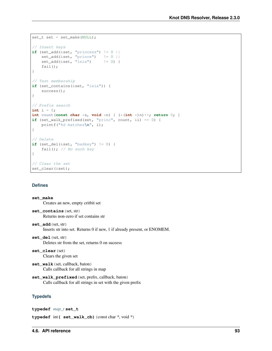```
set_t set = set_make(NULL);
// Insert keys
if (set\_add(&set,' "princess") != 0 ||set_add(&set, "prince") != 0 ||
   set\_add(\&set, "leia") != 0) {
    fail();
}
// Test membership
if (set_contains(&set, "leia")) {
    success();
}
// Prefix search
int i = 0;
int count(const char *s, void *n) { (*(int *)n)++; return 0; }
if (set_walk_prefixed(set, "princ", count, &i) == 0) {
    printf("%d matches\n", i);
}
// Delete
if \left(\text{set\_del}(\&\text{set}, \text{ "badkey"}\right) := 0fail(); // No such key}
// Clear the set
set_clear(&set);
```
## **Defines**

```
set_make
     Creates an new, empty critbit set
set_contains(set, str)
     Returns non-zero if set contains str
set_add(set, str)
     Inserts str into set. Returns 0 if new, 1 if already present, or ENOMEM.
set_del(set, str)
     Deletes str from the set, returns 0 on suceess
set_clear(set)
     Clears the given set
set_walk(set, callback, baton)
     Calls callback for all strings in map
set_walk_prefixed(set, prefix, callback, baton)
     Calls callback for all strings in set with the given prefix
Typedefs
```

```
typedef map_t set_t
```

```
typedef int( set_walk_cb)(const char *, void *)
```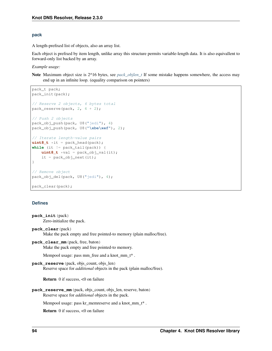## <span id="page-97-0"></span>**pack**

A length-prefixed list of objects, also an array list.

Each object is prefixed by item length, unlike array this structure permits variable-length data. It is also equivallent to forward-only list backed by an array.

*Example usage:*

Note Maximum object size is 2^16 bytes, see *[pack\\_objlen\\_t](#page-98-1)* If some mistake happens somewhere, the access may end up in an infinite loop. (equality comparison on pointers)

```
pack_t pack;
pack_init(pack);
// Reserve 2 objects, 6 bytes total
pack_reserve(pack, 2, 4 + 2);
// Push 2 objects
pack_obj_push(pack, U8("jedi"), 4)
pack_obj_push(pack, U8("\xbe\xef"), 2);
// Iterate length-value pairs
uint8_t *it = pack-head(pack);while (it := pack\_tail(pack) {
    uint8_t \times val = pack\_obj\_val(it);it = pack\_obj\_next(it);}
// Remove object
pack_obj_del(pack, U8("jedi"), 4);
pack_clear(pack);
```
## **Defines**

```
pack_init(pack)
     Zero-initialize the pack.
pack_clear(pack)
     Make the pack empty and free pointed-to memory (plain malloc/free).
pack_clear_mm(pack, free, baton)
     Make the pack empty and free pointed-to memory.
     Mempool usage: pass mm_free and a knot_mm_t* .
pack_reserve(pack, objs_count, objs_len)
     Reserve space for additional objects in the pack (plain malloc/free).
     Return 0 if success, <0 on failure
pack_reserve_mm(pack, objs_count, objs_len, reserve, baton)
     Reserve space for additional objects in the pack.
     Mempool usage: pass kr_memreserve and a knot_mm_t* .
     Return 0 if success, <0 on failure
```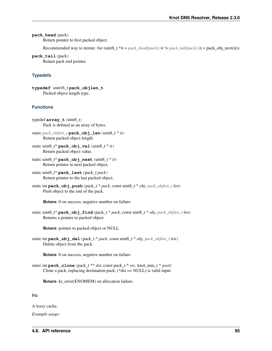## <span id="page-98-2"></span>**pack\_head**(pack)

Return pointer to first packed object.

Recommended way to iterate: for (uint8\_t \*it = *[pack\\_head\(pack\)](#page-98-2)*; it  $!=$  *[pack\\_tail\(pack\)](#page-98-3)*; it =  $pack\_obj\_next(it)$ )

<span id="page-98-3"></span>**pack\_tail**(pack)

Return pack end pointer.

## **Typedefs**

<span id="page-98-4"></span><span id="page-98-1"></span>**typedef** uint16\_t **pack\_objlen\_t** Packed object length type.

## **Functions**

- typedef **array\_t**(uint8\_t) Pack is defined as an array of bytes.
- static *[pack\\_objlen\\_t](#page-98-4)* **pack\_obj\_len**(uint8\_t \* *it*) Return packed object length.
- static uint8\_t\* **pack\_obj\_val**(uint8\_t \* *it*) Return packed object value.
- static uint8\_t\* **pack\_obj\_next**(uint8\_t \* *it*) Return pointer to next packed object.
- static uint8\_t\* **pack\_last**(pack\_t *pack*) Return pointer to the last packed object.
- static int **pack\_obj\_push**(pack\_t \* *pack*, const uint8\_t \* *obj*, *[pack\\_objlen\\_t](#page-98-4) len*) Push object to the end of the pack.

Return 0 on success, negative number on failure

static uint8\_t\* **pack\_obj\_find**(pack\_t \* *pack*, const uint8\_t \* *obj*, *[pack\\_objlen\\_t](#page-98-4) len*) Returns a pointer to packed object.

Return pointer to packed object or NULL

static int **pack\_obj\_del**(pack\_t \* *pack*, const uint8\_t \* *obj*, *[pack\\_objlen\\_t](#page-98-4) len*) Delete object from the pack.

Return 0 on success, negative number on failure

static int **pack\_clone**(pack\_t \*\* *dst*, const pack\_t \* *src*, knot\_mm\_t \* *pool*) Clone a pack, replacing destination pack; (\*dst == NULL) is valid input.

Return kr\_error(ENOMEM) on allocation failure.

## <span id="page-98-0"></span>**lru**

A lossy cache.

*Example usage:*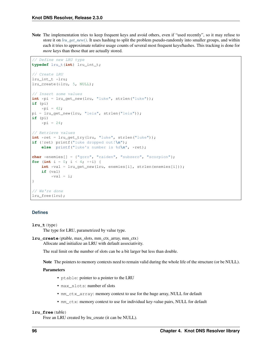Note The implementation tries to keep frequent keys and avoid others, even if "used recently", so it may refuse to store it on *[lru\\_get\\_new\(\)](#page-100-0)*. It uses hashing to split the problem pseudo-randomly into smaller groups, and within each it tries to approximate relative usage counts of several most frequent keys/hashes. This tracking is done for *more* keys than those that are actually stored.

```
// Define new LRU type
typedef lru_t(int) lru_int_t;
// Create LRU
lru_int_t *lru;
lru_create(&lru, 5, NULL);
// Insert some values
int *pi = lru_get_new(lru, "luke", strlen("luke"));
if (pi)
   *pi = 42;pi = lru_get_new(lru, "leia", strlen("leia"));
if (pi)
    *pi = 24;// Retrieve values
int *ret = lru_get_try(lru, "luke", strlen("luke"));
if (!ret) printf("luke dropped out!\n");
    else printf("luke's number is %d\n", *ret);
char *enemies[] = {"goro", "raiden", "subzero", "scorpion"};
for (int i = 0; i < 4; +i) {
    int *val = lru_get_new(lru, enemies[i], strlen(enemies[i]));
    if (val)
        \starval = i;
}
// We're done
lru_free(lru);
```
## **Defines**

```
lru_t(type)
```
The type for LRU, parametrized by value type.

```
lru_create(ptable, max_slots, mm_ctx_array, mm_ctx)
     Allocate and initialize an LRU with default associativity.
```
The real limit on the number of slots can be a bit larger but less than double.

Note The pointers to memory contexts need to remain valid during the whole life of the structure (or be NULL).

#### Parameters

- ptable: pointer to a pointer to the LRU
- max\_slots: number of slots
- mm\_ctx\_array: memory context to use for the huge array, NULL for default
- mm\_ctx: memory context to use for individual key-value pairs, NULL for default

#### **lru\_free**(table)

Free an LRU created by lru\_create (it can be NULL).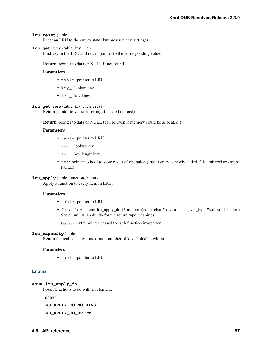## **lru\_reset**(table)

Reset an LRU to the empty state (but preserve any settings).

## **lru\_get\_try**(table, key\_, len\_)

Find key in the LRU and return pointer to the corresponding value.

#### Return pointer to data or NULL if not found

## Parameters

- table: pointer to LRU
- key\_: lookup key
- len\_: key length

## <span id="page-100-0"></span>**lru\_get\_new**(table, key\_, len\_, res)

Return pointer to value, inserting if needed (zeroed).

Return pointer to data or NULL (can be even if memory could be allocated!)

## Parameters

- table: pointer to LRU
- key\_: lookup key
- len : key lengthkeys
- res: pointer to bool to store result of operation (true if entry is newly added, false otherwise; can be NULL).

#### **lru\_apply**(table, function, baton)

Apply a function to every item in LRU.

#### Parameters

- table: pointer to LRU
- function: enum lru\_apply\_do (\*function)(const char \*key, uint len, val\_type \*val, void \*baton) See enum lru apply do for the return type meanings.
- baton: extra pointer passed to each function invocation

#### **lru\_capacity**(table)

Return the real capacity - maximum number of keys holdable within.

#### Parameters

• table: pointer to LRU

## **Enums**

## **enum lru\_apply\_do**

Possible actions to do with an element.

*Values:*

**LRU\_APPLY\_DO\_NOTHING**

## **LRU\_APPLY\_DO\_EVICT**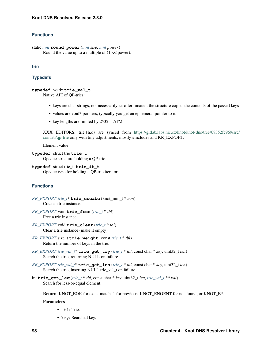## **Functions**

```
static uint round_power(uint size, uint power)
     Round the value up to a multiple of (1 << power).
```
## <span id="page-101-1"></span>**trie**

## **Typedefs**

## <span id="page-101-2"></span>**typedef** void\* **trie\_val\_t**

Native API of QP-tries:

- keys are char strings, not necessarily zero-terminated, the structure copies the contents of the passed keys
- values are void\* pointers, typically you get an ephemeral pointer to it
- key lengths are limited by 2^32-1 ATM

XXX EDITORS: trie.{h,c} are synced from [https://gitlab.labs.nic.cz/knot/knot-dns/tree/68352fc969/src/](https://gitlab.labs.nic.cz/knot/knot-dns/tree/68352fc969/src/contrib/qp-trie) [contrib/qp-trie](https://gitlab.labs.nic.cz/knot/knot-dns/tree/68352fc969/src/contrib/qp-trie) only with tiny adjustments, mostly #includes and KR\_EXPORT.

Element value.

```
typedef struct trie trie_t
     Opaque structure holding a QP-trie.
```
<span id="page-101-3"></span>**typedef** struct trie\_it **trie\_it\_t** Opaque type for holding a QP-trie iterator.

## **Functions**

```
KR_EXPORT trie_t* trie_create(knot_mm_t * mm)
     Create a trie instance.
```
- *[KR\\_EXPORT](#page-91-0)* void **trie\_free**(*[trie\\_t](#page-101-0)* \* *tbl*) Free a trie instance.
- *[KR\\_EXPORT](#page-91-0)* void **trie\_clear**(*[trie\\_t](#page-101-0)* \* *tbl*) Clear a trie instance (make it empty).
- *[KR\\_EXPORT](#page-91-0)* size\_t **trie\_weight**(const *[trie\\_t](#page-101-0)* \* *tbl*) Return the number of keys in the trie.
- *[KR\\_EXPORT](#page-91-0) [trie\\_val\\_t](#page-101-2)*\* **trie\_get\_try**(*[trie\\_t](#page-101-0)* \* *tbl*, const char \* *key*, uint32\_t *len*) Search the trie, returning NULL on failure.
- *[KR\\_EXPORT](#page-91-0) [trie\\_val\\_t](#page-101-2)*\* **trie\_get\_ins**(*[trie\\_t](#page-101-0)* \* *tbl*, const char \* *key*, uint32\_t *len*) Search the trie, inserting NULL trie\_val\_t on failure.
- int **trie\_get\_leq**(*[trie\\_t](#page-101-0)* \* *tbl*, const char \* *key*, uint32\_t *len*, *[trie\\_val\\_t](#page-101-2)* \*\* *val*) Search for less-or-equal element.

Return KNOT\_EOK for exact match, 1 for previous, KNOT\_ENOENT for not-found, or KNOT\_E\*.

#### Parameters

- tbl: Trie.
- key: Searched key.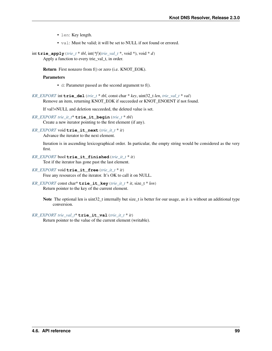- len: Key length.
- val: Must be valid; it will be set to NULL if not found or errored.

int **trie\_apply**(*[trie\\_t](#page-101-0)* \* *tbl*, int(*\*f*)(*[trie\\_val\\_t](#page-101-2)* \*, void \*), void \* *d*) Apply a function to every trie\_val\_t, in order.

Return First nonzero from f() or zero (i.e. KNOT\_EOK).

## Parameters

- d: Parameter passed as the second argument to f().
- *[KR\\_EXPORT](#page-91-0)* int **trie\_del**(*[trie\\_t](#page-101-0)* \* *tbl*, const char \* *key*, uint32\_t *len*, *[trie\\_val\\_t](#page-101-2)* \* *val*) Remove an item, returning KNOT\_EOK if succeeded or KNOT\_ENOENT if not found.

If val!=NULL and deletion succeeded, the deleted value is set.

- *[KR\\_EXPORT](#page-91-0) [trie\\_it\\_t](#page-101-3)*\* **trie\_it\_begin**(*[trie\\_t](#page-101-0)* \* *tbl*) Create a new iterator pointing to the first element (if any).
- *[KR\\_EXPORT](#page-91-0)* void **trie\_it\_next**(*[trie\\_it\\_t](#page-101-3)* \* *it*) Advance the iterator to the next element.

Iteration is in ascending lexicographical order. In particular, the empty string would be considered as the very first.

- *[KR\\_EXPORT](#page-91-0)* bool **trie\_it\_finished**(*[trie\\_it\\_t](#page-101-3)* \* *it*) Test if the iterator has gone past the last element.
- *[KR\\_EXPORT](#page-91-0)* void **trie\_it\_free**(*[trie\\_it\\_t](#page-101-3)* \* *it*) Free any resources of the iterator. It's OK to call it on NULL.
- *[KR\\_EXPORT](#page-91-0)* const char\* **trie\_it\_key**(*[trie\\_it\\_t](#page-101-3)* \* *it*, size\_t \* *len*) Return pointer to the key of the current element.
	- Note The optional len is uint32\_t internally but size\_t is better for our usage, as it is without an additional type conversion.
- *[KR\\_EXPORT](#page-91-0)\_[trie\\_val\\_t](#page-101-2)\** **trie\_it\_val**(*[trie\\_it\\_t](#page-101-3)* \* *it*) Return pointer to the value of the current element (writable).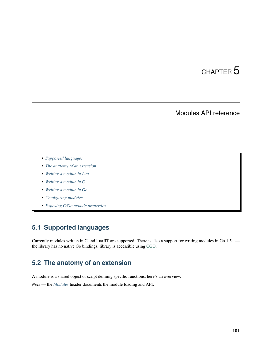# CHAPTER 5

# Modules API reference

- *[Supported languages](#page-104-0)*
- *[The anatomy of an extension](#page-104-1)*
- *[Writing a module in Lua](#page-105-0)*
- *[Writing a module in C](#page-106-0)*
- *[Writing a module in Go](#page-107-0)*
- *[Configuring modules](#page-109-0)*
- *[Exposing C/Go module properties](#page-109-1)*

# <span id="page-104-0"></span>**5.1 Supported languages**

Currently modules written in C and LuaJIT are supported. There is also a support for writing modules in Go 1.5+ the library has no native Go bindings, library is accessible using [CGO.](http://golang.org/cmd/cgo/)

# <span id="page-104-1"></span>**5.2 The anatomy of an extension**

A module is a shared object or script defining specific functions, here's an overview.

*Note* — the *[Modules](#page-85-0)* header documents the module loading and API.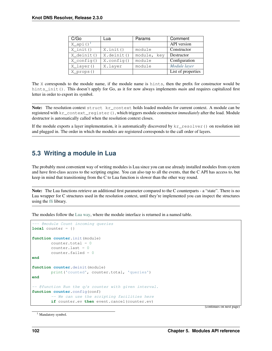| C/Go                    | Lua                 | Params         | Comment            |
|-------------------------|---------------------|----------------|--------------------|
| $X$ _api() <sup>1</sup> |                     |                | API version        |
| $X$ init ()             | $X.$ init $()$      | module         | Constructor        |
| X_deinit()              | X.deinit()          | module,<br>kev | Destructor         |
| $X_{contiq}()$          | $X.\text{config}()$ | module         | Configuration      |
| X_layer()               | X.layer             | module         | Module layer       |
| X_props()               |                     |                | List of properties |

The X corresponds to the module name, if the module name is hints, then the prefix for constructor would be hints init(). This doesn't apply for Go, as it for now always implements *main* and requires capitalized first letter in order to export its symbol.

Note: The resolution context struct kr context holds loaded modules for current context. A module can be registered with kr\_context\_register(), which triggers module constructor *immediately* after the load. Module destructor is automatically called when the resolution context closes.

If the module exports a layer implementation, it is automatically discovered by  $kr$ <sub>resolver</sub>() on resolution init and plugged in. The order in which the modules are registered corresponds to the call order of layers.

# <span id="page-105-0"></span>**5.3 Writing a module in Lua**

The probably most convenient way of writing modules is Lua since you can use already installed modules from system and have first-class access to the scripting engine. You can also tap to all the events, that the C API has access to, but keep in mind that transitioning from the C to Lua function is slower than the other way round.

Note: The Lua functions retrieve an additional first parameter compared to the C counterparts - a "state". There is no Lua wrapper for C structures used in the resolution context, until they're implemented you can inspect the structures using the [ffi](http://luajit.org/ext_ffi.html) library.

The modules follow the [Lua way,](http://lua-users.org/wiki/ModuleDefinition) where the module interface is returned in a named table.

```
- @module Count incoming queries
local counter = \{\}function counter.init(module)
       counter.total = 0
        counter.last = 0
        counter.failed = 0
end
function counter.deinit(module)
        print('counted', counter.total, 'queries')
end
-- @function Run the q/s counter with given interval.
function counter.config(conf)
        -- We can use the scripting facilities here
        if counter.ev then event.cancel(counter.ev)
```
(continues on next page)

<span id="page-105-1"></span><sup>1</sup> Mandatory symbol.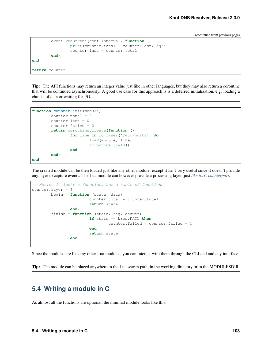(continued from previous page)

```
event.recurrent(conf.interval, function ()
                print(counter.total - counter.last, 'q/s')
                counter.last = counter.total
        end)
end
return counter
```
Tip: The API functions may return an integer value just like in other languages, but they may also return a coroutine that will be continued asynchronously. A good use case for this approach is is a deferred initialization, e.g. loading a chunks of data or waiting for I/O.

```
function counter.init(module)
        counter.total = 0counteru. Last = 0counter.failed = 0
        return coroutine.create(function ()
                for line in io.lines('/etc/hosts') do
                        load(module, line)
                        coroutine.yield()
                end
        end)
end
```
The created module can be then loaded just like any other module, except it isn't very useful since it doesn't provide any layer to capture events. The Lua module can however provide a processing layer, just *[like its C counterpart](#page-60-0)*.

```
-- Notice it isn't a function, but a table of functions
counter.layer = {
        begin = function (state, data)
                        counter.total = counter.total + 1
                        return state
                end,
        finish = function (state, req, answer)
                        if state == kres.FAIL then
                                counter.failed = counter.failed + 1
                        end
                        return state
                end
}
```
Since the modules are like any other Lua modules, you can interact with them through the CLI and and any interface.

Tip: The module can be placed anywhere in the Lua search path, in the working directory or in the MODULESDIR.

## <span id="page-106-0"></span>**5.4 Writing a module in C**

As almost all the functions are optional, the minimal module looks like this: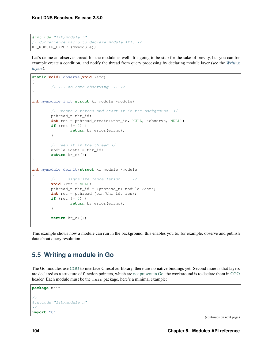```
#include "lib/module.h"
/* Convenience macro to declare module API. */
KR_MODULE_EXPORT(mymodule);
```
Let's define an observer thread for the module as well. It's going to be stub for the sake of brevity, but you can for example create a condition, and notify the thread from query processing by declaring module layer (see the *[Writing](#page-60-0) [layers](#page-60-0)*).

```
static void* observe(void *arg)
{
        /* ... do some observing ... */
}
int mymodule_init(struct kr_module *module)
{
        /* Create a thread and start it in the background. */pthread_t thr_id;
        int ret = pthread_create(&thr_id, NULL, &observe, NULL);
        if (ret != 0) {
                return kr_error(errno);
        }
        /* Keep it in the thread */module->data = thr_id;
        return kr_ok();
}
int mymodule_deinit(struct kr_module *module)
{
        /* ... signalize cancellation ... */
        void *res = NULL;
        pthread_t thr_id = (pthread_t) module->data;
        int ret = pthread_join(thr_id, res);
        if (ret != 0) {
                return kr_error(errno);
        }
        return kr_ok();
}
```
This example shows how a module can run in the background, this enables you to, for example, observe and publish data about query resolution.

# <span id="page-107-0"></span>**5.5 Writing a module in Go**

The Go modules use [CGO](http://golang.org/cmd/cgo/) to interface C resolver library, there are no native bindings yet. Second issue is that layers are declared as a structure of function pointers, which are [not present in Go,](http://blog.golang.org/gos-declaration-syntax) the workaround is to declare them in [CGO](http://golang.org/cmd/cgo/) header. Each module must be the main package, here's a minimal example:

```
package main
/ *#include "lib/module.h"
*/
import "C"
```
(continues on next page)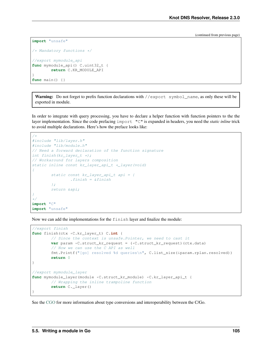(continued from previous page)

```
import "unsafe"
```

```
/* Mandatory functions */
//export mymodule_api
func mymodule_api() C.uint32_t {
       return C.KR_MODULE_API
```
**func** main() {}

}

Warning: Do not forget to prefix function declarations with //export symbol\_name, as only these will be exported in module.

In order to integrate with query processing, you have to declare a helper function with function pointers to the the layer implementation. Since the code prefacing import "C" is expanded in headers, you need the *static inline* trick to avoid multiple declarations. Here's how the preface looks like:

```
/*
#include "lib/layer.h"
#include "lib/module.h"
// Need a forward declaration of the function signature
int finish(kr_layer_t *);
// Workaround for layers composition
static inline const kr_layer_api_t *_layer(void)
{
        static const kr_layer_api_t api = {
                .finish = \&finish
        };
        return &api;
}
*/
import "C"
import "unsafe"
```
Now we can add the implementations for the finish layer and finalize the module:

```
//export finish
func finish(ctx *C.kr_layer_t) C.int {
        // Since the context is unsafe.Pointer, we need to cast it
       var param *C.struct_kr_request = (*C.struct_kr_request)(ctx.data)
        // Now we can use the C API as well
        fmt.Printf("[go] resolved %d queries\n", C.list_size(&param.rplan.resolved))
        return 0
}
//export mymodule_layer
func mymodule_layer(module *C.struct_kr_module) *C.kr_layer_api_t {
        // Wrapping the inline trampoline function
        return C._layer()
}
```
See the [CGO](http://golang.org/cmd/cgo/) for more information about type conversions and interoperability between the C/Go.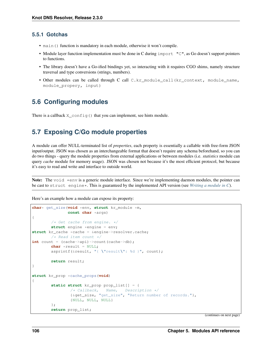#### **5.5.1 Gotchas**

- main() function is mandatory in each module, otherwise it won't compile.
- Module layer function implementation must be done in C during import "C", as Go doesn't support pointers to functions.
- The library doesn't have a Go-ified bindings yet, so interacting with it requires CGO shims, namely structure traversal and type conversions (strings, numbers).
- Other modules can be called through C call C.kr\_module\_call(kr\_context, module\_name, module\_propery, input)

## **5.6 Configuring modules**

There is a callback  $X_{\text{confiq}}$  that you can implement, see hints module.

## **5.7 Exposing C/Go module properties**

A module can offer NULL-terminated list of *properties*, each property is essentially a callable with free-form JSON input/output. JSON was chosen as an interchangeable format that doesn't require any schema beforehand, so you can do two things - query the module properties from external applications or between modules (i.e. *statistics* module can query *cache* module for memory usage). JSON was chosen not because it's the most efficient protocol, but because it's easy to read and write and interface to outside world.

Note: The void  $\star$ env is a generic module interface. Since we're implementing daemon modules, the pointer can be cast to struct engine\*. This is guaranteed by the implemented API version (see *[Writing a module in C](#page-106-0)*).

Here's an example how a module can expose its property:

```
char* get_size(void *env, struct kr_module *m,
               const char *args)
{
        /* Get cache from engine. */
        struct engine *engine = env;
struct kr_cache *cache = &engine->resolver.cache;
       /* Read item count */
int count = (cache->api)->count(cache->db);
       char *result = NULL;
        asprintf(&result, "{ \"result\": %d }", count);
        return result;
}
struct kr_prop *cache_props(void)
{
        static struct kr_prop prop_list[] = {
                /* Callback, Name, Description */
                {&get_size, "get_size", "Return number of records."},
                {NULL, NULL, NULL}
        };
        return prop_list;
```
(continues on next page)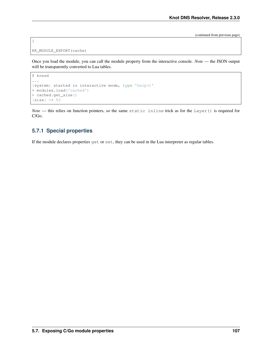(continued from previous page)

```
KR_MODULE_EXPORT(cache)
```
}

Once you load the module, you can call the module property from the interactive console. *Note* — the JSON output will be transparently converted to Lua tables.

```
$ kresd
...
[system] started in interactive mode, type 'help()'
> modules.load('cached')
> cached.get_size()
[size] => 53
```
*Note* — this relies on function pointers, so the same static inline trick as for the Layer() is required for C/Go.

#### **5.7.1 Special properties**

If the module declares properties get or set, they can be used in the Lua interpreter as regular tables.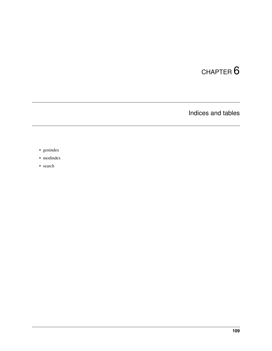# CHAPTER 6

Indices and tables

- genindex
- modindex
- search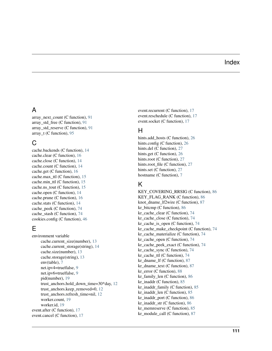#### Index

## A

array\_next\_count (C function), [91](#page-94-0) array std free (C function),  $91$ array\_std\_reserve (C function), [91](#page-94-0) array  $t$  (C function), [95](#page-98-0)

#### C

cache.backends (C function), [14](#page-17-0) cache.clear (C function), [16](#page-19-0) cache.close (C function), [14](#page-17-0) cache.count (C function), [14](#page-17-0) cache.get (C function), [16](#page-19-0) cache.max\_ttl (C function), [15](#page-18-0) cache.min\_ttl (C function), [15](#page-18-0) cache.ns\_tout (C function), [15](#page-18-0) cache.open (C function), [14](#page-17-0) cache.prune (C function), [16](#page-19-0) cache.stats (C function), [14](#page-17-0) cache\_peek (C function), [74](#page-77-0) cache\_stash (C function), [74](#page-77-0) cookies.config (C function), [46](#page-49-0)

# E

```
environment variable
     cache.current_size(number), 13
     cache.current_storage(string), 14
     cache.size(number), 13
     cache.storage(string), 13
     env(table), 7
     net.ipv4=true|false, 9
     net.ipv6=true|false, 9
     pid(number), 19
     trust_anchors.hold_down_time=30*day, 12
     trust_anchors.keep_removed=0, 12
     trust_anchors.refresh_time=nil, 12
     worker.count, 19
     worker.id, 19
event.after (C function), 17
event.cancel (C function), 17
```
event.recurrent (C function), [17](#page-20-0) event.reschedule (C function), [17](#page-20-0) event.socket (C function), [17](#page-20-0)

#### H

hints.add hosts (C function), [26](#page-29-0) hints.config (C function), [26](#page-29-0) hints.del (C function), [27](#page-30-0) hints.get (C function), [26](#page-29-0) hints.root (C function), [27](#page-30-0) hints.root file (C function), [27](#page-30-0) hints.set (C function), [27](#page-30-0) hostname (C function), [7](#page-10-0)

## K

KEY\_COVERING\_RRSIG (C function), [86](#page-89-0) KEY\_FLAG\_RANK (C function), [86](#page-89-0) knot\_dname\_lf2wire (C function), [87](#page-90-0) kr\_bitcmp (C function), [86](#page-89-0) kr cache clear (C function),  $74$ kr\_cache\_close (C function), [74](#page-77-0) kr\_cache\_is\_open (C function), [74](#page-77-0) kr\_cache\_make\_checkpoint (C function), [74](#page-77-0) kr\_cache\_materialize (C function), [74](#page-77-0) kr\_cache\_open (C function), [74](#page-77-0) kr\_cache\_peek\_exact (C function), [74](#page-77-0) kr\_cache\_sync (C function), [74](#page-77-0) kr\_cache\_ttl (C function), [74](#page-77-0) kr\_dname\_lf (C function), [87](#page-90-0) kr\_dname\_text (C function), [87](#page-90-0) kr error (C function),  $88$ kr\_family\_len (C function), [86](#page-89-0) kr inaddr (C function),  $85$ kr\_inaddr\_family (C function), [85](#page-88-0) kr\_inaddr\_len (C function), [85](#page-88-0) kr\_inaddr\_port (C function), [86](#page-89-0) kr\_inaddr\_str (C function), [86](#page-89-0) kr memreserve (C function),  $85$ kr\_module\_call (C function), [87](#page-90-0)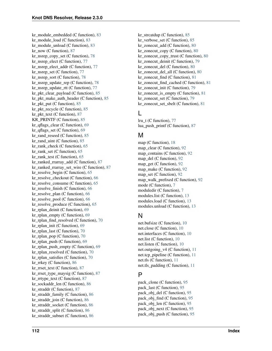kr\_module\_embedded (C function), [83](#page-86-0) kr\_module\_load (C function), [83](#page-86-0) kr\_module\_unload (C function),  $83$ kr\_now (C function), [87](#page-90-0) kr\_nsrep\_copy\_set (C function),  $78$ kr\_nsrep\_elect (C function),  $77$ kr\_nsrep\_elect\_addr (C function),  $77$ kr\_nsrep\_set (C function),  $77$ kr\_nsrep\_sort (C function),  $78$ kr\_nsrep\_update\_rep (C function), [78](#page-81-0) kr\_nsrep\_update\_rtt (C function), [77](#page-80-0) kr\_pkt\_clear\_payload (C function), [85](#page-88-0) kr\_pkt\_make\_auth\_header (C function), [85](#page-88-0) kr\_pkt\_put (C function), [85](#page-88-0) kr\_pkt\_recycle (C function), [85](#page-88-0) kr\_pkt\_text (C function), [87](#page-90-0) KR\_PRINTF (C function), [85](#page-88-0) kr qflags clear (C function),  $69$ kr\_qflags\_set (C function), [69](#page-72-0) kr rand reseed (C function),  $85$ kr\_rand\_uint (C function), [85](#page-88-0) kr rank check (C function),  $65$ kr\_rank\_set (C function), [65](#page-68-0) kr\_rank\_test (C function),  $65$ kr\_ranked\_rrarray\_add (C function),  $87$ kr\_ranked\_rrarray\_set\_wire (C function),  $87$ kr\_resolve\_begin (C function), [65](#page-68-0) kr\_resolve\_checkout (C function), [66](#page-69-0) kr\_resolve\_consume (C function), [65](#page-68-0) kr resolve finish (C function),  $66$ kr\_resolve\_plan (C function), [66](#page-69-0) kr\_resolve\_pool (C function), [66](#page-69-0) kr\_resolve\_produce (C function), [65](#page-68-0) kr\_rplan\_deinit (C function), [69](#page-72-0) kr rplan empty (C function),  $69$ kr\_rplan\_find\_resolved (C function),  $70$ kr rplan init (C function),  $69$ kr\_rplan\_last (C function), [70](#page-73-0) kr\_rplan\_pop (C function),  $70$ kr\_rplan\_push (C function), [69](#page-72-0) kr\_rplan\_push\_empty (C function),  $69$ kr\_rplan\_resolved (C function),  $70$ kr\_rplan\_satisfies (C function),  $70$ kr\_rrkey (C function), [86](#page-89-0) kr\_rrset\_text (C function), [87](#page-90-0) kr\_rrset\_type\_maysig (C function), [87](#page-90-0) kr\_rrtype\_text (C function), [87](#page-90-0) kr\_sockaddr\_len (C function), [86](#page-89-0) kr\_straddr (C function), [87](#page-90-0) kr\_straddr\_family (C function), [86](#page-89-0) kr\_straddr\_join (C function), [86](#page-89-0) kr\_straddr\_socket (C function), [86](#page-89-0) kr\_straddr\_split (C function), [86](#page-89-0) kr\_straddr\_subnet (C function), [86](#page-89-0)

kr strcatdup (C function),  $85$ kr\_verbose\_set (C function), [85](#page-88-0) kr zonecut  $add (C function), 80$  $add (C function), 80$ kr\_zonecut\_copy (C function), [80](#page-83-0) kr\_zonecut\_copy\_trust (C function),  $80$ kr\_zonecut\_deinit (C function), [79](#page-82-0) kr\_zonecut\_del (C function), [80](#page-83-0) kr\_zonecut\_del\_all (C function), [80](#page-83-0) kr zonecut find (C function),  $81$ kr\_zonecut\_find\_cached (C function), [81](#page-84-0) kr\_zonecut\_init (C function), [79](#page-82-0) kr\_zonecut\_is\_empty (C function), [81](#page-84-0) kr\_zonecut\_set (C function), [79](#page-82-0) kr\_zonecut\_set\_sbelt (C function), [81](#page-84-0)

#### L

lru\_t (C function), [77](#page-80-0) lua\_push\_printf (C function), [87](#page-90-0)

#### M

map (C function), [18](#page-21-0) map\_clear (C function), [92](#page-95-0) map\_contains (C function), [92](#page-95-0) map\_del (C function), [92](#page-95-0) map  $get (C function), 92$  $get (C function), 92$ map make (C function), [92](#page-95-0) map set (C function),  $92$ map\_walk\_prefixed (C function),  $92$ mode (C function), [7](#page-10-0) moduledir (C function), [7](#page-10-0) modules.list (C function), [13](#page-16-0) modules.load (C function), [13](#page-16-0) modules.unload (C function), [13](#page-16-0)

## N

net.bufsize (C function), [10](#page-13-0) net.close (C function), [10](#page-13-0) net.interfaces (C function), [10](#page-13-0) net.list (C function), [10](#page-13-0) net.listen (C function), [10](#page-13-0) net.outgoing\_v4 (C function), [11](#page-14-0) net.tcp\_pipeline (C function), [11](#page-14-0) net.tls (C function), [11](#page-14-0) net.tls\_padding (C function), [11](#page-14-0)

# P

pack\_clone (C function), [95](#page-98-0) pack\_last (C function), [95](#page-98-0) pack\_obj\_del (C function), [95](#page-98-0) pack obj find (C function), [95](#page-98-0) pack\_obj\_len (C function), [95](#page-98-0) pack obj next (C function), [95](#page-98-0) pack\_obj\_push (C function), [95](#page-98-0)